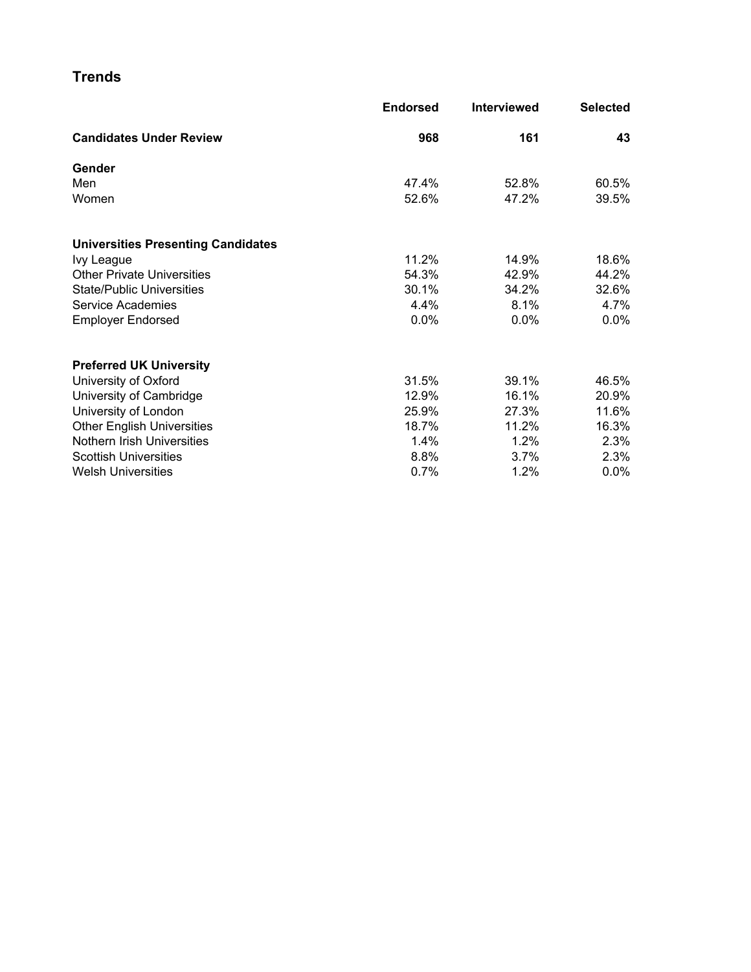#### **Trends**

|                                           | <b>Endorsed</b> | <b>Interviewed</b> | <b>Selected</b> |
|-------------------------------------------|-----------------|--------------------|-----------------|
| <b>Candidates Under Review</b>            | 968             | 161                | 43              |
| Gender                                    |                 |                    |                 |
| Men                                       | 47.4%           | 52.8%              | 60.5%           |
| Women                                     | 52.6%           | 47.2%              | 39.5%           |
| <b>Universities Presenting Candidates</b> |                 |                    |                 |
| Ivy League                                | 11.2%           | 14.9%              | 18.6%           |
| <b>Other Private Universities</b>         | 54.3%           | 42.9%              | 44.2%           |
| <b>State/Public Universities</b>          | 30.1%           | 34.2%              | 32.6%           |
| Service Academies                         | 4.4%            | 8.1%               | 4.7%            |
| <b>Employer Endorsed</b>                  | 0.0%            | 0.0%               | $0.0\%$         |
| <b>Preferred UK University</b>            |                 |                    |                 |
| University of Oxford                      | 31.5%           | 39.1%              | 46.5%           |
| University of Cambridge                   | 12.9%           | 16.1%              | 20.9%           |
| University of London                      | 25.9%           | 27.3%              | 11.6%           |
| <b>Other English Universities</b>         | 18.7%           | 11.2%              | 16.3%           |
| Nothern Irish Universities                | 1.4%            | 1.2%               | 2.3%            |
| <b>Scottish Universities</b>              | 8.8%            | 3.7%               | 2.3%            |
| <b>Welsh Universities</b>                 | 0.7%            | 1.2%               | $0.0\%$         |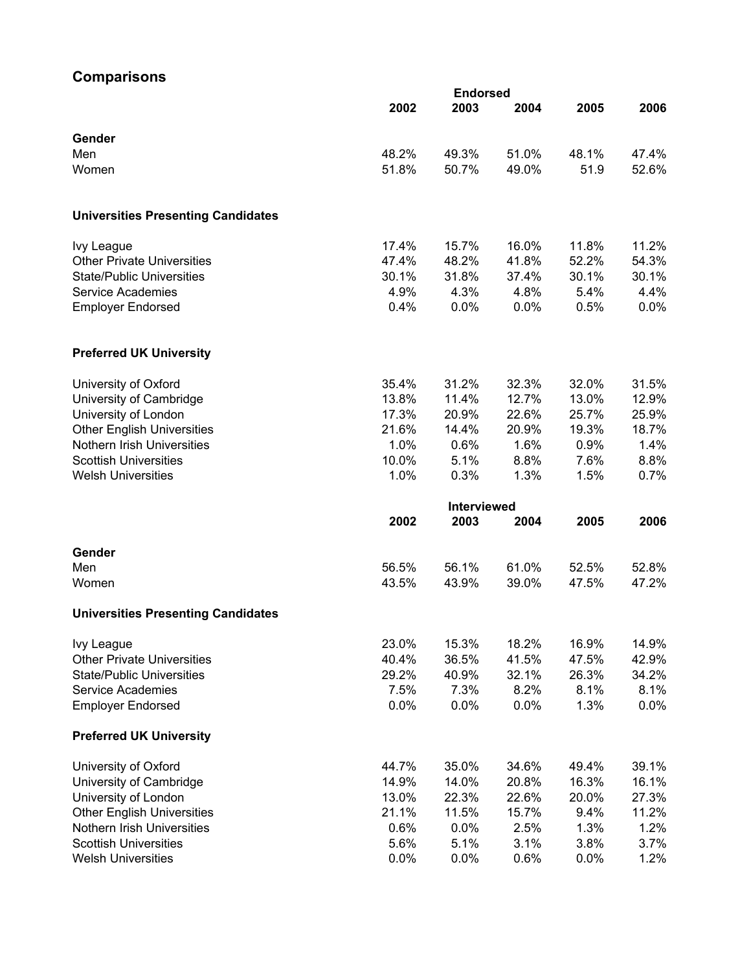### **Comparisons**

|                                           |       | <b>Endorsed</b>    |       |       |         |
|-------------------------------------------|-------|--------------------|-------|-------|---------|
|                                           | 2002  | 2003               | 2004  | 2005  | 2006    |
| Gender                                    |       |                    |       |       |         |
| Men                                       | 48.2% | 49.3%              | 51.0% | 48.1% | 47.4%   |
| Women                                     | 51.8% | 50.7%              | 49.0% | 51.9  | 52.6%   |
|                                           |       |                    |       |       |         |
| <b>Universities Presenting Candidates</b> |       |                    |       |       |         |
| Ivy League                                | 17.4% | 15.7%              | 16.0% | 11.8% | 11.2%   |
| <b>Other Private Universities</b>         | 47.4% | 48.2%              | 41.8% | 52.2% | 54.3%   |
| <b>State/Public Universities</b>          | 30.1% | 31.8%              | 37.4% | 30.1% | 30.1%   |
| <b>Service Academies</b>                  | 4.9%  | 4.3%               | 4.8%  | 5.4%  | 4.4%    |
| <b>Employer Endorsed</b>                  | 0.4%  | 0.0%               | 0.0%  | 0.5%  | 0.0%    |
| <b>Preferred UK University</b>            |       |                    |       |       |         |
| University of Oxford                      | 35.4% | 31.2%              | 32.3% | 32.0% | 31.5%   |
| University of Cambridge                   | 13.8% | 11.4%              | 12.7% | 13.0% | 12.9%   |
| University of London                      | 17.3% | 20.9%              | 22.6% | 25.7% | 25.9%   |
| <b>Other English Universities</b>         | 21.6% | 14.4%              | 20.9% | 19.3% | 18.7%   |
| Nothern Irish Universities                | 1.0%  | 0.6%               | 1.6%  | 0.9%  | 1.4%    |
| <b>Scottish Universities</b>              | 10.0% | 5.1%               | 8.8%  | 7.6%  | 8.8%    |
| <b>Welsh Universities</b>                 | 1.0%  | 0.3%               | 1.3%  | 1.5%  | 0.7%    |
|                                           |       | <b>Interviewed</b> |       |       |         |
|                                           | 2002  | 2003               | 2004  | 2005  | 2006    |
| Gender                                    |       |                    |       |       |         |
| Men                                       | 56.5% | 56.1%              | 61.0% | 52.5% | 52.8%   |
| Women                                     | 43.5% | 43.9%              | 39.0% | 47.5% | 47.2%   |
| <b>Universities Presenting Candidates</b> |       |                    |       |       |         |
| Ivy League                                | 23.0% | 15.3%              | 18.2% | 16.9% | 14.9%   |
| <b>Other Private Universities</b>         | 40.4% | 36.5%              | 41.5% | 47.5% | 42.9%   |
| <b>State/Public Universities</b>          | 29.2% | 40.9%              | 32.1% | 26.3% | 34.2%   |
| <b>Service Academies</b>                  | 7.5%  | 7.3%               | 8.2%  | 8.1%  | 8.1%    |
| <b>Employer Endorsed</b>                  | 0.0%  | 0.0%               | 0.0%  | 1.3%  | $0.0\%$ |
| <b>Preferred UK University</b>            |       |                    |       |       |         |
| University of Oxford                      | 44.7% | 35.0%              | 34.6% | 49.4% | 39.1%   |
| University of Cambridge                   | 14.9% | 14.0%              | 20.8% | 16.3% | 16.1%   |
| University of London                      | 13.0% | 22.3%              | 22.6% | 20.0% | 27.3%   |
| <b>Other English Universities</b>         | 21.1% | 11.5%              | 15.7% | 9.4%  | 11.2%   |
| Nothern Irish Universities                | 0.6%  | 0.0%               | 2.5%  | 1.3%  | 1.2%    |
| <b>Scottish Universities</b>              | 5.6%  | 5.1%               | 3.1%  | 3.8%  | 3.7%    |
| <b>Welsh Universities</b>                 | 0.0%  | 0.0%               | 0.6%  | 0.0%  | 1.2%    |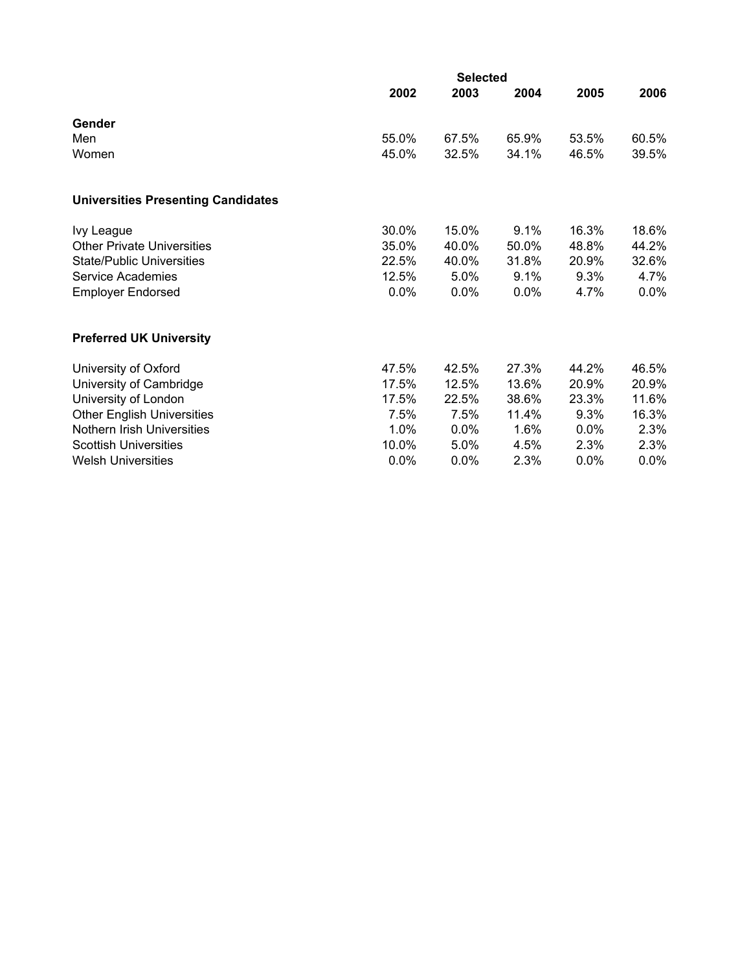|                                           | <b>Selected</b> |         |       |         |         |  |  |  |  |
|-------------------------------------------|-----------------|---------|-------|---------|---------|--|--|--|--|
|                                           | 2002            | 2003    | 2004  | 2005    | 2006    |  |  |  |  |
| Gender                                    |                 |         |       |         |         |  |  |  |  |
| Men                                       | 55.0%           | 67.5%   | 65.9% | 53.5%   | 60.5%   |  |  |  |  |
| Women                                     | 45.0%           | 32.5%   | 34.1% | 46.5%   | 39.5%   |  |  |  |  |
| <b>Universities Presenting Candidates</b> |                 |         |       |         |         |  |  |  |  |
| Ivy League                                | 30.0%           | 15.0%   | 9.1%  | 16.3%   | 18.6%   |  |  |  |  |
| <b>Other Private Universities</b>         | 35.0%           | 40.0%   | 50.0% | 48.8%   | 44.2%   |  |  |  |  |
| <b>State/Public Universities</b>          | 22.5%           | 40.0%   | 31.8% | 20.9%   | 32.6%   |  |  |  |  |
| <b>Service Academies</b>                  | 12.5%           | 5.0%    | 9.1%  | 9.3%    | 4.7%    |  |  |  |  |
| <b>Employer Endorsed</b>                  | 0.0%            | 0.0%    | 0.0%  | 4.7%    | $0.0\%$ |  |  |  |  |
| <b>Preferred UK University</b>            |                 |         |       |         |         |  |  |  |  |
| University of Oxford                      | 47.5%           | 42.5%   | 27.3% | 44.2%   | 46.5%   |  |  |  |  |
| University of Cambridge                   | 17.5%           | 12.5%   | 13.6% | 20.9%   | 20.9%   |  |  |  |  |
| University of London                      | 17.5%           | 22.5%   | 38.6% | 23.3%   | 11.6%   |  |  |  |  |
| <b>Other English Universities</b>         | 7.5%            | 7.5%    | 11.4% | 9.3%    | 16.3%   |  |  |  |  |
| Nothern Irish Universities                | 1.0%            | 0.0%    | 1.6%  | $0.0\%$ | 2.3%    |  |  |  |  |
| <b>Scottish Universities</b>              | 10.0%           | 5.0%    | 4.5%  | 2.3%    | 2.3%    |  |  |  |  |
| <b>Welsh Universities</b>                 | 0.0%            | $0.0\%$ | 2.3%  | $0.0\%$ | 0.0%    |  |  |  |  |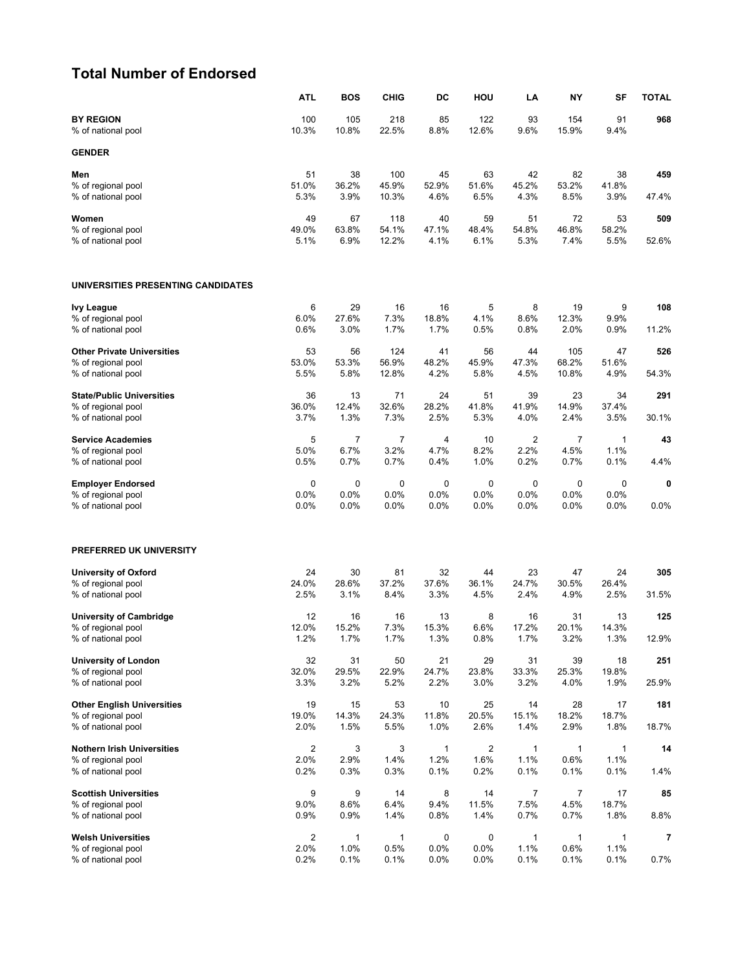### **Total Number of Endorsed**

|                                                         | ATL                     | <b>BOS</b>     | <b>CHIG</b>    | DC                   | HOU                             | LA                   | NΥ             | SF                   | <b>TOTAL</b> |
|---------------------------------------------------------|-------------------------|----------------|----------------|----------------------|---------------------------------|----------------------|----------------|----------------------|--------------|
| <b>BY REGION</b><br>% of national pool                  | 100<br>10.3%            | 105<br>10.8%   | 218<br>22.5%   | 85<br>8.8%           | 122<br>12.6%                    | 93<br>9.6%           | 154<br>15.9%   | 91<br>9.4%           | 968          |
| <b>GENDER</b>                                           |                         |                |                |                      |                                 |                      |                |                      |              |
| Men                                                     | 51                      | 38             | 100            | 45                   | 63                              | 42                   | 82             | 38                   | 459          |
| % of regional pool<br>% of national pool                | 51.0%<br>5.3%           | 36.2%<br>3.9%  | 45.9%<br>10.3% | 52.9%<br>4.6%        | 51.6%<br>6.5%                   | 45.2%<br>4.3%        | 53.2%<br>8.5%  | 41.8%<br>3.9%        | 47.4%        |
| Women                                                   | 49                      | 67             | 118            | 40                   | 59                              | 51                   | 72             | 53                   | 509          |
| % of regional pool<br>% of national pool                | 49.0%<br>5.1%           | 63.8%          | 54.1%<br>12.2% | 47.1%<br>4.1%        | 48.4%<br>6.1%                   | 54.8%<br>5.3%        | 46.8%<br>7.4%  | 58.2%                | 52.6%        |
|                                                         |                         | 6.9%           |                |                      |                                 |                      |                | 5.5%                 |              |
| UNIVERSITIES PRESENTING CANDIDATES                      |                         |                |                |                      |                                 |                      |                |                      |              |
| <b>Ivy League</b>                                       | 6                       | 29             | 16             | 16                   | 5                               | 8                    | 19             | 9                    | 108          |
| % of regional pool<br>% of national pool                | 6.0%<br>0.6%            | 27.6%<br>3.0%  | 7.3%<br>1.7%   | 18.8%<br>1.7%        | 4.1%<br>0.5%                    | 8.6%<br>0.8%         | 12.3%<br>2.0%  | 9.9%<br>0.9%         | 11.2%        |
| <b>Other Private Universities</b>                       | 53                      | 56             | 124            | 41                   | 56                              | 44                   | 105            | 47                   | 526          |
| % of regional pool                                      | 53.0%                   | 53.3%          | 56.9%          | 48.2%                | 45.9%                           | 47.3%                | 68.2%          | 51.6%                |              |
| % of national pool                                      | 5.5%                    | 5.8%           | 12.8%          | 4.2%                 | 5.8%                            | 4.5%                 | 10.8%          | 4.9%                 | 54.3%        |
| <b>State/Public Universities</b><br>% of regional pool  | 36<br>36.0%             | 13<br>12.4%    | 71<br>32.6%    | 24<br>28.2%          | 51<br>41.8%                     | 39<br>41.9%          | 23<br>14.9%    | 34<br>37.4%          | 291          |
| % of national pool                                      | 3.7%                    | 1.3%           | 7.3%           | 2.5%                 | 5.3%                            | 4.0%                 | 2.4%           | 3.5%                 | 30.1%        |
| <b>Service Academies</b>                                | 5                       | $\overline{7}$ | 7              | 4                    | 10                              | 2                    | 7              | 1                    | 43           |
| % of regional pool<br>% of national pool                | 5.0%<br>0.5%            | 6.7%<br>0.7%   | 3.2%<br>0.7%   | 4.7%<br>0.4%         | 8.2%<br>1.0%                    | 2.2%<br>0.2%         | 4.5%<br>0.7%   | 1.1%<br>0.1%         | 4.4%         |
| <b>Employer Endorsed</b>                                | 0                       | 0              | 0              | 0                    | 0                               | 0                    | 0              | 0                    | 0            |
| % of regional pool                                      | 0.0%                    | 0.0%           | 0.0%           | 0.0%                 | 0.0%                            | 0.0%                 | 0.0%           | 0.0%                 |              |
| % of national pool                                      | 0.0%                    | 0.0%           | 0.0%           | $0.0\%$              | 0.0%                            | 0.0%                 | 0.0%           | 0.0%                 | 0.0%         |
| PREFERRED UK UNIVERSITY                                 |                         |                |                |                      |                                 |                      |                |                      |              |
| <b>University of Oxford</b>                             | 24                      | 30             | 81             | 32                   | 44                              | 23                   | 47             | 24                   | 305          |
| % of regional pool<br>% of national pool                | 24.0%<br>2.5%           | 28.6%<br>3.1%  | 37.2%<br>8.4%  | 37.6%<br>3.3%        | 36.1%<br>4.5%                   | 24.7%<br>2.4%        | 30.5%<br>4.9%  | 26.4%<br>2.5%        | 31.5%        |
| <b>University of Cambridge</b>                          | 12                      | 16             | 16             | 13                   | 8                               | 16                   | 31             | 13                   | 125          |
| % of regional pool                                      | 12.0%                   | 15.2%          | 7.3%           | 15.3%                | 6.6%                            | 17.2%                | 20.1%          | 14.3%                |              |
| % of national pool                                      | 1.2%                    | 1.7%           | 1.7%           | 1.3%                 | 0.8%                            | 1.7%                 | 3.2%           | 1.3%                 | 12.9%        |
| <b>University of London</b><br>% of regional pool       | 32<br>32.0%             | 31<br>29.5%    | 50<br>22.9%    | 21<br>24.7%          | 29<br>23.8%                     | 31<br>33.3%          | 39<br>25.3%    | 18<br>19.8%          | 251          |
| % of national pool                                      | 3.3%                    | 3.2%           | 5.2%           | 2.2%                 | 3.0%                            | 3.2%                 | 4.0%           | 1.9%                 | 25.9%        |
| <b>Other English Universities</b>                       | 19                      | 15             | 53             | 10                   | 25                              | 14                   | 28             | 17                   | 181          |
| % of regional pool<br>% of national pool                | 19.0%<br>2.0%           | 14.3%<br>1.5%  | 24.3%<br>5.5%  | 11.8%<br>1.0%        | 20.5%<br>2.6%                   | 15.1%<br>1.4%        | 18.2%<br>2.9%  | 18.7%<br>1.8%        | 18.7%        |
|                                                         |                         |                |                |                      |                                 |                      |                |                      |              |
| <b>Nothern Irish Universities</b><br>% of regional pool | $\overline{2}$<br>2.0%  | 3<br>2.9%      | 3<br>1.4%      | $\mathbf{1}$<br>1.2% | $\overline{\mathbf{c}}$<br>1.6% | $\mathbf{1}$<br>1.1% | 1<br>0.6%      | $\mathbf{1}$<br>1.1% | 14           |
| % of national pool                                      | 0.2%                    | 0.3%           | 0.3%           | 0.1%                 | 0.2%                            | 0.1%                 | 0.1%           | 0.1%                 | 1.4%         |
| <b>Scottish Universities</b>                            | 9                       | 9              | 14             | 8                    | 14                              | $\overline{7}$       | $\overline{7}$ | 17                   | 85           |
| % of regional pool<br>% of national pool                | 9.0%<br>0.9%            | 8.6%<br>0.9%   | 6.4%<br>1.4%   | 9.4%<br>0.8%         | 11.5%<br>1.4%                   | 7.5%<br>0.7%         | 4.5%<br>0.7%   | 18.7%<br>1.8%        | 8.8%         |
| <b>Welsh Universities</b>                               | $\overline{\mathbf{c}}$ | $\mathbf{1}$   | 1              | 0                    | 0                               | $\mathbf{1}$         | 1              | $\mathbf{1}$         | 7            |
| % of regional pool                                      | 2.0%                    | 1.0%           | 0.5%           | 0.0%                 | 0.0%                            | 1.1%                 | 0.6%           | 1.1%                 |              |
| % of national pool                                      | 0.2%                    | 0.1%           | 0.1%           | 0.0%                 | 0.0%                            | 0.1%                 | 0.1%           | 0.1%                 | 0.7%         |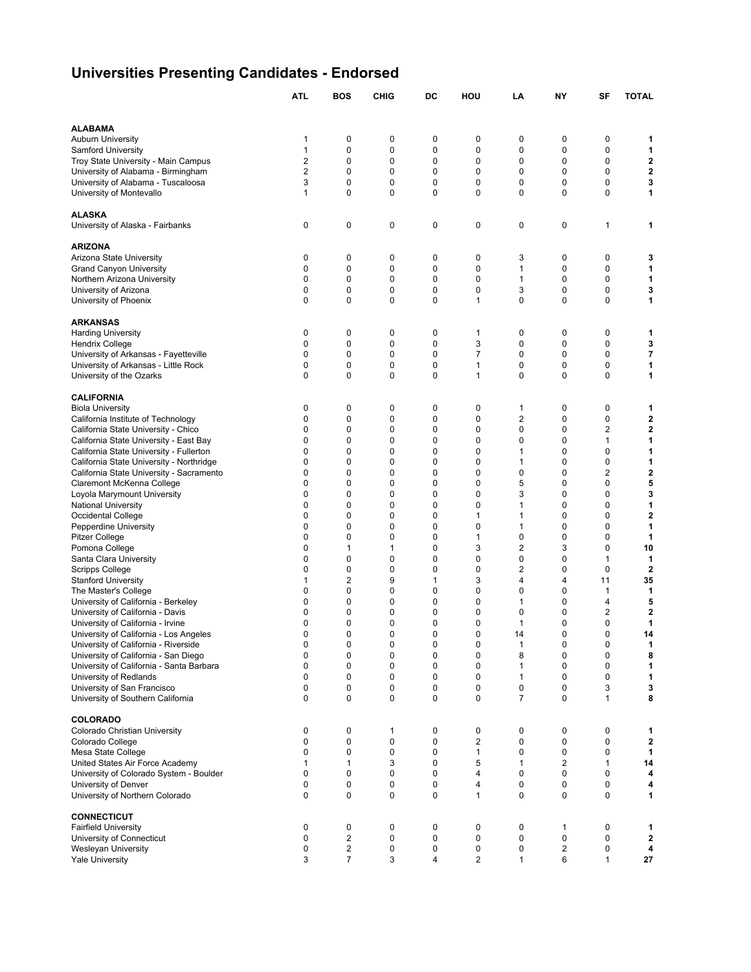# **Universities Presenting Candidates - Endorsed**

|                                                                               | <b>ATL</b>              | <b>BOS</b>              | <b>CHIG</b>      | DC                         | HOU               | LA                  | NY               | SF                         | <b>TOTAL</b>                 |
|-------------------------------------------------------------------------------|-------------------------|-------------------------|------------------|----------------------------|-------------------|---------------------|------------------|----------------------------|------------------------------|
|                                                                               |                         |                         |                  |                            |                   |                     |                  |                            |                              |
| <b>ALABAMA</b>                                                                |                         |                         |                  |                            |                   |                     |                  |                            |                              |
| <b>Auburn University</b>                                                      | 1                       | 0                       | 0                | 0                          | 0                 | 0                   | 0                | 0                          | 1                            |
| Samford University                                                            | 1                       | 0                       | 0                | 0                          | 0                 | 0                   | 0                | 0                          | 1                            |
| Troy State University - Main Campus                                           | $\overline{\mathbf{c}}$ | 0                       | 0                | 0                          | 0                 | 0                   | 0                | $\mathbf 0$                | $\mathbf 2$                  |
| University of Alabama - Birmingham                                            | $\overline{2}$<br>3     | $\mathbf 0$<br>0        | 0<br>0           | 0<br>0                     | 0<br>0            | 0<br>0              | $\mathbf 0$<br>0 | $\mathbf 0$<br>$\mathbf 0$ | $\overline{\mathbf{2}}$<br>3 |
| University of Alabama - Tuscaloosa<br>University of Montevallo                | $\mathbf{1}$            | $\mathbf 0$             | $\mathbf 0$      | 0                          | 0                 | 0                   | $\mathbf 0$      | $\mathbf 0$                | 1                            |
|                                                                               |                         |                         |                  |                            |                   |                     |                  |                            |                              |
| <b>ALASKA</b>                                                                 |                         |                         |                  |                            |                   |                     |                  |                            |                              |
| University of Alaska - Fairbanks                                              | 0                       | 0                       | 0                | 0                          | 0                 | 0                   | 0                | 1                          | 1                            |
| <b>ARIZONA</b>                                                                |                         |                         |                  |                            |                   |                     |                  |                            |                              |
| Arizona State University                                                      | 0                       | $\mathbf 0$             | 0                | 0                          | 0                 | 3                   | 0                | $\mathbf 0$                | 3                            |
| <b>Grand Canyon University</b>                                                | 0                       | 0                       | 0                | 0                          | 0                 | 1                   | 0                | $\mathbf 0$                | 1                            |
| Northern Arizona University                                                   | 0                       | 0                       | 0                | 0                          | 0                 | 1                   | 0                | 0                          | 1                            |
| University of Arizona<br>University of Phoenix                                | 0<br>0                  | 0<br>0                  | 0<br>0           | 0<br>$\mathbf 0$           | 0<br>1            | 3<br>0              | 0<br>0           | 0<br>$\mathbf 0$           | 3<br>1                       |
|                                                                               |                         |                         |                  |                            |                   |                     |                  |                            |                              |
| <b>ARKANSAS</b>                                                               |                         |                         |                  |                            |                   |                     |                  |                            |                              |
| <b>Harding University</b>                                                     | 0                       | 0                       | 0                | 0                          | 1                 | 0                   | 0                | 0                          | 1                            |
| <b>Hendrix College</b>                                                        | 0<br>0                  | 0                       | 0<br>0           | 0                          | 3<br>7            | 0                   | 0                | 0                          | 3                            |
| University of Arkansas - Fayetteville<br>University of Arkansas - Little Rock | 0                       | 0<br>0                  | 0                | 0<br>0                     | 1                 | 0<br>0              | $\mathbf 0$<br>0 | 0<br>$\mathbf 0$           | $\overline{\mathbf{7}}$<br>1 |
| University of the Ozarks                                                      | 0                       | 0                       | 0                | $\mathbf 0$                | 1                 | 0                   | 0                | $\mathbf 0$                | 1                            |
|                                                                               |                         |                         |                  |                            |                   |                     |                  |                            |                              |
| <b>CALIFORNIA</b>                                                             |                         |                         |                  |                            |                   |                     |                  |                            |                              |
| <b>Biola University</b>                                                       | 0                       | 0                       | 0                | 0                          | 0                 | 1                   | 0                | 0                          | 1                            |
| California Institute of Technology<br>California State University - Chico     | 0<br>0                  | 0<br>$\mathbf 0$        | 0<br>0           | 0<br>0                     | 0<br>0            | 2<br>0              | 0<br>$\mathbf 0$ | 0<br>$\overline{2}$        | 2<br>$\mathbf 2$             |
| California State University - East Bay                                        | 0                       | 0                       | 0                | 0                          | 0                 | 0                   | 0                | $\mathbf{1}$               | 1                            |
| California State University - Fullerton                                       | 0                       | 0                       | $\mathbf 0$      | 0                          | 0                 | 1                   | $\mathbf 0$      | $\mathbf 0$                | 1                            |
| California State University - Northridge                                      | 0                       | 0                       | 0                | $\mathbf 0$                | 0                 | 1                   | 0                | $\mathbf 0$                | 1                            |
| California State University - Sacramento                                      | 0                       | 0                       | 0                | 0                          | 0                 | 0                   | $\mathbf 0$      | $\overline{2}$             | $\mathbf 2$                  |
| Claremont McKenna College                                                     | 0                       | 0                       | 0                | 0                          | 0                 | 5                   | 0                | 0                          | 5                            |
| Loyola Marymount University                                                   | 0                       | 0                       | 0                | 0                          | 0                 | 3                   | 0                | 0                          | 3                            |
| <b>National University</b><br>Occidental College                              | 0<br>0                  | 0<br>0                  | 0<br>0           | $\mathbf 0$<br>$\mathbf 0$ | 0<br>1            | 1<br>1              | 0<br>0           | $\mathbf 0$<br>$\mathbf 0$ | 1<br>2                       |
| Pepperdine University                                                         | 0                       | 0                       | 0                | $\mathbf 0$                | 0                 | 1                   | 0                | $\mathbf 0$                | 1                            |
| <b>Pitzer College</b>                                                         | 0                       | 0                       | 0                | 0                          | 1                 | 0                   | 0                | 0                          | 1                            |
| Pomona College                                                                | 0                       | 1                       | 1                | 0                          | 3                 | 2                   | 3                | 0                          | 10                           |
| Santa Clara University                                                        | 0                       | 0                       | 0                | 0                          | 0                 | 0                   | 0                | 1                          | 1                            |
| Scripps College                                                               | 0                       | 0                       | 0                | 0                          | 0                 | 2                   | 0                | $\mathbf 0$                | $\mathbf{2}$                 |
| <b>Stanford University</b>                                                    | 1                       | $\overline{2}$          | 9                | 1                          | 3                 | 4                   | 4                | 11                         | 35                           |
| The Master's College                                                          | 0<br>0                  | 0<br>0                  | $\mathbf 0$<br>0 | $\mathbf 0$<br>0           | 0<br>0            | 0<br>1              | 0<br>0           | $\mathbf{1}$<br>4          | 1<br>5                       |
| University of California - Berkeley<br>University of California - Davis       | 0                       | 0                       | 0                | 0                          | 0                 | 0                   | 0                | $\overline{2}$             | $\mathbf 2$                  |
| University of California - Irvine                                             | 0                       | 0                       | 0                | 0                          | 0                 | 1                   | 0                | 0                          | 1                            |
| University of California - Los Angeles                                        | 0                       | $\Omega$                | $\Omega$         | $\mathbf 0$                | 0                 | 14                  | $\Omega$         | $\mathbf 0$                | 14                           |
| University of California - Riverside                                          | 0                       | 0                       | 0                | $\pmb{0}$                  | 0                 | 1                   | $\pmb{0}$        | 0                          | 1                            |
| University of California - San Diego                                          | 0                       | 0                       | 0                | 0                          | 0                 | 8                   | 0                | 0                          | 8                            |
| University of California - Santa Barbara                                      | 0                       | 0                       | 0                | 0                          | 0                 | 1                   | 0                | 0                          | 1                            |
| University of Redlands                                                        | 0                       | 0                       | 0                | 0                          | 0                 | 1                   | 0                | 0                          | 1                            |
| University of San Francisco<br>University of Southern California              | 0<br>0                  | 0<br>$\mathbf 0$        | 0<br>0           | 0<br>$\pmb{0}$             | 0<br>0            | 0<br>$\overline{7}$ | 0<br>$\mathbf 0$ | 3<br>$\mathbf{1}$          | 3<br>8                       |
|                                                                               |                         |                         |                  |                            |                   |                     |                  |                            |                              |
| <b>COLORADO</b>                                                               |                         |                         |                  |                            |                   |                     |                  |                            |                              |
| Colorado Christian University                                                 | 0                       | $\mathbf 0$             | 1                | 0                          | 0                 | 0                   | 0                | $\mathbf 0$                | 1                            |
| Colorado College                                                              | 0<br>0                  | 0<br>0                  | 0<br>0           | 0<br>0                     | 2<br>$\mathbf{1}$ | 0<br>0              | 0<br>0           | 0<br>0                     | $\mathbf 2$<br>1             |
| Mesa State College<br>United States Air Force Academy                         | 1                       | 1                       | 3                | 0                          | 5                 | 1                   | 2                | 1                          | 14                           |
| University of Colorado System - Boulder                                       | 0                       | $\mathbf 0$             | 0                | 0                          | 4                 | 0                   | $\pmb{0}$        | $\mathbf 0$                | 4                            |
| University of Denver                                                          | 0                       | 0                       | 0                | 0                          | 4                 | 0                   | $\mathbf 0$      | $\mathbf 0$                | 4                            |
| University of Northern Colorado                                               | 0                       | $\mathbf 0$             | 0                | $\mathbf 0$                | $\mathbf{1}$      | 0                   | $\mathbf 0$      | 0                          | 1                            |
| <b>CONNECTICUT</b>                                                            |                         |                         |                  |                            |                   |                     |                  |                            |                              |
| <b>Fairfield University</b>                                                   | 0                       | $\mathbf 0$             | 0                | 0                          | 0                 | 0                   | 1                | $\mathbf 0$                | 1                            |
| University of Connecticut                                                     | 0                       | $\overline{\mathbf{c}}$ | 0                | 0                          | 0                 | 0                   | 0                | 0                          | $\mathbf 2$                  |
| <b>Wesleyan University</b>                                                    | 0                       | $\overline{c}$          | 0                | 0                          | 0                 | 0                   | $\overline{2}$   | 0                          | 4                            |
| <b>Yale University</b>                                                        | 3                       | $\overline{7}$          | 3                | 4                          | 2                 | $\mathbf{1}$        | 6                | $\mathbf{1}$               | 27                           |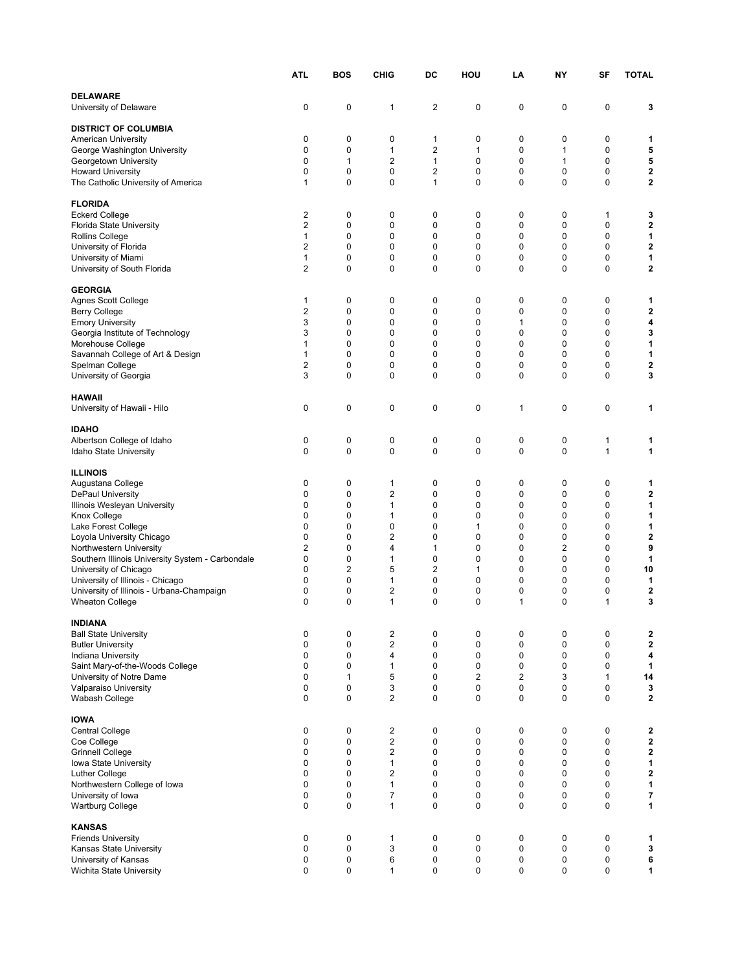|                                                       | <b>ATL</b>          | <b>BOS</b>              | <b>CHIG</b>             | DC          | HOU                        | LA                         | NΥ     | SF           | <b>TOTAL</b> |
|-------------------------------------------------------|---------------------|-------------------------|-------------------------|-------------|----------------------------|----------------------------|--------|--------------|--------------|
| <b>DELAWARE</b><br>University of Delaware             | 0                   | 0                       | 1                       | 2           | 0                          | 0                          | 0      | 0            | 3            |
| <b>DISTRICT OF COLUMBIA</b>                           |                     |                         |                         |             |                            |                            |        |              |              |
| American University                                   | 0                   | 0                       | 0                       | 1           | 0                          | 0                          | 0      | 0            | 1            |
| George Washington University                          | 0                   | 0                       | 1                       | 2           | 1                          | 0                          | 1      | 0            | 5            |
| Georgetown University                                 | 0                   | 1                       | 2                       | 1           | 0                          | 0                          | 1      | 0            | 5            |
| <b>Howard University</b>                              | 0<br>1              | 0<br>0                  | 0<br>0                  | 2<br>1      | 0<br>0                     | 0<br>$\mathbf 0$           | 0<br>0 | 0<br>0       | 2<br>2       |
| The Catholic University of America                    |                     |                         |                         |             |                            |                            |        |              |              |
| <b>FLORIDA</b>                                        |                     |                         |                         |             |                            |                            |        |              |              |
| <b>Eckerd College</b>                                 | 2                   | 0                       | 0                       | 0           | 0                          | 0                          | 0      | 1            | 3            |
| Florida State University                              | 2                   | 0                       | 0                       | 0           | 0                          | 0                          | 0      | 0            | 2            |
| Rollins College<br>University of Florida              | 1<br>$\overline{2}$ | 0<br>0                  | 0<br>0                  | 0<br>0      | 0<br>$\mathbf 0$           | 0<br>$\mathbf 0$           | 0<br>0 | 0<br>0       | 1<br>2       |
| University of Miami                                   | 1                   | 0                       | 0                       | 0           | 0                          | $\mathbf 0$                | 0      | 0            | 1            |
| University of South Florida                           | 2                   | 0                       | 0                       | 0           | 0                          | $\mathbf 0$                | 0      | 0            | 2            |
|                                                       |                     |                         |                         |             |                            |                            |        |              |              |
| <b>GEORGIA</b><br><b>Agnes Scott College</b>          | 1                   | 0                       | 0                       | 0           | 0                          | 0                          | 0      | 0            | 1            |
| <b>Berry College</b>                                  | 2                   | 0                       | 0                       | 0           | 0                          | 0                          | 0      | 0            | 2            |
| <b>Emory University</b>                               | 3                   | 0                       | 0                       | 0           | $\mathbf 0$                | $\mathbf{1}$               | 0      | 0            | 4            |
| Georgia Institute of Technology                       | 3                   | 0                       | 0                       | $\mathbf 0$ | 0                          | $\mathbf 0$                | 0      | 0            | 3            |
| Morehouse College                                     | $\mathbf{1}$        | 0                       | 0                       | 0           | 0                          | $\mathbf 0$                | 0      | 0            | 1            |
| Savannah College of Art & Design                      | 1<br>2              | 0<br>0                  | 0<br>0                  | 0<br>0      | 0<br>0                     | $\mathbf 0$<br>0           | 0<br>0 | 0<br>0       | 1<br>2       |
| Spelman College<br>University of Georgia              | 3                   | 0                       | 0                       | 0           | 0                          | $\mathbf 0$                | 0      | 0            | 3            |
|                                                       |                     |                         |                         |             |                            |                            |        |              |              |
| <b>HAWAII</b><br>University of Hawaii - Hilo          | 0                   | 0                       | 0                       | 0           | 0                          | 1                          | 0      | 0            | 1            |
| <b>IDAHO</b>                                          |                     |                         |                         |             |                            |                            |        |              |              |
| Albertson College of Idaho                            | 0                   | 0                       | 0                       | 0           | 0                          | 0                          | 0      | 1            | 1            |
| Idaho State University                                | 0                   | 0                       | 0                       | 0           | $\mathbf 0$                | 0                          | 0      | 1            | 1            |
| <b>ILLINOIS</b>                                       |                     |                         |                         |             |                            |                            |        |              |              |
| Augustana College                                     | 0                   | 0                       | 1                       | 0           | 0                          | 0                          | 0      | 0            | 1            |
| DePaul University                                     | 0                   | 0                       | 2                       | 0           | 0                          | 0                          | 0      | 0            | 2            |
| Illinois Wesleyan University                          | 0                   | 0                       | 1                       | 0           | 0                          | 0                          | 0      | 0            | 1            |
| Knox College                                          | $\mathbf 0$         | 0                       | 1                       | 0           | 0                          | $\mathbf 0$                | 0      | 0            | 1            |
| Lake Forest College                                   | 0<br>$\mathbf 0$    | 0<br>0                  | 0<br>2                  | 0<br>0      | 1<br>0                     | $\mathbf 0$<br>$\mathbf 0$ | 0<br>0 | 0<br>0       | 1<br>2       |
| Loyola University Chicago<br>Northwestern University  | 2                   | 0                       | 4                       | 1           | 0                          | 0                          | 2      | 0            | 9            |
| Southern Illinois University System - Carbondale      | 0                   | 0                       | 1                       | 0           | 0                          | $\mathbf 0$                | 0      | 0            | 1            |
| University of Chicago                                 | 0                   | $\overline{\mathbf{c}}$ | 5                       | 2           | 1                          | 0                          | 0      | 0            | 10           |
| University of Illinois - Chicago                      | 0                   | 0                       | 1                       | 0           | 0                          | 0                          | 0      | 0            | 1            |
| University of Illinois - Urbana-Champaign             | 0                   | 0                       | 2                       | 0           | 0                          | 0                          | 0      | 0            | $\mathbf 2$  |
| <b>Wheaton College</b>                                | $\mathbf 0$         | 0                       | $\mathbf{1}$            | 0           | $\mathbf 0$                | $\mathbf{1}$               | 0      | $\mathbf{1}$ | 3            |
| INDIANA                                               |                     |                         |                         |             |                            |                            |        |              |              |
| <b>Ball State University</b>                          | 0                   | 0                       | 2                       | 0           | 0                          | 0                          | 0      | 0            | 2            |
| <b>Butler University</b>                              | 0                   | 0                       | $\overline{\mathbf{c}}$ | 0           | 0                          | 0                          | 0      | 0            | 2            |
| Indiana University<br>Saint Mary-of-the-Woods College | $\mathbf 0$<br>0    | 0<br>0                  | 4<br>1                  | 0<br>0      | $\mathbf 0$<br>$\mathbf 0$ | $\mathbf 0$<br>0           | 0<br>0 | 0<br>0       | 4<br>1       |
| University of Notre Dame                              | 0                   | $\mathbf{1}$            | 5                       | 0           | 2                          | $\overline{2}$             | 3      | $\mathbf{1}$ | 14           |
| Valparaiso University                                 | 0                   | 0                       | 3                       | 0           | 0                          | 0                          | 0      | 0            | 3            |
| Wabash College                                        | 0                   | 0                       | 2                       | 0           | 0                          | $\mathbf 0$                | 0      | 0            | $\mathbf{2}$ |
| <b>IOWA</b>                                           |                     |                         |                         |             |                            |                            |        |              |              |
| <b>Central College</b>                                | 0                   | 0                       | 2                       | $\pmb{0}$   | 0                          | 0                          | 0      | 0            | 2            |
| Coe College                                           | 0                   | 0                       | $\overline{\mathbf{c}}$ | 0           | 0                          | 0                          | 0      | $\pmb{0}$    | $\mathbf 2$  |
| <b>Grinnell College</b>                               | 0                   | 0                       | 2                       | 0           | 0                          | 0                          | 0      | 0            | 2            |
| Iowa State University                                 | 0                   | 0                       | $\mathbf{1}$            | 0           | 0                          | 0                          | 0      | 0            | 1            |
| Luther College                                        | 0<br>0              | 0<br>0                  | 2<br>$\mathbf{1}$       | 0           | 0<br>$\mathbf 0$           | 0<br>$\mathbf 0$           | 0      | 0            | 2            |
| Northwestern College of Iowa<br>University of Iowa    | 0                   | 0                       | 7                       | 0<br>0      | $\mathbf 0$                | 0                          | 0<br>0 | 0<br>0       | 1<br>7       |
| <b>Wartburg College</b>                               | 0                   | 0                       | $\mathbf{1}$            | 0           | 0                          | 0                          | 0      | 0            | 1            |
|                                                       |                     |                         |                         |             |                            |                            |        |              |              |
| <b>KANSAS</b><br><b>Friends University</b>            | 0                   | 0                       | 1                       | 0           | 0                          | 0                          | 0      | 0            | 1            |
| Kansas State University                               | 0                   | 0                       | 3                       | 0           | 0                          | 0                          | 0      | $\pmb{0}$    | 3            |
| University of Kansas                                  | 0                   | 0                       | 6                       | 0           | $\pmb{0}$                  | 0                          | 0      | 0            | 6            |
| Wichita State University                              | 0                   | 0                       | 1                       | 0           | 0                          | 0                          | 0      | 0            | 1            |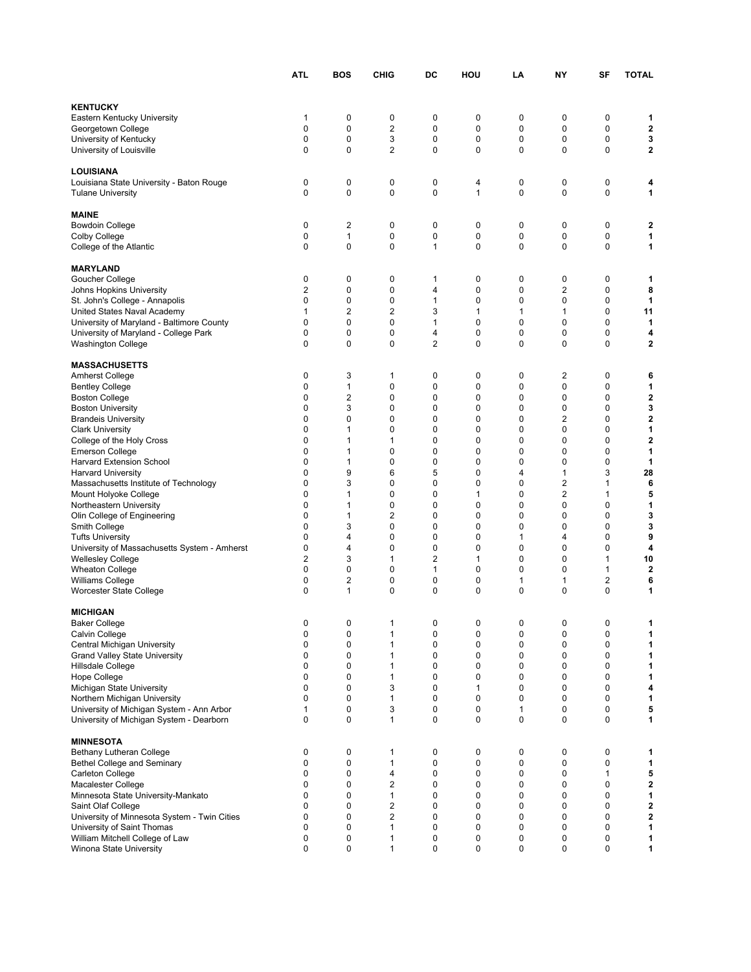|                                                                                    | ATL    | BOS            | <b>CHIG</b>                      | DC               | HOU          | LA       | NY               | SF                         | <b>TOTAL</b>            |
|------------------------------------------------------------------------------------|--------|----------------|----------------------------------|------------------|--------------|----------|------------------|----------------------------|-------------------------|
|                                                                                    |        |                |                                  |                  |              |          |                  |                            |                         |
| <b>KENTUCKY</b>                                                                    |        |                |                                  |                  |              |          |                  |                            |                         |
| Eastern Kentucky University                                                        | 1      | 0              | 0                                | 0                | 0            | 0        | 0                | 0                          | 1                       |
| Georgetown College                                                                 | 0<br>0 | 0<br>0         | $\boldsymbol{2}$<br>3            | 0<br>0           | 0<br>0       | 0<br>0   | 0<br>0           | $\mathbf 0$<br>$\mathbf 0$ | 2<br>3                  |
| University of Kentucky<br>University of Louisville                                 | 0      | 0              | 2                                | 0                | 0            | 0        | 0                | 0                          | $\mathbf 2$             |
|                                                                                    |        |                |                                  |                  |              |          |                  |                            |                         |
| <b>LOUISIANA</b>                                                                   |        |                |                                  |                  |              |          |                  |                            |                         |
| Louisiana State University - Baton Rouge                                           | 0      | 0              | 0                                | 0                | 4            | 0        | 0                | 0                          | 4                       |
| <b>Tulane University</b>                                                           | 0      | $\mathbf 0$    | 0                                | 0                | $\mathbf{1}$ | 0        | 0                | 0                          | 1                       |
| <b>MAINE</b>                                                                       |        |                |                                  |                  |              |          |                  |                            |                         |
| <b>Bowdoin College</b>                                                             | 0      | $\overline{2}$ | 0                                | 0                | 0            | 0        | 0                | 0                          | 2                       |
| <b>Colby College</b>                                                               | 0      | 1              | 0                                | 0                | 0            | 0        | 0                | 0                          | 1                       |
| College of the Atlantic                                                            | 0      | 0              | 0                                | 1                | 0            | 0        | 0                | $\mathbf 0$                | 1                       |
| <b>MARYLAND</b>                                                                    |        |                |                                  |                  |              |          |                  |                            |                         |
| Goucher College                                                                    | 0      | 0              | 0                                | 1                | 0            | 0        | 0                | 0                          | 1                       |
| Johns Hopkins University                                                           | 2      | 0              | 0                                | 4                | 0            | 0        | 2                | 0                          | 8                       |
| St. John's College - Annapolis                                                     | 0      | 0              | 0                                | 1                | 0            | 0        | 0                | 0                          | 1                       |
| United States Naval Academy                                                        | 1      | 2              | 2                                | 3                | 1            | 1        | 1                | 0                          | 11                      |
| University of Maryland - Baltimore County<br>University of Maryland - College Park | 0<br>0 | 0<br>0         | 0<br>0                           | 1<br>4           | 0<br>0       | 0<br>0   | $\mathbf 0$<br>0 | 0<br>$\mathbf 0$           | 1<br>4                  |
| <b>Washington College</b>                                                          | 0      | $\mathbf 0$    | $\mathbf 0$                      | $\overline{2}$   | 0            | 0        | $\mathbf 0$      | $\mathbf 0$                | $\mathbf 2$             |
|                                                                                    |        |                |                                  |                  |              |          |                  |                            |                         |
| <b>MASSACHUSETTS</b>                                                               |        |                |                                  |                  |              |          |                  |                            |                         |
| <b>Amherst College</b>                                                             | 0      | 3              | 1                                | 0                | 0            | 0        | 2                | 0                          | 6                       |
| <b>Bentley College</b>                                                             | 0<br>0 | 1<br>2         | 0<br>0                           | 0<br>$\mathbf 0$ | 0<br>0       | 0<br>0   | 0<br>0           | $\mathbf 0$<br>$\mathbf 0$ | 1<br>2                  |
| <b>Boston College</b><br><b>Boston University</b>                                  | 0      | 3              | 0                                | $\mathbf 0$      | 0            | 0        | 0                | $\mathbf 0$                | 3                       |
| <b>Brandeis University</b>                                                         | 0      | 0              | 0                                | 0                | 0            | 0        | 2                | 0                          | $\mathbf 2$             |
| <b>Clark University</b>                                                            | 0      | 1              | 0                                | 0                | 0            | 0        | 0                | 0                          | 1                       |
| College of the Holy Cross                                                          | 0      | 1              | 1                                | 0                | 0            | 0        | $\mathbf 0$      | 0                          | $\overline{\mathbf{2}}$ |
| <b>Emerson College</b>                                                             | 0      | 1              | 0                                | 0                | 0            | 0        | 0                | 0                          | 1                       |
| Harvard Extension School<br><b>Harvard University</b>                              | 0<br>0 | 1<br>9         | 0<br>6                           | 0<br>5           | 0<br>0       | 0<br>4   | $\mathbf 0$<br>1 | $\mathbf 0$<br>3           | 1<br>28                 |
| Massachusetts Institute of Technology                                              | 0      | 3              | 0                                | 0                | 0            | 0        | 2                | 1                          | 6                       |
| Mount Holyoke College                                                              | 0      | 1              | 0                                | 0                | 1            | 0        | 2                | 1                          | 5                       |
| Northeastern University                                                            | 0      | 1              | 0                                | 0                | 0            | 0        | 0                | 0                          | 1                       |
| Olin College of Engineering                                                        | 0      | 1              | 2                                | $\mathbf 0$      | 0            | $\Omega$ | 0                | 0                          | 3                       |
| Smith College                                                                      | 0<br>0 | 3              | 0<br>0                           | 0<br>$\mathbf 0$ | 0            | $\Omega$ | 0                | 0                          | 3                       |
| <b>Tufts University</b><br>University of Massachusetts System - Amherst            | 0      | 4<br>4         | 0                                | 0                | 0<br>0       | 1<br>0   | 4<br>0           | 0<br>0                     | 9<br>4                  |
| <b>Wellesley College</b>                                                           | 2      | 3              | 1                                | $\overline{2}$   | 1            | 0        | 0                | 1                          | 10                      |
| <b>Wheaton College</b>                                                             | 0      | 0              | 0                                | 1                | 0            | 0        | 0                | 1                          | 2                       |
| <b>Williams College</b>                                                            | 0      | 2              | 0                                | 0                | 0            | 1        | 1                | $\overline{2}$             | 6                       |
| Worcester State College                                                            | 0      | $\mathbf{1}$   | 0                                | $\mathbf 0$      | 0            | 0        | 0                | $\mathbf 0$                | 1                       |
| <b>MICHIGAN</b>                                                                    |        |                |                                  |                  |              |          |                  |                            |                         |
| Baker College                                                                      | 0      | 0              |                                  | 0                | U            | 0        | 0                | 0                          | 1.                      |
| Calvin College                                                                     | 0      | 0              | 1                                | 0                | 0            | 0        | 0                | 0                          | 1                       |
| Central Michigan University                                                        | 0      | 0              | 1                                | 0                | 0            | 0        | 0                | 0                          | 1                       |
| <b>Grand Valley State University</b>                                               | 0<br>0 | 0<br>0         | 1<br>$\mathbf{1}$                | $\mathbf 0$<br>0 | 0<br>0       | 0<br>0   | $\mathbf 0$<br>0 | $\mathbf 0$<br>$\mathbf 0$ | 1<br>1                  |
| Hillsdale College<br>Hope College                                                  | 0      | 0              | 1                                | 0                | 0            | 0        | $\mathbf 0$      | $\mathbf 0$                | 1                       |
| Michigan State University                                                          | 0      | 0              | 3                                | 0                | 1            | 0        | 0                | 0                          | 4                       |
| Northern Michigan University                                                       | 0      | 0              | 1                                | 0                | 0            | 0        | 0                | 0                          | 1                       |
| University of Michigan System - Ann Arbor                                          | 1      | 0              | 3                                | 0                | 0            | 1        | 0                | 0                          | 5                       |
| University of Michigan System - Dearborn                                           | 0      | $\mathbf 0$    | $\mathbf{1}$                     | $\mathbf 0$      | 0            | 0        | $\mathbf 0$      | 0                          | 1                       |
| <b>MINNESOTA</b>                                                                   |        |                |                                  |                  |              |          |                  |                            |                         |
| Bethany Lutheran College                                                           | 0      | 0              | 1                                | 0                | 0            | 0        | 0                | 0                          | 1                       |
| Bethel College and Seminary                                                        | 0      | 0              | 1                                | 0                | 0            | 0        | 0                | $\mathbf 0$                | 1                       |
| Carleton College                                                                   | 0      | 0              | 4                                | 0                | 0            | 0        | 0                | 1                          | 5                       |
| Macalester College                                                                 | 0      | 0              | $\overline{2}$                   | 0                | 0            | 0        | 0                | 0                          | 2                       |
| Minnesota State University-Mankato<br>Saint Olaf College                           | 0<br>0 | 0<br>0         | $\mathbf{1}$<br>$\boldsymbol{2}$ | 0<br>0           | 0<br>0       | 0<br>0   | $\mathbf 0$<br>0 | 0<br>$\mathbf 0$           | 1<br>2                  |
| University of Minnesota System - Twin Cities                                       | 0      | 0              | $\overline{2}$                   | 0                | 0            | 0        | 0                | 0                          | 2                       |
| University of Saint Thomas                                                         | 0      | 0              | 1                                | 0                | 0            | 0        | 0                | 0                          | 1                       |
| William Mitchell College of Law                                                    | 0      | 0              | 1                                | 0                | 0            | 0        | 0                | 0                          | 1                       |
| Winona State University                                                            | 0      | $\mathbf 0$    | 1                                | $\pmb{0}$        | 0            | 0        | 0                | 0                          | 1                       |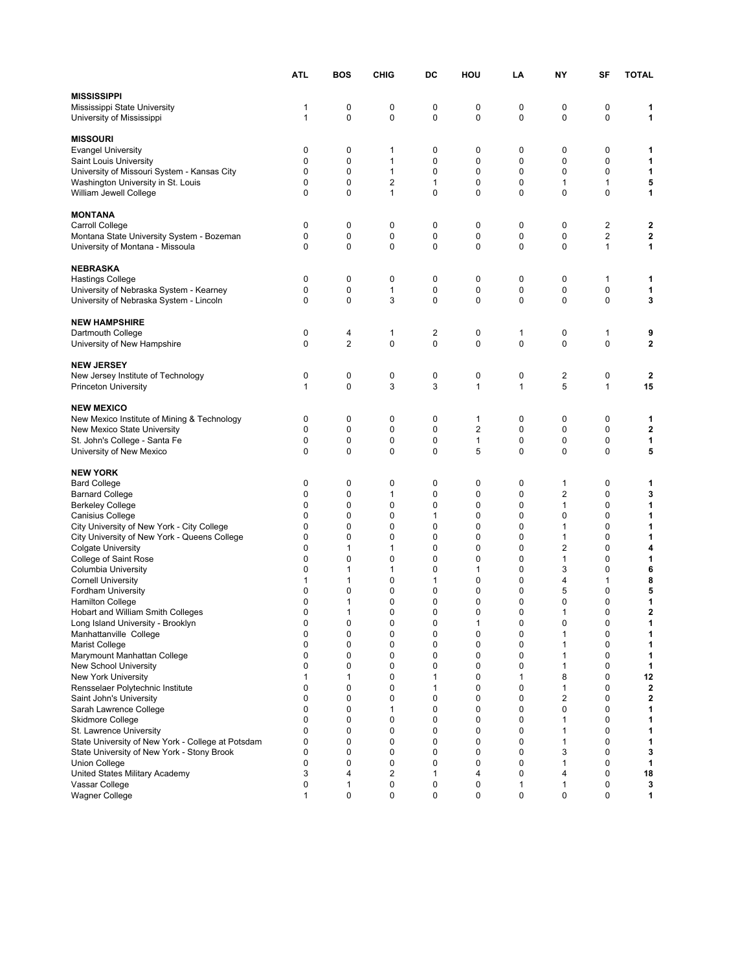|                                                                              | <b>ATL</b>  | <b>BOS</b>                 | <b>CHIG</b>  | DC             | HOU            | LA     | NY                | SF               | <b>TOTAL</b> |
|------------------------------------------------------------------------------|-------------|----------------------------|--------------|----------------|----------------|--------|-------------------|------------------|--------------|
|                                                                              |             |                            |              |                |                |        |                   |                  |              |
| <b>MISSISSIPPI</b>                                                           | 1           | 0                          |              | 0              | 0              | 0      | 0                 | 0                |              |
| Mississippi State University<br>University of Mississippi                    | 1           | $\mathbf 0$                | 0<br>0       | $\pmb{0}$      | $\mathbf 0$    | 0      | $\mathbf 0$       | $\mathbf 0$      | 1<br>1       |
|                                                                              |             |                            |              |                |                |        |                   |                  |              |
| <b>MISSOURI</b>                                                              |             |                            |              |                |                |        |                   |                  |              |
| <b>Evangel University</b>                                                    | 0           | 0                          | 1            | 0              | 0              | 0      | 0                 | 0                | 1            |
| Saint Louis University                                                       | 0           | 0                          | 1            | 0              | 0              | 0      | 0                 | 0                | 1            |
| University of Missouri System - Kansas City                                  | 0           | 0                          | $\mathbf{1}$ | 0              | 0              | 0      | 0                 | 0                | 1            |
| Washington University in St. Louis                                           | 0           | 0                          | 2            | 1              | 0              | 0      | 1                 | 1                | 5            |
| William Jewell College                                                       | 0           | $\mathbf 0$                | 1            | 0              | $\mathbf 0$    | 0      | $\mathbf 0$       | $\mathbf 0$      | 1            |
|                                                                              |             |                            |              |                |                |        |                   |                  |              |
| <b>MONTANA</b>                                                               |             |                            |              |                |                |        |                   | $\overline{2}$   |              |
| Carroll College<br>Montana State University System - Bozeman                 | 0<br>0      | 0<br>0                     | 0<br>0       | 0<br>0         | 0<br>0         | 0<br>0 | 0<br>0            | $\overline{2}$   | 2<br>2       |
| University of Montana - Missoula                                             | $\mathbf 0$ | $\mathbf 0$                | 0            | 0              | $\mathbf 0$    | 0      | $\mathbf 0$       | $\mathbf{1}$     | 1            |
|                                                                              |             |                            |              |                |                |        |                   |                  |              |
| <b>NEBRASKA</b>                                                              |             |                            |              |                |                |        |                   |                  |              |
| <b>Hastings College</b>                                                      | 0           | 0                          | 0            | 0              | 0              | 0      | 0                 | 1                | 1            |
| University of Nebraska System - Kearney                                      | 0           | 0                          | 1            | 0              | 0              | 0      | 0                 | 0                | 1            |
| University of Nebraska System - Lincoln                                      | 0           | $\mathbf 0$                | 3            | 0              | 0              | 0      | $\mathbf 0$       | 0                | 3            |
|                                                                              |             |                            |              |                |                |        |                   |                  |              |
| <b>NEW HAMPSHIRE</b>                                                         |             |                            |              |                |                |        |                   |                  |              |
| Dartmouth College                                                            | 0           | 4                          | 1            | $\overline{2}$ | 0              | 1      | 0                 | 1                | 9            |
| University of New Hampshire                                                  | $\mathbf 0$ | $\overline{2}$             | 0            | 0              | 0              | 0      | $\mathbf 0$       | 0                | $\mathbf 2$  |
| <b>NEW JERSEY</b>                                                            |             |                            |              |                |                |        |                   |                  |              |
| New Jersey Institute of Technology                                           | 0           | 0                          | 0            | 0              | 0              | 0      | 2                 | 0                | 2            |
| <b>Princeton University</b>                                                  | 1           | $\mathbf 0$                | 3            | 3              | 1              | 1      | 5                 | $\mathbf{1}$     | 15           |
|                                                                              |             |                            |              |                |                |        |                   |                  |              |
| <b>NEW MEXICO</b>                                                            |             |                            |              |                |                |        |                   |                  |              |
| New Mexico Institute of Mining & Technology                                  | 0           | 0                          | 0            | 0              | 1              | 0      | 0                 | 0                | 1            |
| New Mexico State University                                                  | 0           | 0                          | 0            | 0              | $\overline{2}$ | 0      | 0                 | 0                | 2            |
| St. John's College - Santa Fe                                                | 0           | 0                          | 0            | 0              | 1              | 0      | 0                 | 0                | 1            |
| University of New Mexico                                                     | 0           | $\mathbf 0$                | 0            | 0              | 5              | 0      | $\mathbf 0$       | $\mathbf 0$      | 5            |
| <b>NEW YORK</b>                                                              |             |                            |              |                |                |        |                   |                  |              |
| <b>Bard College</b>                                                          | 0           | 0                          | 0            | 0              | 0              | 0      | 1                 | 0                | 1            |
| <b>Barnard College</b>                                                       | 0           | 0                          | 1            | 0              | 0              | 0      | $\overline{2}$    | 0                | 3            |
| <b>Berkeley College</b>                                                      | 0           | 0                          | 0            | 0              | 0              | 0      | 1                 | 0                | 1            |
| Canisius College                                                             | 0           | 0                          | 0            | 1              | 0              | 0      | $\mathbf 0$       | 0                | 1            |
| City University of New York - City College                                   | 0           | 0                          | 0            | 0              | 0              | 0      | 1                 | 0                | 1            |
| City University of New York - Queens College                                 | 0           | $\mathbf 0$                | 0            | 0              | 0              | 0      | 1                 | 0                | 1            |
| <b>Colgate University</b>                                                    | 0           | 1                          | 1            | 0              | 0              | 0      | 2                 | 0                | 4            |
| College of Saint Rose                                                        | 0           | $\mathbf 0$                | 0            | 0              | 0              | 0      | 1                 | 0                | 1            |
| Columbia University                                                          | 0           | 1                          | 1            | 0              | 1              | 0      | 3                 | 0                | 6            |
| <b>Cornell University</b>                                                    | 1           | 1                          | 0            | 1              | 0              | 0      | 4                 | 1                | 8            |
| <b>Fordham University</b>                                                    | 0<br>0      | 0<br>$\mathbf{1}$          | 0<br>0       | 0<br>0         | 0<br>0         | 0<br>0 | 5<br>$\mathbf 0$  | 0<br>0           | 5<br>1       |
| <b>Hamilton College</b><br>Hobart and William Smith Colleges                 | $\mathbf 0$ | $\mathbf{1}$               | 0            | 0              | 0              | 0      | 1                 | 0                | $\mathbf 2$  |
| Long Island University - Brooklyn                                            | 0           | U                          | 0            | U              |                | U      | 0                 |                  |              |
| Manhattanville College                                                       | 0           | 0                          | 0            | 0              | 0              | 0      | 1                 | 0                | 1            |
| Marist College                                                               | $\mathbf 0$ | 0                          | 0            | 0              | 0              | 0      | 1                 | 0                | 1            |
| Marymount Manhattan College                                                  | 0           | 0                          | 0            | 0              | $\mathbf 0$    | 0      | 1                 | $\mathbf 0$      | 1            |
| New School University                                                        | 0           | 0                          | 0            | 0              | 0              | 0      | 1                 | $\mathbf 0$      | 1            |
| New York University                                                          | 1           | 1                          | 0            | 1              | 0              | 1      | 8                 | $\mathbf 0$      | 12           |
| Rensselaer Polytechnic Institute                                             | $\mathbf 0$ | $\mathbf 0$                | 0            | 1              | 0              | 0      | 1                 | 0                | $\mathbf{2}$ |
| Saint John's University                                                      | $\mathbf 0$ | 0                          | 0            | 0              | 0              | 0      | 2                 | 0                | $\mathbf{2}$ |
| Sarah Lawrence College                                                       | 0           | $\mathbf 0$                | 1            | 0              | 0              | 0      | $\mathbf 0$       | 0                | 1            |
| Skidmore College                                                             | 0           | $\mathbf 0$<br>$\mathbf 0$ | 0            | 0              | 0              | 0<br>0 | 1                 | 0<br>$\mathbf 0$ | 1            |
| St. Lawrence University<br>State University of New York - College at Potsdam | 0<br>0      | $\mathbf 0$                | 0<br>0       | 0<br>0         | 0<br>0         | 0      | 1<br>$\mathbf{1}$ | $\mathbf 0$      | 1<br>1       |
| State University of New York - Stony Brook                                   | 0           | $\mathbf 0$                | 0            | 0              | 0              | 0      | 3                 | 0                | 3            |
| Union College                                                                | 0           | 0                          | 0            | 0              | 0              | 0      | 1                 | 0                | 1            |
| United States Military Academy                                               | 3           | 4                          | 2            | 1              | 4              | 0      | 4                 | 0                | 18           |
| Vassar College                                                               | 0           | 1                          | 0            | 0              | 0              | 1      | 1                 | 0                | 3            |
| <b>Wagner College</b>                                                        | 1           | 0                          | 0            | 0              | 0              | 0      | 0                 | $\mathbf 0$      | 1            |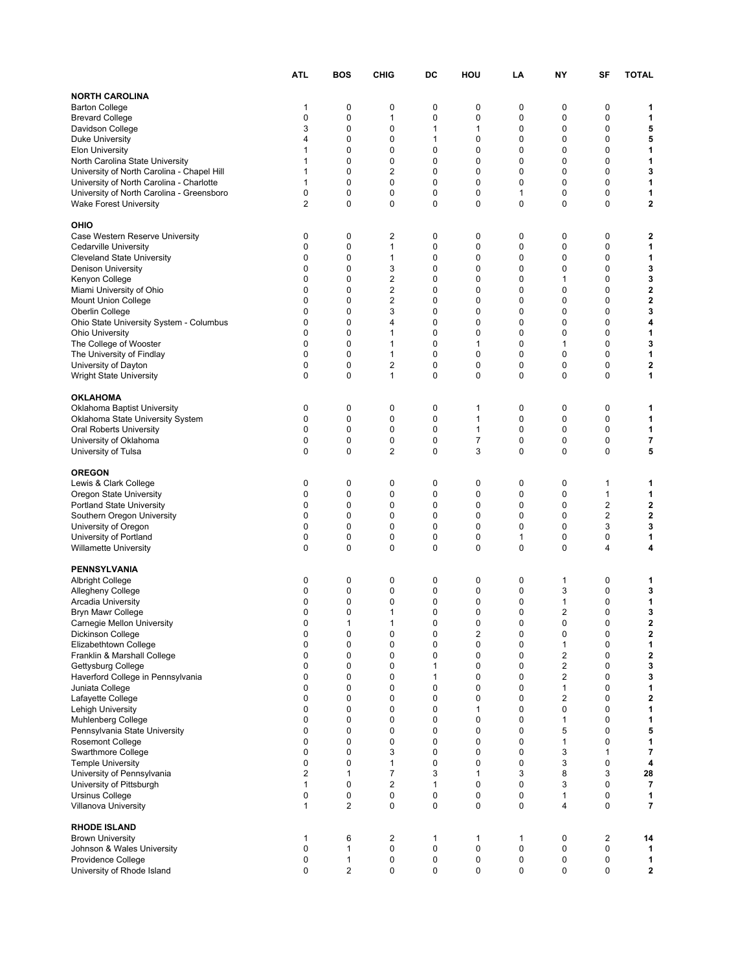|                                                                                       | ATL                        | <b>BOS</b>                 | <b>CHIG</b>    | DC          | HOU                          | LA     | NY                | SF               | <b>TOTAL</b>   |
|---------------------------------------------------------------------------------------|----------------------------|----------------------------|----------------|-------------|------------------------------|--------|-------------------|------------------|----------------|
| <b>NORTH CAROLINA</b>                                                                 |                            |                            |                |             |                              |        |                   |                  |                |
| <b>Barton College</b>                                                                 | 1                          | 0                          | 0              | 0           | 0                            | 0      | 0                 | 0                | 1              |
| <b>Brevard College</b>                                                                | 0                          | 0                          | 1              | 0           | 0                            | 0      | 0                 | 0                | 1              |
| Davidson College                                                                      | 3                          | $\mathbf 0$                | 0              | 1           | 1                            | 0      | $\mathbf 0$       | $\mathbf 0$      | 5              |
| <b>Duke University</b>                                                                | 4                          | $\mathbf 0$                | 0              | 1           | 0                            | 0      | $\mathbf 0$       | $\mathbf 0$      | 5              |
| <b>Elon University</b>                                                                | 1                          | 0                          | 0              | 0           | 0                            | 0      | 0                 | $\mathbf 0$      | 1              |
| North Carolina State University                                                       | 1                          | 0                          | 0              | 0           | 0                            | 0      | $\mathbf 0$       | 0                | 1              |
| University of North Carolina - Chapel Hill                                            | 1                          | 0                          | 2              | 0           | 0                            | 0      | 0                 | 0                | 3              |
| University of North Carolina - Charlotte<br>University of North Carolina - Greensboro | 1<br>0                     | 0<br>0                     | 0<br>0         | 0<br>0      | 0<br>0                       | 0<br>1 | 0<br>0            | 0<br>0           | 1<br>1         |
| <b>Wake Forest University</b>                                                         | $\overline{2}$             | $\mathbf 0$                | 0              | 0           | $\mathbf 0$                  | 0      | $\mathbf 0$       | $\mathbf 0$      | $\mathbf 2$    |
|                                                                                       |                            |                            |                |             |                              |        |                   |                  |                |
| OHIO                                                                                  |                            |                            |                |             |                              |        |                   |                  |                |
| Case Western Reserve University                                                       | 0                          | 0                          | 2              | 0           | 0                            | 0      | 0                 | 0                | 2              |
| Cedarville University                                                                 | 0                          | 0                          | 1              | 0           | 0                            | 0      | 0                 | 0                | 1              |
| <b>Cleveland State University</b>                                                     | 0                          | 0                          | 1              | 0           | 0                            | 0      | $\mathbf 0$       | 0                | 1              |
| Denison University<br>Kenyon College                                                  | $\mathbf 0$<br>$\mathbf 0$ | $\mathbf 0$<br>$\mathbf 0$ | 3<br>2         | 0<br>0      | 0<br>0                       | 0<br>0 | $\mathbf 0$<br>1  | 0<br>$\mathbf 0$ | 3<br>3         |
| Miami University of Ohio                                                              | $\mathbf 0$                | $\mathbf 0$                | $\overline{2}$ | 0           | 0                            | 0      | 0                 | $\mathbf 0$      | $\mathbf 2$    |
| Mount Union College                                                                   | 0                          | 0                          | 2              | 0           | 0                            | 0      | $\mathbf 0$       | 0                | $\mathbf 2$    |
| Oberlin College                                                                       | 0                          | $\mathbf 0$                | 3              | 0           | 0                            | 0      | $\mathbf 0$       | 0                | 3              |
| Ohio State University System - Columbus                                               | 0                          | 0                          | 4              | 0           | 0                            | 0      | $\mathbf 0$       | 0                | 4              |
| <b>Ohio University</b>                                                                | 0                          | $\mathbf 0$                | 1              | 0           | 0                            | 0      | $\mathbf 0$       | $\mathbf 0$      | 1              |
| The College of Wooster                                                                | 0                          | 0                          | $\mathbf{1}$   | 0           | 1                            | 0      | 1                 | $\mathbf 0$      | 3              |
| The University of Findlay                                                             | 0                          | $\mathbf 0$                | $\mathbf{1}$   | 0           | 0                            | 0      | $\mathbf 0$       | $\mathbf 0$      | 1              |
| University of Dayton<br><b>Wright State University</b>                                | 0<br>0                     | 0<br>$\mathbf 0$           | 2<br>1         | 0<br>0      | 0<br>0                       | 0<br>0 | 0<br>$\mathbf 0$  | 0<br>0           | 2<br>1         |
|                                                                                       |                            |                            |                |             |                              |        |                   |                  |                |
| <b>OKLAHOMA</b>                                                                       |                            |                            |                |             |                              |        |                   |                  |                |
| Oklahoma Baptist University                                                           | 0                          | 0                          | 0              | 0           | 1                            | 0      | 0                 | 0                | 1              |
| Oklahoma State University System                                                      | $\mathbf 0$                | 0                          | 0              | 0           | 1                            | 0      | $\mathbf 0$       | $\mathbf 0$      | 1              |
| <b>Oral Roberts University</b>                                                        | 0                          | 0                          | 0              | 0           | 1                            | 0      | 0                 | 0                | 1              |
| University of Oklahoma                                                                | 0                          | 0                          | 0              | 0           | 7                            | 0      | $\mathbf 0$       | 0                | 7              |
| University of Tulsa                                                                   | 0                          | $\mathbf 0$                | 2              | 0           | 3                            | 0      | $\mathbf 0$       | 0                | 5              |
| <b>OREGON</b>                                                                         |                            |                            |                |             |                              |        |                   |                  |                |
| Lewis & Clark College                                                                 | 0                          | 0                          | 0              | 0           | 0                            | 0      | 0                 | 1                | 1              |
| Oregon State University                                                               | $\mathbf 0$                | 0                          | 0              | $\mathbf 0$ | $\mathbf 0$                  | 0      | $\mathbf 0$       | $\mathbf{1}$     | 1              |
| <b>Portland State University</b>                                                      | 0                          | 0                          | 0              | 0           | 0                            | 0      | 0                 | $\overline{2}$   | 2              |
| Southern Oregon University                                                            | 0                          | 0                          | 0              | 0           | 0                            | 0      | $\mathbf 0$       | $\overline{2}$   | $\mathbf 2$    |
| University of Oregon                                                                  | 0                          | 0                          | 0              | 0           | 0                            | 0      | 0                 | 3                | 3              |
| University of Portland                                                                | $\mathbf 0$                | 0                          | 0              | 0           | 0                            | 1      | 0                 | 0                | 1              |
| <b>Willamette University</b>                                                          | $\mathbf 0$                | $\mathbf 0$                | 0              | 0           | 0                            | 0      | 0                 | 4                | 4              |
| <b>PENNSYLVANIA</b>                                                                   |                            |                            |                |             |                              |        |                   |                  |                |
| <b>Albright College</b>                                                               | 0                          | 0                          | 0              | 0           | 0                            | 0      | 1                 | 0                | 1              |
| Allegheny College                                                                     | 0                          | 0                          | 0              | 0           | 0                            | 0      | 3                 | 0                | 3              |
| <b>Arcadia University</b>                                                             | 0                          | 0                          | 0              | 0           | 0                            | 0      | 1                 | 0                | 1              |
| <b>Bryn Mawr College</b>                                                              | $\mathbf 0$                | 0                          | $\mathbf{1}$   | 0           | 0                            | 0      | $\overline{2}$    | $\mathbf 0$      | 3              |
| Carnegie Mellon University                                                            | 0                          | 1                          | 1              | 0           | 0                            | 0      | 0                 | 0                | 2              |
| Dickinson College<br>Elizabethtown College                                            | 0<br>0                     | 0<br>0                     | 0<br>0         | 0<br>0      | $\overline{\mathbf{c}}$<br>0 | 0<br>0 | 0<br>1            | 0<br>$\mathbf 0$ | 2<br>1         |
| Franklin & Marshall College                                                           | $\mathbf 0$                | 0                          | 0              | 0           | 0                            | 0      | $\boldsymbol{2}$  | 0                | 2              |
| Gettysburg College                                                                    | $\mathbf 0$                | 0                          | 0              | 1           | $\mathbf 0$                  | 0      | $\boldsymbol{2}$  | $\mathbf 0$      | 3              |
| Haverford College in Pennsylvania                                                     | $\mathbf 0$                | $\mathbf 0$                | 0              | 1           | $\mathbf 0$                  | 0      | $\boldsymbol{2}$  | $\mathbf 0$      | 3              |
| Juniata College                                                                       | $\mathbf 0$                | $\mathbf 0$                | 0              | 0           | 0                            | 0      | $\mathbf{1}$      | $\mathbf 0$      | 1              |
| Lafayette College                                                                     | $\mathbf 0$                | 0                          | 0              | 0           | 0                            | 0      | 2                 | $\mathbf 0$      | 2              |
| Lehigh University                                                                     | 0                          | 0                          | 0              | 0           | 1                            | 0      | 0                 | 0                | 1              |
| Muhlenberg College                                                                    | 0                          | 0                          | 0              | 0           | 0                            | 0      | 1                 | 0                | 1              |
| Pennsylvania State University<br><b>Rosemont College</b>                              | 0<br>0                     | 0<br>0                     | 0<br>0         | 0<br>0      | 0<br>0                       | 0<br>0 | 5<br>$\mathbf{1}$ | 0<br>$\mathbf 0$ | 5<br>1         |
| Swarthmore College                                                                    | 0                          | 0                          | 3              | 0           | 0                            | 0      | 3                 | $\mathbf{1}$     | 7              |
| <b>Temple University</b>                                                              | 0                          | 0                          | $\mathbf{1}$   | 0           | 0                            | 0      | 3                 | 0                | 4              |
| University of Pennsylvania                                                            | 2                          | 1                          | 7              | 3           | 1                            | 3      | 8                 | 3                | 28             |
| University of Pittsburgh                                                              | 1                          | 0                          | $\overline{c}$ | 1           | 0                            | 0      | 3                 | 0                | $\overline{7}$ |
| Ursinus College                                                                       | 0                          | 0                          | 0              | 0           | 0                            | 0      | 1                 | 0                | 1              |
| Villanova University                                                                  | 1                          | $\overline{2}$             | 0              | $\pmb{0}$   | 0                            | 0      | 4                 | $\mathbf 0$      | 7              |
|                                                                                       |                            |                            |                |             |                              |        |                   |                  |                |
| <b>RHODE ISLAND</b><br><b>Brown University</b>                                        | 1                          | 6                          | 2              | 1           | 1                            | 1      | $\mathbf 0$       | $\overline{2}$   | 14             |
| Johnson & Wales University                                                            | 0                          | 1                          | 0              | 0           | 0                            | 0      | 0                 | 0                | 1              |
| Providence College                                                                    | 0                          | $\mathbf{1}$               | 0              | 0           | 0                            | 0      | $\mathbf 0$       | $\mathbf 0$      | 1              |
| University of Rhode Island                                                            | 0                          | $\overline{2}$             | 0              | $\pmb{0}$   | 0                            | 0      | 0                 | 0                | $\mathbf{2}$   |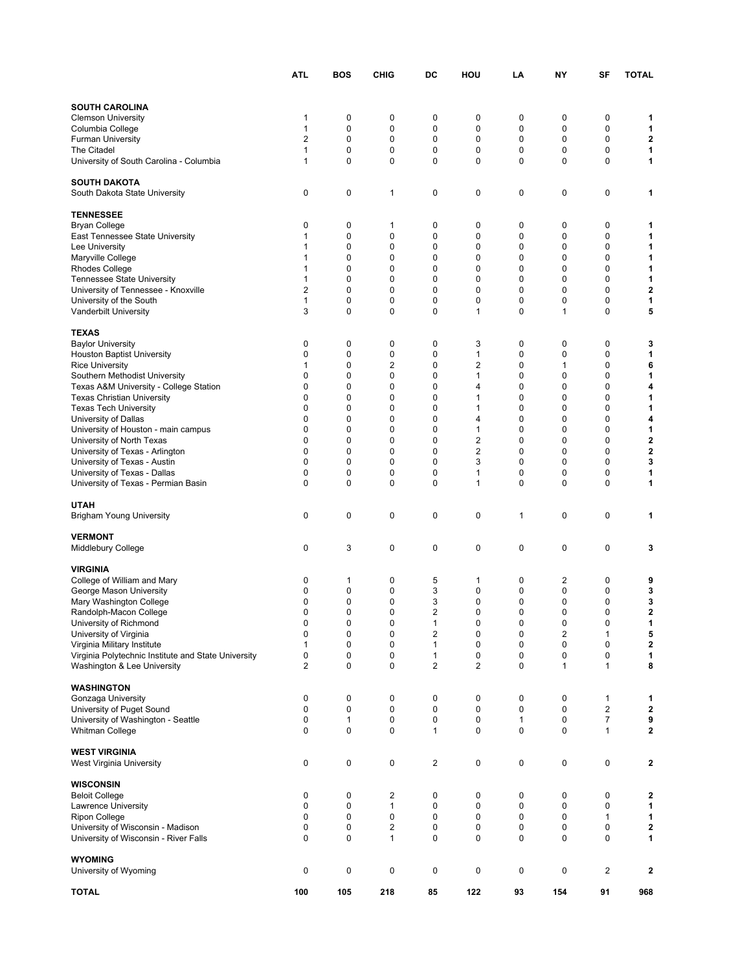|                                                                                    | ATL               | BOS         | <b>CHIG</b>             | DC                           | HOU          | LA     | NΥ                      | SF                  | <b>TOTAL</b>               |
|------------------------------------------------------------------------------------|-------------------|-------------|-------------------------|------------------------------|--------------|--------|-------------------------|---------------------|----------------------------|
|                                                                                    |                   |             |                         |                              |              |        |                         |                     |                            |
| <b>SOUTH CAROLINA</b>                                                              |                   |             |                         |                              |              |        |                         |                     |                            |
| <b>Clemson University</b>                                                          | 1                 | 0           | 0                       | 0                            | 0            | 0      | 0                       | 0                   | 1                          |
| Columbia College                                                                   | 1                 | 0           | 0                       | 0                            | 0            | 0      | 0                       | $\mathbf 0$         | 1                          |
| <b>Furman University</b>                                                           | $\overline{2}$    | 0           | 0                       | 0                            | 0            | 0      | $\mathbf 0$             | $\mathbf 0$         | 2                          |
| The Citadel                                                                        | 1                 | 0           | 0                       | 0                            | 0            | 0      | $\mathbf 0$             | $\mathbf 0$         | 1                          |
| University of South Carolina - Columbia                                            | 1                 | $\mathbf 0$ | $\mathbf 0$             | 0                            | 0            | 0      | $\mathbf 0$             | 0                   | 1                          |
| <b>SOUTH DAKOTA</b>                                                                |                   |             |                         |                              |              |        |                         |                     |                            |
| South Dakota State University                                                      | 0                 | 0           | 1                       | 0                            | 0            | 0      | 0                       | 0                   | 1                          |
| <b>TENNESSEE</b>                                                                   |                   |             |                         |                              |              |        |                         |                     |                            |
| <b>Bryan College</b>                                                               | 0                 | 0           | 1                       | 0                            | 0            | 0      | 0                       | 0                   | 1                          |
| East Tennessee State University                                                    | 1                 | 0           | 0                       | 0                            | 0            | 0      | 0                       | 0                   | 1                          |
| Lee University                                                                     | 1                 | 0           | 0                       | 0                            | 0            | 0      | 0                       | 0                   | 1                          |
| Maryville College                                                                  | 1                 | 0           | 0                       | 0                            | 0            | 0      | $\mathbf 0$             | 0                   | 1                          |
| <b>Rhodes College</b>                                                              | 1<br>$\mathbf{1}$ | 0<br>0      | 0<br>$\mathbf 0$        | 0<br>0                       | 0<br>0       | 0<br>0 | 0<br>$\mathbf 0$        | 0<br>0              | 1<br>1                     |
| <b>Tennessee State University</b><br>University of Tennessee - Knoxville           | 2                 | 0           | $\mathbf 0$             | $\mathbf 0$                  | 0            | 0      | $\mathbf 0$             | $\mathbf 0$         | 2                          |
| University of the South                                                            | 1                 | 0           | 0                       | 0                            | 0            | 0      | 0                       | 0                   | 1                          |
| Vanderbilt University                                                              | 3                 | 0           | 0                       | 0                            | 1            | 0      | 1                       | 0                   | 5                          |
| <b>TEXAS</b>                                                                       |                   |             |                         |                              |              |        |                         |                     |                            |
| <b>Baylor University</b>                                                           | 0                 | 0           | 0                       | 0                            | 3            | 0      | 0                       | 0                   | 3                          |
| <b>Houston Baptist University</b>                                                  | 0                 | 0           | 0                       | $\mathbf 0$                  | $\mathbf{1}$ | 0      | 0                       | $\mathbf 0$         | 1                          |
| <b>Rice University</b>                                                             | 1                 | 0           | 2                       | 0                            | 2            | 0      | 1                       | 0                   | 6                          |
| Southern Methodist University                                                      | 0                 | 0           | 0                       | 0                            | 1            | 0      | $\mathbf 0$             | 0                   | 1                          |
| Texas A&M University - College Station                                             | 0                 | 0           | 0                       | 0                            | 4            | 0      | 0                       | 0                   | 4                          |
| <b>Texas Christian University</b>                                                  | 0                 | 0           | 0                       | 0                            | 1            | 0      | $\mathbf 0$             | 0                   | 1                          |
| <b>Texas Tech University</b>                                                       | 0                 | 0           | $\mathbf 0$             | 0                            | 1            | 0      | 0                       | $\mathbf 0$         | 1                          |
| University of Dallas                                                               | 0                 | 0           | $\mathbf 0$             | 0                            | 4            | 0      | $\mathbf 0$             | $\mathbf 0$         | 4                          |
| University of Houston - main campus                                                | 0                 | 0           | 0<br>$\mathbf 0$        | 0                            | 1            | 0      | 0                       | 0                   | 1                          |
| University of North Texas                                                          | 0<br>0            | 0<br>0      | 0                       | 0<br>0                       | 2<br>2       | 0<br>0 | 0<br>0                  | 0<br>0              | $\mathbf 2$<br>$\mathbf 2$ |
| University of Texas - Arlington<br>University of Texas - Austin                    | 0                 | 0           | 0                       | 0                            | 3            | 0      | 0                       | 0                   | 3                          |
| University of Texas - Dallas                                                       | 0                 | 0           | 0                       | 0                            | 1            | 0      | 0                       | 0                   | 1                          |
| University of Texas - Permian Basin                                                | 0                 | 0           | 0                       | $\mathbf 0$                  | 1            | 0      | 0                       | $\mathbf 0$         | 1                          |
|                                                                                    |                   |             |                         |                              |              |        |                         |                     |                            |
| <b>UTAH</b>                                                                        |                   |             |                         |                              |              |        |                         |                     |                            |
| <b>Brigham Young University</b>                                                    | 0                 | 0           | 0                       | 0                            | 0            | 1      | 0                       | 0                   | 1                          |
| <b>VERMONT</b>                                                                     |                   |             |                         |                              |              |        |                         |                     |                            |
| <b>Middlebury College</b>                                                          | 0                 | 3           | 0                       | $\mathbf 0$                  | 0            | 0      | 0                       | $\mathbf 0$         | 3                          |
| <b>VIRGINIA</b>                                                                    |                   |             |                         |                              |              |        |                         |                     |                            |
| College of William and Mary                                                        | 0                 | 1           | 0                       | 5                            | 1            | 0      | 2                       | 0                   | 9                          |
| George Mason University                                                            | 0                 | 0           | 0                       | 3                            | 0            | 0      | 0                       | 0                   | 3                          |
| Mary Washington College                                                            | 0                 | 0           | 0                       | 3                            | 0            | 0      | 0                       | 0                   | 3                          |
| Randolph-Macon College                                                             | 0                 | 0           | 0                       | $\overline{2}$               | 0            | 0      | 0                       | 0                   | $\mathbf 2$                |
| University of Richmond                                                             | 0                 | 0           | 0                       |                              | 0            | 0      | 0                       | 0                   | 1                          |
| University of Virginia                                                             | 0                 | 0           | 0                       | $\overline{\mathbf{c}}$      | 0            | 0      | $\overline{\mathbf{c}}$ | 1                   | 5                          |
| Virginia Military Institute<br>Virginia Polytechnic Institute and State University | 1                 | 0           | 0                       | 1                            | 0            | 0      | 0                       | 0                   | 2                          |
| Washington & Lee University                                                        | 0<br>2            | 0<br>0      | 0<br>0                  | 1<br>$\overline{\mathbf{c}}$ | 0<br>2       | 0<br>0 | 0<br>1                  | 0<br>1              | 1<br>8                     |
|                                                                                    |                   |             |                         |                              |              |        |                         |                     |                            |
| <b>WASHINGTON</b>                                                                  |                   |             |                         |                              |              |        |                         |                     |                            |
| Gonzaga University                                                                 | 0                 | 0           | 0                       | 0                            | 0            | 0      | 0                       | 1                   | 1                          |
| University of Puget Sound                                                          | 0                 | 0           | 0                       | 0                            | 0            | 0      | 0                       | 2                   | 2                          |
| University of Washington - Seattle<br>Whitman College                              | 0<br>0            | 1<br>0      | 0<br>0                  | 0<br>1                       | 0<br>0       | 1<br>0 | 0<br>0                  | $\overline{7}$<br>1 | 9<br>$\mathbf 2$           |
|                                                                                    |                   |             |                         |                              |              |        |                         |                     |                            |
| <b>WEST VIRGINIA</b><br>West Virginia University                                   | 0                 | 0           | 0                       | $\mathbf 2$                  | 0            | 0      | 0                       | 0                   | 2                          |
|                                                                                    |                   |             |                         |                              |              |        |                         |                     |                            |
| <b>WISCONSIN</b>                                                                   |                   |             |                         |                              |              |        |                         |                     |                            |
| <b>Beloit College</b>                                                              | 0<br>0            | 0<br>0      | 2<br>1                  | 0<br>0                       | 0<br>0       | 0<br>0 | 0<br>0                  | 0<br>0              | 2<br>1                     |
| Lawrence University<br><b>Ripon College</b>                                        | 0                 | 0           | 0                       | 0                            | 0            | 0      | 0                       | 1                   | 1                          |
| University of Wisconsin - Madison                                                  | 0                 | 0           | $\overline{\mathbf{c}}$ | 0                            | 0            | 0      | 0                       | 0                   | 2                          |
| University of Wisconsin - River Falls                                              | 0                 | 0           | $\mathbf{1}$            | 0                            | 0            | 0      | 0                       | 0                   | 1                          |
|                                                                                    |                   |             |                         |                              |              |        |                         |                     |                            |
| <b>WYOMING</b><br>University of Wyoming                                            | 0                 | 0           | 0                       | 0                            | 0            | 0      | 0                       | $\mathbf 2$         | 2                          |
| <b>TOTAL</b>                                                                       | 100               | 105         | 218                     | 85                           | 122          | 93     | 154                     | 91                  | 968                        |
|                                                                                    |                   |             |                         |                              |              |        |                         |                     |                            |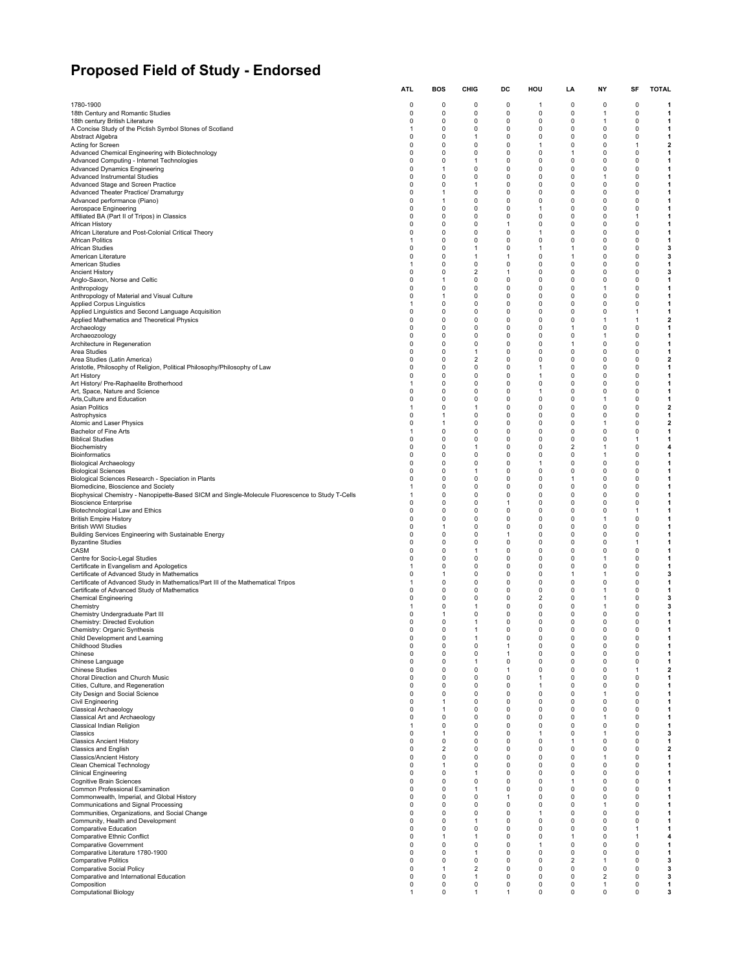# **Proposed Field of Study - Endorsed**

|                                                                                                  | <b>ATL</b>       | <b>BOS</b>                    | CHIG                    | DC                | HOU          | LA                      | NΥ               | SF                   | <b>TOTAL</b>                 |
|--------------------------------------------------------------------------------------------------|------------------|-------------------------------|-------------------------|-------------------|--------------|-------------------------|------------------|----------------------|------------------------------|
| 1780-1900                                                                                        | 0                | 0                             | $\Omega$                | 0                 | 1            | $\Omega$                | $\Omega$         | 0                    | 1                            |
| 18th Century and Romantic Studies                                                                | 0                | 0                             | 0                       | 0                 | 0            | 0                       | 1                | 0                    | 1                            |
| 18th century British Literature                                                                  | 0                | 0                             | 0                       | 0                 | 0            | 0                       | 1                | 0                    | 1                            |
| A Concise Study of the Pictish Symbol Stones of Scotland                                         | $\mathbf{1}$     | $\mathbf 0$                   | 0                       | 0                 | 0            | 0                       | 0                | 0                    | 1                            |
| Abstract Algebra                                                                                 | 0                | $\mathbf 0$                   | $\mathbf{1}$            | 0                 | 0            | 0                       | 0                | 0                    | 1                            |
| Acting for Screen                                                                                | $\Omega$         | 0                             | 0                       | 0                 | 1            | $\Omega$                | $\Omega$         | 1                    | $\overline{\mathbf{2}}$      |
| Advanced Chemical Engineering with Biotechnology                                                 | 0                | 0                             | 0                       | 0                 | 0            | 1                       | 0                | 0                    | 1                            |
| Advanced Computing - Internet Technologies                                                       | 0                | 0                             | $\mathbf{1}$            | 0                 | 0            | 0                       | 0                | 0                    | 1                            |
| <b>Advanced Dynamics Engineering</b>                                                             | 0                | 1                             | 0                       | 0                 | 0            | 0                       | 0                | 0                    | 1                            |
| Advanced Instrumental Studies                                                                    | $\mathbf 0$      | $\Omega$                      | 0                       | 0                 | 0            | 0                       | 1                | 0                    | 1                            |
|                                                                                                  | $\mathbf 0$      | $\mathbf 0$                   | $\mathbf{1}$            | 0                 | 0            | 0                       | $\mathbf 0$      | 0                    | $\mathbf{1}$                 |
| Advanced Stage and Screen Practice<br>Advanced Theater Practice/ Dramaturgy                      | 0                | $\mathbf{1}$                  | 0                       | 0                 | 0            | 0                       | 0                | 0                    | 1                            |
| Advanced performance (Piano)                                                                     | 0                | $\mathbf{1}$                  | 0                       | 0                 | 0            | 0                       | 0                | 0                    | 1                            |
| Aerospace Engineering                                                                            | $\mathbf 0$      | 0                             | 0                       | 0                 | 1            | 0                       | 0                | 0                    | 1                            |
| Affiliated BA (Part II of Tripos) in Classics                                                    | 0                | 0                             | 0                       | 0                 | 0            | 0                       | 0                | 1                    | 1                            |
| African History                                                                                  | $\mathbf 0$      | $\Omega$                      | 0                       | $\mathbf{1}$      | 0            | $\Omega$                | 0                | 0                    | 1                            |
| African Literature and Post-Colonial Critical Theory                                             | $\mathbf 0$      | $\mathbf 0$                   | 0                       | 0                 | $\mathbf{1}$ | 0                       | 0                | $\mathbf 0$          | 1                            |
| <b>African Politics</b>                                                                          | $\mathbf{1}$     | $\mathbf 0$                   | 0                       | 0                 | 0            | 0                       | $\Omega$         | $\Omega$             | 1                            |
| African Studies                                                                                  | 0                | 0                             | 1                       | 0                 | 1            | 1                       | 0                | $\mathbf 0$          | 3                            |
| American Literature                                                                              | $\mathbf 0$      | $\mathbf 0$                   | $\mathbf{1}$            | $\mathbf{1}$      | 0            | $\mathbf{1}$            | 0                | 0                    | 3                            |
| American Studies                                                                                 | -1               | 0                             | 0                       | 0                 | 0            | 0                       | 0                | 0                    | 1                            |
|                                                                                                  | 0                | 0                             | 2                       | 1                 | 0            | 0                       | 0                | 0                    | 3                            |
| <b>Ancient History</b><br>Anglo-Saxon, Norse and Celtic                                          | $\mathbf 0$      | $\mathbf{1}$                  | 0                       | 0                 | 0            | 0                       | $\mathbf 0$      | $\mathbf 0$          | 1                            |
| Anthropology                                                                                     | $\mathbf 0$      | $\mathbf 0$                   | 0                       | 0                 | 0            | 0                       | -1               | 0                    | 1                            |
| Anthropology of Material and Visual Culture                                                      | 0                | $\mathbf{1}$                  | 0                       | 0                 | 0            | 0                       | 0                | 0                    | 1                            |
| <b>Applied Corpus Linguistics</b>                                                                | $\mathbf{1}$     | $\mathbf 0$                   | 0                       | 0                 | 0            | 0                       | 0                | 0                    | 1                            |
| Applied Linguistics and Second Language Acquisition                                              | 0                | 0                             | 0                       | 0                 | 0            | 0                       | 0                | -1                   | 1                            |
| Applied Mathematics and Theoretical Physics                                                      | 0                | 0                             | 0                       | 0                 | 0            | 0                       | 1                | 1                    | $\overline{\mathbf{2}}$      |
| Archaeology                                                                                      | $\mathbf 0$      | $\Omega$                      | 0                       | 0                 | 0            | $\mathbf{1}$            | $\Omega$         | 0                    | 1                            |
| Archaeozoology                                                                                   | $\mathbf 0$      | $\mathbf 0$                   | 0                       | 0                 | 0            | 0                       | 1                | $\Omega$             | 1                            |
| Architecture in Regeneration                                                                     | 0                | 0                             | 0                       | 0                 | 0            | 1                       | 0                | $\Omega$             | 1                            |
| Area Studies                                                                                     | 0                | $\Omega$                      | $\mathbf{1}$            | 0                 | 0            | 0                       | 0                | 0                    | 1                            |
| Area Studies (Latin America)                                                                     | 0                | 0                             | $\overline{\mathbf{c}}$ | 0                 | 0            | 0                       | 0                | 0                    | $\mathbf{2}$                 |
| Aristotle, Philosophy of Religion, Political Philosophy/Philosophy of Law                        | 0                | 0                             | 0                       | 0                 | 1            | 0                       | 0                | 0                    | 1                            |
| Art History                                                                                      | $\mathbf 0$      | $\Omega$                      | 0                       | 0                 | 1            | 0                       | 0                | 0                    | 1                            |
| Art History/ Pre-Raphaelite Brotherhood                                                          | $\mathbf{1}$     | $\mathbf 0$                   | 0                       | 0                 | 0            | 0                       | $\mathbf 0$      | $\mathbf 0$          | 1                            |
| Art, Space, Nature and Science                                                                   | 0                | 0                             | 0                       | 0                 | 1            | 0                       | 0                | 0                    | 1                            |
| Arts, Culture and Education                                                                      | $\mathbf 0$      | $\mathbf 0$                   | $\Omega$                | 0                 | 0            | 0                       | 1                | $\Omega$             | 1                            |
| Asian Politics                                                                                   | $\mathbf{1}$     | $\mathbf 0$                   | $\mathbf{1}$            | 0                 | 0            | 0                       | $\mathbf 0$      | 0                    | $\overline{\mathbf{2}}$      |
| Astrophysics                                                                                     | 0                | 1                             | 0                       | 0                 | 0            | 0                       | 0                | 0                    | 1                            |
| Atomic and Laser Physics                                                                         | $\mathbf 0$      | 1                             | 0                       | 0                 | 0            | 0                       | 1                | $\Omega$             | $\overline{\mathbf{2}}$      |
| Bachelor of Fine Arts                                                                            | $\mathbf{1}$     | $\mathbf 0$                   | 0                       | 0                 | 0            | 0                       | $\mathbf 0$      | $\mathbf 0$          | 1                            |
| <b>Biblical Studies</b>                                                                          | 0                | $\mathbf 0$                   | 0                       | 0                 | 0            | 0                       | 0                | $\mathbf{1}$         | 1                            |
| Biochemistry                                                                                     | $\mathbf 0$      | $\mathbf 0$                   | $\mathbf{1}$            | 0                 | 0            | 2                       | 1                | $\mathbf 0$          | 4                            |
| <b>Bioinformatics</b>                                                                            | $\mathbf 0$      | $\mathbf 0$                   | 0                       | 0                 | 0            | 0                       | -1               | 0                    | 1                            |
| <b>Biological Archaeology</b>                                                                    | 0                | 0                             | 0                       | 0                 | 1            | 0                       | 0                | 0                    | 1                            |
| <b>Biological Sciences</b>                                                                       | 0                | 0                             | 1                       | 0                 | 0            | 0                       | 0                | 0                    | 1                            |
| Biological Sciences Research - Speciation in Plants                                              | $\mathbf 0$      | $\mathbf 0$                   | 0                       | 0                 | 0            | 1                       | $\mathbf 0$      | $\mathbf 0$          | $\mathbf{1}$                 |
| Biomedicine, Bioscience and Society                                                              | -1               | $\mathbf 0$                   | 0                       | 0                 | 0            | 0                       | 0                | 0                    | 1                            |
| Biophysical Chemistry - Nanopipette-Based SICM and Single-Molecule Fluorescence to Study T-Cells | 1                | 0                             | 0                       | 0                 | 0            | 0                       | 0                | 0                    | 1                            |
| <b>Bioscience Enterprise</b>                                                                     | $\mathbf 0$      | $\mathbf 0$                   | 0                       | $\mathbf{1}$      | 0            | 0                       | 0                | $\mathbf 0$          | 1                            |
| Biotechnological Law and Ethics                                                                  | $\mathbf 0$      | 0                             | 0                       | 0                 | 0            | 0                       | 0                | -1                   | 1                            |
| <b>British Empire History</b>                                                                    | $\Omega$         | 0                             | 0                       | 0                 | 0            | 0                       | 1                | 0                    | 1                            |
| <b>British WWI Studies</b>                                                                       | $\Omega$         | 1                             | 0                       | 0                 | 0            | $\Omega$<br>$\Omega$    | 0<br>$\Omega$    | $\Omega$<br>$\Omega$ | 1                            |
| Building Services Engineering with Sustainable Energy<br><b>Byzantine Studies</b>                | $\mathbf 0$<br>0 | $\mathbf 0$<br>$\Omega$       | 0<br>0                  | $\mathbf{1}$<br>0 | 0<br>0       | 0                       | 0                | 1                    | 1<br>1                       |
| CASM                                                                                             | 0                | 0                             | 1                       | 0                 | 0            | 0                       | 0                | 0                    | 1                            |
| Centre for Socio-Legal Studies                                                                   | 0                | 0                             | 0                       | 0                 | 0            | 0                       | 1                | 0                    | 1                            |
| Certificate in Evangelism and Apologetics                                                        | 1                | 0                             | 0                       | 0                 | 0            | 0                       | 0                | 0                    | 1                            |
| Certificate of Advanced Study in Mathematics                                                     | $\mathbf 0$      | 1                             | 0                       | 0                 | 0            | 1                       | 1                | 0                    | 3                            |
| Certificate of Advanced Study in Mathematics/Part III of the Mathematical Tripos                 | $\mathbf{1}$     | $\mathbf 0$                   | 0                       | 0                 | 0            | 0                       | $\mathbf 0$      | 0                    | 1                            |
| Certificate of Advanced Study of Mathematics                                                     | $\mathbf 0$      | 0                             | 0                       | 0                 | 0            | 0                       | 1                | 0                    | 1                            |
| <b>Chemical Engineering</b>                                                                      | $\mathbf 0$      | 0                             | $\Omega$                | 0                 | 2            | 0                       | $\mathbf{1}$     | 0                    | 3                            |
| Chemistry                                                                                        | -1               | 0                             | 1                       | 0                 | 0            | 0                       | -1               | 0                    | 3                            |
| Chemistry Undergraduate Part III                                                                 | 0<br>$\Omega$    | 1                             | 0<br>$\mathbf{1}$       | 0                 | 0<br>0       | 0<br>$\Omega$           | 0<br>$\Omega$    | 0<br>$\Omega$        | 1                            |
| Chemistry: Directed Evolution<br>Chemistry: Organic Synthesis                                    | $\Omega$         | 0<br>$\Omega$                 | $\mathbf{1}$            | 0<br>0            | 0            | $\Omega$                | 0                | $\Omega$             | 1<br>1                       |
| Child Development and Learning                                                                   | $\mathsf 0$      | $\pmb{0}$                     | 1                       | 0                 | 0            | $\pmb{0}$               | $\mathbf 0$      | 0                    | 1                            |
| <b>Childhood Studies</b>                                                                         | 0                | 0                             | 0                       | 1                 | 0            | 0                       | 0                | 0                    | 1                            |
| Chinese                                                                                          | 0                | 0                             | 0                       | $\mathbf{1}$      | 0            | 0                       | 0                | 0                    | 1                            |
| Chinese Language                                                                                 | 0                | 0                             | 1                       | 0                 | 0            | 0                       | 0                | 0                    | 1                            |
| <b>Chinese Studies</b>                                                                           | 0                | 0                             | 0                       | 1                 | 0            | 0                       | 0                | 1                    | $\overline{2}$               |
| Choral Direction and Church Music                                                                | 0                | $\mathbf 0$                   | 0                       | $\mathbf 0$       | 1            | 0                       | 0                | 0                    | $\mathbf{1}$                 |
| Cities, Culture, and Regeneration                                                                | $\mathbf 0$      | $\mathbf 0$                   | $\mathbf 0$             | $\mathbf 0$       | 1            | $\mathbf 0$             | $\mathbf 0$      | $\mathbf 0$          |                              |
| City Design and Social Science                                                                   | 0                | 0                             | 0                       | 0                 | 0            | 0                       | 1                | 0                    | $\mathbf{1}$<br>1            |
| Civil Engineering                                                                                | 0                | $\mathbf{1}$                  | 0                       | 0                 | 0            | 0                       | $\mathbf 0$      | 0                    | 1                            |
| <b>Classical Archaeology</b>                                                                     | 0                | 1                             | 0                       | 0                 | 0            | 0                       | 0                | 0                    | 1                            |
| Classical Art and Archaeology                                                                    | 0                | 0                             | 0                       | 0                 | 0            | 0                       | 1                | 0                    | 1                            |
| Classical Indian Religion                                                                        | $\mathbf{1}$     | 0                             | 0                       | 0                 | 0            | 0                       | 0                | 0                    | 1                            |
| Classics                                                                                         | $\mathbf 0$      | $\mathbf{1}$                  | 0                       | $\mathbf 0$       | 1            | 0                       | $\mathbf{1}$     | $\Omega$             | 3                            |
| <b>Classics Ancient History</b>                                                                  | 0                | 0                             | 0                       | 0                 | 0            | 1<br>0                  | $\mathbf 0$<br>0 | 0                    | 1                            |
| Classics and English<br><b>Classics/Ancient History</b>                                          | 0<br>$\mathsf 0$ | $\overline{2}$<br>$\mathbf 0$ | 0<br>0                  | 0<br>0            | 0<br>0       | 0                       | 1                | 0<br>0               | $\overline{\mathbf{2}}$<br>1 |
| Clean Chemical Technology                                                                        | 0                | 1                             | 0                       | 0                 | 0            | 0                       | 0                | 0                    | 1                            |
| <b>Clinical Engineering</b>                                                                      | 0                | 0                             | $\mathbf{1}$            | 0                 | 0            | 0                       | 0                | 0                    | 1                            |
| Cognitive Brain Sciences                                                                         | 0                | $\mathbf 0$                   | 0                       | 0                 | 0            | 1                       | 0                | 0                    | 1                            |
| Common Professional Examination                                                                  | $\mathsf 0$      | $\mathbf 0$                   | 1                       | 0                 | 0            | 0                       | 0                | $\mathbf 0$          | $\mathbf{1}$                 |
| Commonwealth, Imperial, and Global History                                                       | 0                | 0                             | 0                       | $\mathbf{1}$      | 0            | 0                       | 0                | 0                    | 1                            |
| Communications and Signal Processing                                                             | 0                | $\mathbf 0$                   | 0                       | 0                 | 0            | 0                       | $\mathbf{1}$     | 0                    | 1                            |
| Communities, Organizations, and Social Change                                                    | 0                | 0                             | 0                       | 0                 | 1            | 0                       | 0                | 0                    | 1                            |
| Community, Health and Development                                                                | 0                | $\mathbf 0$                   | $\mathbf{1}$            | 0                 | 0            | 0                       | 0                | 0                    | 1                            |
| Comparative Education                                                                            | 0                | $\mathbf 0$                   | 0                       | 0                 | 0            | 0                       | 0                | $\mathbf{1}$         | 1                            |
| Comparative Ethnic Conflict                                                                      | $\mathbf 0$      | $\mathbf{1}$                  | $\mathbf{1}$            | $\mathbf 0$       | 0            | 1                       | $\Omega$         | 1                    | $\overline{\mathbf{4}}$      |
| <b>Comparative Government</b>                                                                    | 0                | 0                             | 0                       | 0                 | 1            | 0                       | 0                | 0                    | 1                            |
| Comparative Literature 1780-1900                                                                 | 0                | $\mathbf 0$                   | $\mathbf{1}$            | 0                 | 0            | 0                       | 0                | 0                    | 1                            |
| <b>Comparative Politics</b>                                                                      | 0                | 0                             | $\pmb{0}$               | 0                 | 0            | $\overline{\mathbf{c}}$ | 1                | 0                    | 3                            |
| Comparative Social Policy                                                                        | 0                | 1                             | $\overline{\mathbf{c}}$ | 0                 | 0            | 0                       | 0                | 0                    | 3                            |
| Comparative and International Education                                                          | 0                | $\mathbf 0$                   | $\mathbf{1}$            | 0                 | 0            | 0                       | $\overline{2}$   | 0                    | 3                            |
| Composition                                                                                      | 0                | $\pmb{0}$                     | $\pmb{0}$               | 0                 | 0            | 0                       | 1                | $\mathbf 0$          | 1                            |
| <b>Computational Biology</b>                                                                     | 1                | 0                             | 1                       | 1                 | 0            | 0                       | 0                | 0                    | 3                            |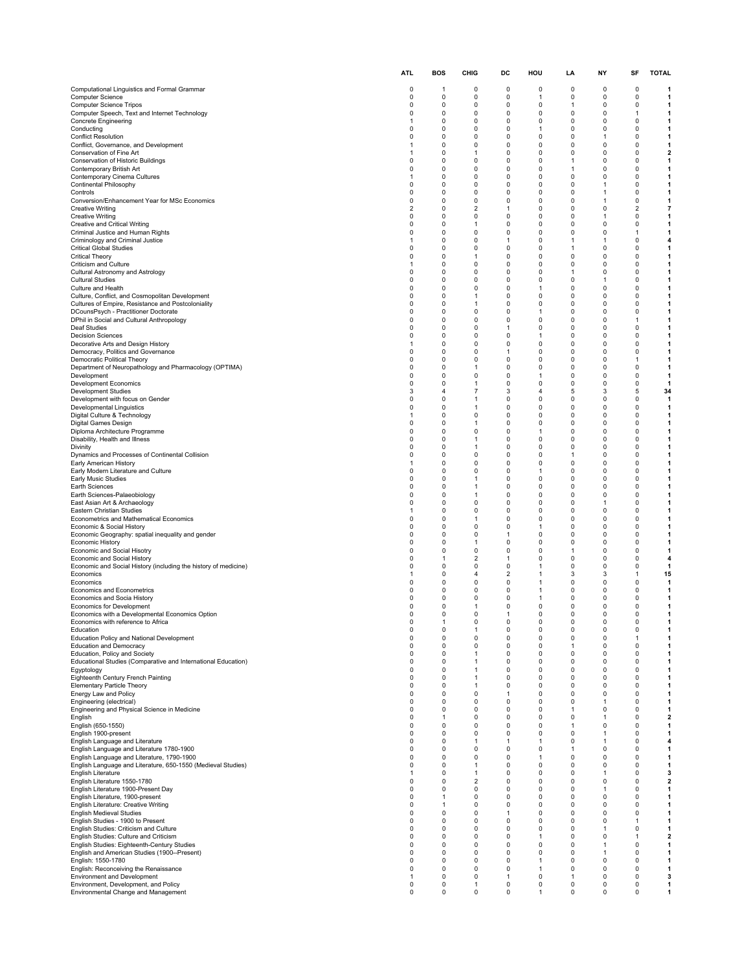|                                                                                  | <b>ATL</b>           | <b>BOS</b>                    | CHIG                           | DC           | HOU      | LA             | NΥ           | SF                          | <b>TOTAL</b>             |
|----------------------------------------------------------------------------------|----------------------|-------------------------------|--------------------------------|--------------|----------|----------------|--------------|-----------------------------|--------------------------|
| Computational Linguistics and Formal Grammar                                     | 0                    | -1                            | 0                              | 0            | 0        | $\Omega$       | $\Omega$     | 0                           | -1                       |
| <b>Computer Science</b>                                                          | 0<br>$\Omega$        | 0                             | 0                              | 0            | 1        | 0              | 0            | 0                           | 1                        |
| Computer Science Tripos                                                          | 0                    | 0                             | 0                              | 0            | 0        | $\overline{1}$ | 0            | $\mathbf 0$                 | $\mathbf{1}$             |
| Computer Speech, Text and Internet Technology                                    |                      | 0                             | 0                              | 0            | 0        | 0              | $\Omega$     | -1                          | 1                        |
| <b>Concrete Engineering</b>                                                      | 1                    | 0                             | 0                              | 0            | 0        | 0              | 0            | 0                           | 1                        |
| Conducting                                                                       | $\Omega$             | 0                             | 0                              | 0            | 1        | 0              | $\Omega$     | $\mathbf 0$                 | 1                        |
| <b>Conflict Resolution</b>                                                       | $\Omega$             | $\mathbf 0$                   | 0                              | 0            | 0        | 0              | $\mathbf{1}$ | $\Omega$                    | 1                        |
| Conflict, Governance, and Development                                            | 1                    | 0                             | 0                              | 0            | 0        | 0              | 0            | $\Omega$                    | 1                        |
| Conservation of Fine Art                                                         | 1                    | 0                             | $\mathbf{1}$                   | 0            | 0        | $\Omega$       | $\Omega$     | $\mathbf 0$                 | $\mathbf{2}$             |
| Conservation of Historic Buildings                                               | $\Omega$             | 0                             | 0                              | 0            | 0        | 1              | $\mathbf 0$  | 0                           | 1                        |
| Contemporary British Art                                                         | 0                    | 0                             | 0                              | 0            | 0        | 1              | 0            | 0                           | 1                        |
| Contemporary Cinema Cultures                                                     | 1                    | $\mathbf 0$                   | 0                              | 0            | 0        | 0              | $\Omega$     | $\Omega$                    | 1                        |
| Continental Philosophy                                                           | 0                    | $\mathbf 0$                   | 0                              | 0            | 0        | 0              | $\mathbf{1}$ | $\mathbf 0$                 | 1                        |
| Controls                                                                         | $\Omega$             | 0                             | 0                              | 0            | 0        | 0              | 1            | $\mathbf 0$                 | 1                        |
| Conversion/Enhancement Year for MSc Economics                                    | $\Omega$             | 0                             | 0                              | 0            | 0        | 0              | $\mathbf{1}$ | 0                           | 1                        |
| <b>Creative Writing</b>                                                          | $\overline{2}$       | $\mathbf 0$                   | $\overline{2}$                 | $\mathbf{1}$ | 0        | 0              | $\mathbf 0$  | 2                           | $\overline{\phantom{a}}$ |
| <b>Creative Writing</b>                                                          | 0                    | 0                             | 0                              | 0            | 0        | 0              | $\mathbf{1}$ | 0                           | 1                        |
| Creative and Critical Writing                                                    | $\Omega$             | 0                             | $\mathbf{1}$                   | 0            | 0        | $\Omega$       | $\mathbf 0$  | $\mathbf 0$                 | 1                        |
| Criminal Justice and Human Rights                                                | 0                    | $\mathbf 0$                   | 0                              | 0            | 0        | 0              | $\mathbf 0$  | $\mathbf{1}$                | $\mathbf{1}$             |
| Criminology and Criminal Justice                                                 | -1                   | $\mathbf 0$                   | 0                              | $\mathbf{1}$ | 0        | $\mathbf{1}$   | -1           | $\mathbf 0$                 | 4                        |
| <b>Critical Global Studies</b>                                                   | $\Omega$<br>$\Omega$ | 0                             | 0                              | 0            | 0        | $\mathbf{1}$   | $\mathbf 0$  | $\mathbf 0$                 | 1                        |
| <b>Critical Theory</b>                                                           | -1                   | $\mathbf 0$                   | $\mathbf{1}$                   | 0            | 0        | $\mathbf 0$    | $\mathbf 0$  | $\mathbf 0$                 | 1                        |
| Criticism and Culture                                                            |                      | 0                             | 0                              | 0            | 0        | 0              | 0            | $\Omega$                    | 1                        |
| Cultural Astronomy and Astrology                                                 | 0                    | 0                             | 0                              | 0            | 0        | 1              | 0            | 0                           | 1                        |
| <b>Cultural Studies</b>                                                          | $\Omega$             | $\mathbf 0$                   | 0                              | 0            | 0        | 0              | $\mathbf{1}$ | $\mathbf 0$                 | $\mathbf{1}$             |
| Culture and Health                                                               | $\Omega$             | $\mathbf 0$                   | 0                              | 0            | 1        | $\Omega$       | $\mathbf 0$  | $\Omega$                    | 1                        |
| Culture, Conflict, and Cosmopolitan Development                                  | $\Omega$             | 0                             | 1                              | 0            | 0        | 0              | $\Omega$     | $\Omega$                    | 1                        |
| Cultures of Empire, Resistance and Postcoloniality                               | $\Omega$             | $\mathbf 0$                   | $\mathbf{1}$                   | 0            | 0        | 0              | $\mathbf 0$  | $\mathbf 0$                 | 1                        |
| DCounsPsych - Practitioner Doctorate                                             | $\Omega$             | 0                             | 0                              | 0            | 1        | 0              | 0            | 0                           | 1                        |
| DPhil in Social and Cultural Anthropology                                        | 0                    | 0                             | 0                              | 0            | 0        | 0              | 0            | -1                          | 1                        |
| <b>Deaf Studies</b>                                                              | $\Omega$             | 0                             | 0                              | $\mathbf{1}$ | $\Omega$ | $\Omega$       | $\Omega$     | $\mathbf 0$                 | 1                        |
| <b>Decision Sciences</b>                                                         | $\Omega$             | $\mathbf 0$                   | 0                              | 0            | 1        | $\mathbf 0$    | $\mathbf 0$  | $\Omega$                    | 1                        |
| Decorative Arts and Design History                                               | 1                    | 0                             | 0                              | 0            | 0        | 0              | 0            | $\Omega$                    | 1                        |
| Democracy, Politics and Governance                                               | $\Omega$             | 0                             | 0                              | 1            | $\Omega$ | $\Omega$       | $\Omega$     | $\Omega$                    | 1                        |
| Democratic Political Theory                                                      | $\Omega$             | 0                             | 0                              | 0            | 0        | 0              | $\mathbf 0$  | $\mathbf{1}$                | 1                        |
| Department of Neuropathology and Pharmacology (OPTIMA)                           | 0                    | 0                             | 1                              | 0            | 0        | 0              | 0            | 0                           | 1                        |
| Development                                                                      | $\Omega$             | $\mathbf 0$                   | 0                              | 0            | 1        | $\Omega$       | $\Omega$     | $\Omega$                    | 1                        |
| Development Economics<br><b>Development Studies</b>                              | $\Omega$<br>3        | $\mathbf 0$<br>$\overline{4}$ | $\mathbf{1}$<br>$\overline{7}$ | 0<br>3       | 0<br>4   | 0<br>5         | $\mathbf 0$  | $\mathbf 0$<br>5            | $\mathbf{1}$             |
| Development with focus on Gender                                                 | $\Omega$             | $\mathbf 0$                   | 1                              | 0            | 0        | $\Omega$       | 3<br>0       | $\Omega$                    | 34<br>$\mathbf{1}$       |
| Developmental Linguistics                                                        | $\Omega$             | $\mathbf 0$                   | $\mathbf{1}$                   | 0            | 0        | 0              | $\mathbf 0$  | $\mathbf 0$                 | 1                        |
| Digital Culture & Technology                                                     | 1                    | 0                             | 0                              | 0            | 0        | 0              | 0            | 0                           | 1                        |
| Digital Games Design                                                             | $\Omega$             | 0                             | 1                              | 0            | 0        | $\Omega$       | $\Omega$     | $\mathbf 0$                 | 1                        |
| Diploma Architecture Programme                                                   | $\Omega$             | $\mathbf 0$                   | 0                              | 0            | 1        | 0              | $\mathbf 0$  | $\mathbf 0$                 | $\mathbf{1}$             |
| Disability, Health and Illness                                                   | $\Omega$             | $\mathbf 0$                   | $\mathbf{1}$                   | 0            | 0        | 0              | $\mathbf 0$  | $\mathbf 0$                 | 1                        |
| Divinity                                                                         | $\Omega$             | 0                             | $\mathbf{1}$                   | 0            | 0        | $\Omega$       | $\mathbf 0$  | $\mathbf 0$                 | 1                        |
| Dynamics and Processes of Continental Collision                                  | $\Omega$             | $\mathbf 0$                   | 0                              | 0            | 0        | 1              | 0            | $\mathbf 0$                 | $\mathbf{1}$             |
| Early American History                                                           | -1                   | 0                             | 0                              | 0            | 0        | 0              | 0            | $\Omega$                    | 1                        |
| Early Modern Literature and Culture                                              | 0                    | 0                             | 0                              | 0            | 1        | 0              | 0            | 0                           | 1                        |
|                                                                                  | $\Omega$             | $\mathbf 0$                   | $\mathbf{1}$                   | 0            | 0        | 0              | $\mathbf 0$  | $\mathbf 0$                 | $\mathbf{1}$             |
| Early Music Studies<br>Earth Sciences                                            | 0                    | $\mathbf 0$                   | 1                              | 0            | $\Omega$ | $\Omega$       | $\Omega$     | $\Omega$                    | 1                        |
| Earth Sciences-Palaeobiology                                                     | $\Omega$             | 0                             | 1                              | 0            | 0        | $\Omega$       | $\Omega$     | $\Omega$                    | 1                        |
| East Asian Art & Archaeology                                                     | $\Omega$             | $\mathbf 0$                   | 0                              | 0            | 0        | 0              | $\mathbf{1}$ | $\mathbf 0$                 | $\mathbf{1}$             |
| Eastern Christian Studies                                                        | -1                   | 0                             | 0                              | 0            | 0        | 0              | 0            | $\mathbf 0$                 | 1                        |
| Econometrics and Mathematical Economics                                          | 0                    | 0                             | 1                              | 0            | 0        | 0              | 0            | 0                           | 1                        |
| Economic & Social History                                                        | $\Omega$             | 0                             | 0                              | 0            | 1        | $\Omega$       | $\Omega$     | $\mathbf 0$                 | 1                        |
| Economic Geography: spatial inequality and gender                                | $\Omega$             | $\Omega$                      | 0                              | $\mathbf{1}$ | 0        | 0              | $\mathbf 0$  | $\Omega$                    | 1                        |
| <b>Economic History</b>                                                          | $\Omega$             | 0                             | 1                              | 0            | 0        | 0              | 0            | $\Omega$                    | 1                        |
| Economic and Social Hisotry                                                      | $\Omega$             | 0                             | 0                              | 0            | 0        | $\mathbf{1}$   | $\Omega$     | 0                           | 1                        |
| Economic and Social History                                                      | $\Omega$             | $\mathbf{1}$                  | $\overline{2}$                 | 1            | 0        | 0              | 0            | 0                           | 4                        |
| Economic and Social History (including the history of medicine)                  | 0                    | 0                             | 0                              | 0            | 1        | 0              | 0            | 0                           | 1                        |
| Economics                                                                        | 1                    | $\Omega$                      | 4                              | 2            | 1        | 3              | 3            | $\mathbf{1}$                | 15                       |
| Economics                                                                        | 0                    | 0                             | 0                              | 0            | 1        | $\mathbf 0$    | $\mathbf 0$  | $\mathbf 0$                 | $\mathbf{1}$             |
| Economics and Econometrics                                                       | $\Omega$             | 0                             | 0                              | 0            | 1        | 0              | 0            | $\Omega$                    | 1                        |
| Economics and Socia History                                                      | 0                    | 0                             | 0                              | 0            | 1        | 0              | 0            | 0                           | 1                        |
| Economics for Development                                                        | 0                    | 0                             | $\mathbf{1}$                   | 0            | 0        | 0              | 0            | 0                           | 1                        |
| Economics with a Developmental Economics Option                                  | $\Omega$             | $\Omega$                      | 0                              | 1            | 0        | 0              | $\Omega$     | $\mathbf{0}$                |                          |
| Economics with reference to Africa                                               | 0                    | $\mathbf{1}$                  | 0                              | 0            | 0        | 0              | 0            | 0                           | 1                        |
| Education                                                                        | 0                    | 0                             | $\mathbf{1}$                   | 0            | 0        | 0              | $\mathbf 0$  | $\mathbf 0$                 | 1                        |
| Education Policy and National Development                                        | 0                    | 0                             | 0                              | 0            | 0        | 0              | 0            | 1                           | 1                        |
| <b>Education and Democracy</b>                                                   | $\Omega$             | 0                             | 0                              | 0            | 0        | 1              | 0            | 0                           | 1                        |
| Education, Policy and Society                                                    | $\Omega$             | $\Omega$                      | $\mathbf{1}$                   | 0            | 0        | 0              | $\mathbf 0$  | 0                           | 1                        |
| Educational Studies (Comparative and International Education)                    | 0                    | 0                             | 1                              | 0            | 0        | 0              | 0            | 0                           | 1                        |
| Egyptology                                                                       | 0                    | 0                             | 1                              | 0            | 0        | 0              | 0            | 0                           | 1                        |
| Eighteenth Century French Painting                                               | 0                    | 0                             | 1                              | 0            | 0        | 0              | $\mathbf 0$  | $\mathbf 0$                 | 1                        |
| <b>Elementary Particle Theory</b>                                                | 0                    | 0                             | 1                              | 0            | 0        | 0              | $\mathbf 0$  | $\mathbf 0$                 | 1                        |
| Energy Law and Policy                                                            | 0                    | 0                             | 0                              | 1            | 0        | 0              | 0            | 0                           | 1                        |
| Engineering (electrical)                                                         | $\Omega$             | $\Omega$                      | 0                              | 0            | 0        | 0              | $\mathbf{1}$ | 0                           | 1                        |
| Engineering and Physical Science in Medicine                                     | 0                    | 0                             | 0                              | 0            | 0        | 1              | 0            | 0                           | 1                        |
| English                                                                          | 0                    | 1                             | 0                              | 0            | 0        | 0              | 1            | 0                           | $\mathbf{2}$             |
| English (650-1550)                                                               | $\Omega$             | 0                             | 0                              | 0            | 0        | 1              | 0            | 0                           | 1                        |
| English 1900-present                                                             | $\Omega$             | $\Omega$                      | 0                              | 0            | 0        | 0              | $\mathbf{1}$ | $\mathbf 0$                 | $\mathbf{1}$             |
| English Language and Literature                                                  | 0                    | 0                             | 1                              | 1            | 1        | 0              | $\mathbf{1}$ | 0                           | 4                        |
| English Language and Literature 1780-1900                                        | 0                    | 0                             | 0                              | 0            | 0        | 1              | 0            | 0                           | 1                        |
| English Language and Literature, 1790-1900                                       | 0                    | 0                             | 0                              | 0            | 1        | 0              | 0            | 0                           | 1                        |
| English Language and Literature, 650-1550 (Medieval Studies)                     | 0                    | 0                             | 1                              | 0            | 0        | 0              | 0            | 0                           | 1                        |
| English Literature                                                               | 1                    | 0                             | 1                              | 0            | 0        | 0              | 1            | $\mathbf 0$                 | 3                        |
| English Literature 1550-1780                                                     | 0                    | 0                             | 2                              | 0            | 0        | 0              | $\mathbf 0$  | $\mathbf 0$                 | $\mathbf{2}$             |
| English Literature 1900-Present Day                                              | $\Omega$             | 0                             | 0                              | 0            | 0        | 0              | $\mathbf{1}$ | $\mathbf 0$                 | 1                        |
| English Literature, 1900-present                                                 | 0                    | $\mathbf{1}$                  | 0                              | 0            | 0        | 0              | 0            | 0                           | 1                        |
| English Literature: Creative Writing                                             | $\Omega$             | $\mathbf{1}$                  | 0                              | 0            | 0        | 0              | 0            | 0                           | 1                        |
| <b>English Medieval Studies</b>                                                  | 0                    | 0                             | 0                              | 1            | 0        | 0              | 0            | 0                           | 1                        |
| English Studies - 1900 to Present                                                | $\Omega$<br>$\Omega$ | 0<br>$\Omega$                 | 0<br>0                         | 0<br>0       | 0<br>0   | 0<br>0         | 0<br>1       | $\mathbf{1}$<br>$\mathbf 0$ | 1                        |
| English Studies: Criticism and Culture<br>English Studies: Culture and Criticism | $\Omega$             | $\Omega$                      | 0                              | 0            | 1        | 0              | $\mathbf 0$  | 1                           | 1<br>$\mathbf{2}$        |
| English Studies: Eighteenth-Century Studies                                      | $\Omega$             | 0                             | 0                              | 0            | 0        | 0              | 1            | 0                           | 1                        |
| English and American Studies (1900--Present)                                     | $\Omega$             | $\Omega$                      | 0                              | 0            | 0        | 0              | $\mathbf{1}$ | 0                           | 1                        |
| English: 1550-1780                                                               | 0                    | 0                             | 0                              | 0            | 1        | 0              | 0            | 0                           | 1                        |
| English: Reconceiving the Renaissance                                            | 0                    | 0                             | 0                              | 0            | 1        | 0              | 0            | 0                           | 1                        |
| <b>Environment and Development</b>                                               | 1                    | 0                             | 0                              | 1            | 0        | 1              | $\mathbf 0$  | $\mathbf 0$                 | 3                        |
| Environment, Development, and Policy                                             | 0                    | 0                             | 1                              | 0            | 0        | 0              | 0            | 0                           | 1                        |
| Environmental Change and Management                                              | 0                    | 0                             | 0                              | 0            | 1        | 0              | 0            | 0                           | 1                        |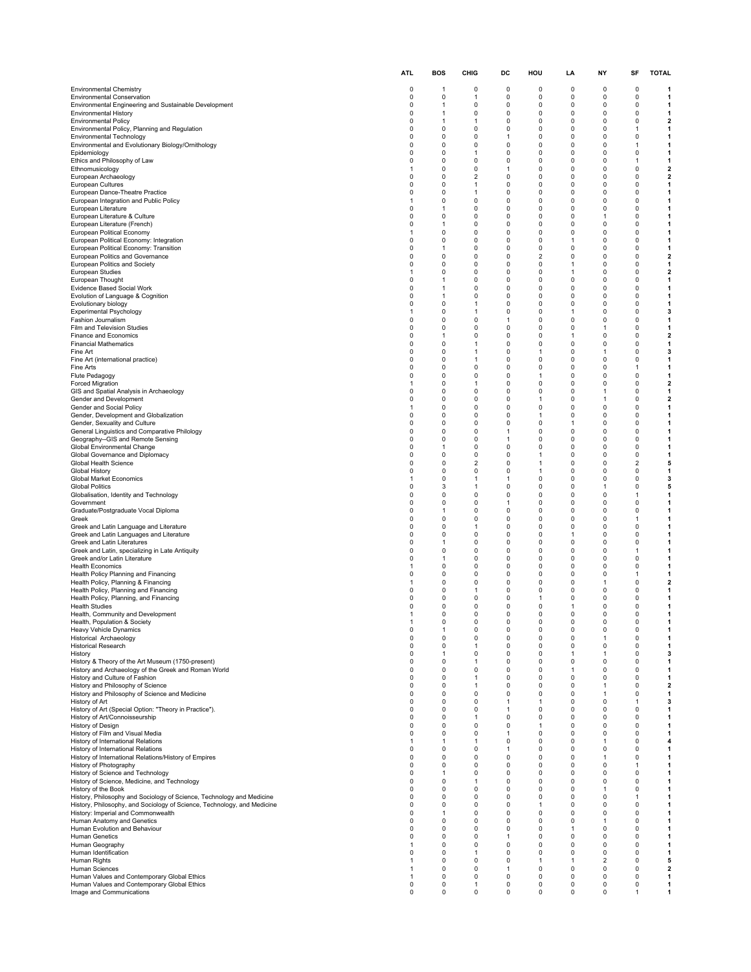|                                                                                                                                                  | <b>ATL</b>           | BOS                        | CHIG                           | DC                | HOU                 | LA                   | NΥ                          | SF                          | <b>TOTAL</b>                 |
|--------------------------------------------------------------------------------------------------------------------------------------------------|----------------------|----------------------------|--------------------------------|-------------------|---------------------|----------------------|-----------------------------|-----------------------------|------------------------------|
| <b>Environmental Chemistry</b>                                                                                                                   | 0                    | 1                          | 0                              | 0                 | 0                   | $\Omega$             | $\Omega$                    | 0                           | -1                           |
| <b>Environmental Conservation</b>                                                                                                                | 0                    | 0                          | 1                              | 0                 | 0                   | 0                    | 0                           | 0                           | 1                            |
| Environmental Engineering and Sustainable Development<br><b>Environmental History</b>                                                            | $\Omega$<br>0        | 1<br>1                     | 0<br>0                         | 0<br>0            | 0<br>0              | 0<br>0               | $\mathbf 0$<br>0            | $\mathbf 0$<br>$\mathbf 0$  | 1<br>1                       |
| <b>Environmental Policy</b>                                                                                                                      | 0                    | 1                          | 1                              | 0                 | 0                   | 0                    | 0                           | 0                           | $\mathbf{2}$                 |
| Environmental Policy, Planning and Regulation<br><b>Environmental Technology</b>                                                                 | $\Omega$<br>$\Omega$ | 0<br>$\mathbf 0$           | 0<br>0                         | 0<br>1            | 0<br>0              | $\Omega$<br>0        | $\Omega$<br>$\Omega$        | 1<br>$\mathbf 0$            | 1<br>1                       |
| Environmental and Evolutionary Biology/Ornithology                                                                                               | $\Omega$             | 0                          | 0                              | 0                 | 0                   | 0                    | 0                           | 1                           | 1                            |
| Epidemiology                                                                                                                                     | $\Omega$<br>$\Omega$ | 0<br>0                     | $\mathbf{1}$<br>0              | 0<br>0            | 0<br>0              | 0<br>0               | $\Omega$<br>0               | 0<br>-1                     | 1<br>1                       |
| Ethics and Philosophy of Law<br>Ethnomusicology                                                                                                  | -1                   | 0                          | 0                              | 1                 | 0                   | 0                    | 0                           | 0                           | $\overline{\mathbf{2}}$      |
| European Archaeology<br>European Cultures                                                                                                        | $\Omega$<br>$\Omega$ | $\mathbf 0$<br>$\mathbf 0$ | $\overline{2}$<br>$\mathbf{1}$ | 0<br>0            | $\Omega$<br>0       | $\Omega$<br>0        | $\Omega$<br>$\mathbf 0$     | $\Omega$<br>$\mathbf 0$     | $\overline{\mathbf{2}}$<br>1 |
| European Dance-Theatre Practice                                                                                                                  | $\Omega$             | 0                          | 1                              | 0                 | 0                   | 0                    | $\Omega$                    | $\Omega$                    | 1                            |
| European Integration and Public Policy                                                                                                           | 1<br>$\Omega$        | 0<br>1                     | 0                              | 0<br>0            | $\Omega$<br>0       | 0<br>0               | $\Omega$<br>$\mathbf 0$     | $\Omega$<br>$\mathbf 0$     | 1                            |
| European Literature<br>European Literature & Culture                                                                                             | 0                    | 0                          | 0<br>0                         | 0                 | 0                   | 0                    | 1                           | 0                           | 1<br>1                       |
| European Literature (French)                                                                                                                     | $\Omega$<br>1        | 1<br>$\mathbf 0$           | 0<br>0                         | 0<br>0            | $\Omega$<br>0       | $\Omega$<br>0        | $\mathbf 0$<br>$\mathbf 0$  | $\mathbf 0$<br>$\mathbf 0$  | 1<br>$\mathbf{1}$            |
| European Political Economy<br>European Political Economy: Integration                                                                            | $\Omega$             | $\mathbf 0$                | 0                              | 0                 | 0                   | $\mathbf{1}$         | $\mathbf 0$                 | $\mathbf 0$                 | 1                            |
| European Political Economy: Transition                                                                                                           | $\Omega$<br>$\Omega$ | 1<br>$\mathbf 0$           | 0<br>0                         | 0<br>0            | 0<br>$\overline{2}$ | $\Omega$<br>$\Omega$ | $\mathbf 0$<br>$\mathbf 0$  | $\mathbf 0$<br>$\mathbf 0$  | 1                            |
| European Politics and Governance<br>European Politics and Society                                                                                | 0                    | 0                          | 0                              | 0                 | 0                   | 1                    | 0                           | $\Omega$                    | $\overline{\mathbf{2}}$<br>1 |
| European Studies                                                                                                                                 | -1                   | 0                          | 0                              | 0                 | 0                   | 1                    | 0                           | 0                           | $\mathbf{2}$                 |
| European Thought<br>Evidence Based Social Work                                                                                                   | $\Omega$<br>$\Omega$ | 1<br>-1                    | 0<br>0                         | 0<br>0            | 0<br>0              | 0<br>$\Omega$        | $\mathbf 0$<br>$\mathbf 0$  | $\mathbf 0$<br>$\Omega$     | 1<br>1                       |
| Evolution of Language & Cognition                                                                                                                | $\Omega$             | 1                          | 0                              | 0                 | 0                   | $\Omega$             | $\Omega$                    | $\Omega$                    | 1                            |
| Evolutionary biology<br>Experimental Psychology                                                                                                  | $\Omega$<br>-1       | $\mathbf 0$<br>0           | $\mathbf{1}$<br>1              | 0<br>0            | 0<br>0              | 0<br>1               | $\mathbf 0$<br>0            | $\mathbf 0$<br>0            | 1<br>3                       |
| Fashion Journalism                                                                                                                               | 0                    | 0                          | 0                              | 1                 | 0                   | 0                    | 0                           | 0                           | 1                            |
| Film and Television Studies<br>Finance and Economics                                                                                             | $\Omega$<br>$\Omega$ | 0<br>-1                    | 0<br>0                         | 0<br>0            | 0<br>0              | $\Omega$<br>-1       | 1<br>$\mathbf 0$            | $\Omega$<br>$\Omega$        | 1<br>$\mathbf{2}$            |
| <b>Financial Mathematics</b>                                                                                                                     | $\Omega$             | 0                          | 1                              | 0                 | 0                   | 0                    | 0                           | 0                           | 1                            |
| Fine Art<br>Fine Art (international practice)                                                                                                    | $\Omega$<br>$\Omega$ | 0<br>0                     | 1<br>1                         | 0<br>0            | 1<br>0              | $\Omega$<br>0        | 1<br>0                      | $\Omega$<br>$\mathbf 0$     | 3<br>1                       |
| Fine Arts                                                                                                                                        | 0                    | 0                          | 0                              | 0                 | 0                   | 0                    | 0                           | -1                          | 1                            |
| Flute Pedagogy<br>Forced Migration                                                                                                               | $\Omega$<br>1        | $\mathbf 0$<br>$\mathbf 0$ | $\Omega$<br>$\mathbf{1}$       | 0<br>0            | 1<br>0              | $\Omega$<br>0        | $\Omega$<br>$\Omega$        | $\Omega$<br>$\mathbf 0$     | 1<br>$\overline{\mathbf{2}}$ |
| GIS and Spatial Analysis in Archaeology                                                                                                          | $\Omega$             | 0                          | 0                              | 0                 | 0                   | $\Omega$             | 1                           | $\Omega$                    | 1                            |
| Gender and Development<br>Gender and Social Policy                                                                                               | $\Omega$<br>1        | 0<br>0                     | 0<br>0                         | 0<br>0            | 1<br>0              | $\Omega$<br>0        | $\mathbf{1}$<br>$\mathbf 0$ | $\Omega$<br>$\mathbf 0$     | $\mathbf{2}$<br>1            |
| Gender, Development and Globalization                                                                                                            | 0                    | 0                          | 0                              | 0                 | 1                   | 0                    | 0                           | 0                           | 1                            |
| Gender, Sexuality and Culture<br>General Linguistics and Comparative Philology                                                                   | $\Omega$<br>$\Omega$ | 0<br>$\mathbf 0$           | 0<br>0                         | 0<br>$\mathbf{1}$ | 0<br>0              | 1<br>0               | $\Omega$<br>$\mathbf 0$     | $\mathbf 0$<br>$\mathbf 0$  | 1<br>1                       |
| Geography--GIS and Remote Sensing                                                                                                                | $\Omega$             | $\mathbf 0$                | 0                              | 1                 | 0                   | 0                    | $\mathbf 0$                 | $\mathbf 0$                 | 1                            |
| Global Environmental Change                                                                                                                      | $\Omega$<br>$\Omega$ | 1<br>$\mathbf 0$           | 0<br>0                         | 0<br>0            | $\Omega$<br>1       | $\Omega$<br>0        | $\mathbf 0$<br>$\mathbf 0$  | $\mathbf 0$<br>$\mathbf 0$  | 1<br>1                       |
| Global Governance and Diplomacy<br>Global Health Science                                                                                         | 0                    | 0                          | $\overline{2}$                 | 0                 | 1                   | 0                    | 0                           | $\overline{2}$              | 5                            |
| Global History                                                                                                                                   | 0<br>1               | 0<br>$\mathbf 0$           | 0<br>$\mathbf{1}$              | 0<br>1            | 1<br>0              | 0<br>0               | 0<br>$\mathbf 0$            | 0<br>$\mathbf 0$            | 1<br>3                       |
| Global Market Economics<br><b>Global Politics</b>                                                                                                | $\Omega$             | 3                          | 1                              | 0                 | 0                   | $\Omega$             | -1                          | $\Omega$                    | 5                            |
| Globalisation, Identity and Technology                                                                                                           | 0<br>$\Omega$        | 0                          | 0                              | 0                 | 0                   | 0                    | $\Omega$                    | 1                           | 1                            |
| Government<br>Graduate/Postgraduate Vocal Diploma                                                                                                | 0                    | $\mathbf 0$<br>1           | 0<br>0                         | $\mathbf{1}$<br>0 | 0<br>0              | 0<br>0               | $\mathbf 0$<br>0            | $\mathbf 0$<br>0            | $\mathbf{1}$<br>1            |
| Greek                                                                                                                                            | 0<br>$\Omega$        | 0                          | 0                              | 0                 | 0                   | 0<br>0               | 0<br>$\Omega$               | -1<br>$\mathbf 0$           | 1                            |
| Greek and Latin Language and Literature<br>Greek and Latin Languages and Literature                                                              | $\Omega$             | 0<br>$\Omega$              | 1<br>0                         | 0<br>0            | 0<br>0              | 1                    | $\mathbf 0$                 | $\mathbf 0$                 | 1<br>1                       |
| Greek and Latin Literatures                                                                                                                      | $\Omega$<br>0        | 1<br>0                     | 0                              | 0                 | 0                   | 0                    | 0<br>$\Omega$               | $\Omega$                    | 1                            |
| Greek and Latin, specializing in Late Antiquity<br>Greek and/or Latin Literature                                                                 | 0                    | $\mathbf{1}$               | 0<br>0                         | 0<br>0            | 0<br>0              | 0<br>0               | 0                           | 1<br>0                      | 1<br>1                       |
| <b>Health Economics</b>                                                                                                                          | 1                    | 0                          | 0                              | 0                 | 0                   | 0                    | 0                           | 0                           | 1                            |
| Health Policy Planning and Financing<br>Health Policy, Planning & Financing                                                                      | $\Omega$<br>-1       | $\Omega$<br>$\Omega$       | 0<br>0                         | 0<br>0            | $\Omega$<br>0       | $\Omega$<br>0        | $\Omega$<br>$\mathbf{1}$    | $\mathbf{1}$<br>$\mathbf 0$ | 1<br>$\mathbf{2}$            |
| Health Policy, Planning and Financing                                                                                                            | $\Omega$             | 0                          | 1                              | 0                 | 0                   | 0                    | $\mathbf 0$                 | $\Omega$                    | 1                            |
| Health Policy, Planning, and Financing<br><b>Health Studies</b>                                                                                  | 0<br>0               | 0<br>0                     | 0<br>0                         | 0<br>0            | $\mathbf{1}$<br>0   | 0<br>1               | 0<br>0                      | 0<br>0                      | 1<br>1                       |
| Health, Community and Development                                                                                                                |                      | 0                          | 0                              | 0                 | 0                   | 0                    | 0                           | 0                           |                              |
| Health, Population & Society<br>Heavy Vehicle Dynamics                                                                                           | 1<br>0               | 0<br>$\mathbf{1}$          | 0<br>0                         | 0<br>0            | 0<br>0              | 0<br>0               | 0<br>$\mathbf 0$            | 0<br>$\mathbf 0$            | 1<br>1                       |
| Historical Archaeology                                                                                                                           | $\mathbf 0$          | 0                          | 0                              | $\pmb{0}$         | $\mathbf 0$         | $\mathbf 0$          | -1                          | $\mathbf 0$                 | 1                            |
| <b>Historical Research</b><br>History                                                                                                            | $\Omega$<br>$\Omega$ | 0<br>$\mathbf{1}$          | 1<br>0                         | 0<br>0            | 0<br>0              | 0<br>1               | $\mathbf 0$<br>$\mathbf{1}$ | $\mathbf 0$<br>0            | 1<br>3                       |
| History & Theory of the Art Museum (1750-present)                                                                                                | 0                    | 0                          | $\mathbf{1}$                   | 0                 | 0                   | 0                    | 0                           | 0                           | 1                            |
| History and Archaeology of the Greek and Roman World<br>History and Culture of Fashion                                                           | 0<br>0               | 0<br>0                     | 0<br>$\mathbf{1}$              | 0<br>0            | 0<br>0              | 1<br>0               | 0<br>0                      | 0<br>$\mathbf 0$            | 1<br>1                       |
| History and Philosophy of Science                                                                                                                | 0                    | $\mathbf 0$                | $\mathbf{1}$                   | 0                 | $\mathbf 0$         | $\mathbf 0$          | $\mathbf{1}$                | $\Omega$                    | $\mathbf{2}$                 |
| History and Philosophy of Science and Medicine<br>History of Art                                                                                 | 0<br>0               | 0<br>0                     | 0<br>0                         | 0<br>1            | 0<br>$\mathbf{1}$   | 0<br>0               | $\mathbf{1}$<br>$\mathbf 0$ | 0<br>$\mathbf{1}$           | 1<br>3                       |
| History of Art (Special Option: "Theory in Practice").                                                                                           | 0                    | 0                          | 0                              | 1                 | 0                   | 0                    | 0                           | $\mathbf 0$                 | 1                            |
| History of Art/Connoisseurship<br>History of Design                                                                                              | 0<br>$\Omega$        | 0<br>0                     | 1<br>0                         | 0<br>0            | 0<br>$\mathbf{1}$   | 0<br>0               | 0<br>$\mathbf 0$            | 0<br>$\mathbf 0$            | 1<br>1                       |
| History of Film and Visual Media                                                                                                                 | 0                    | $\mathbf 0$                | 0                              | 1                 | 0                   | $\mathbf 0$          | $\mathbf 0$                 | $\mathbf 0$                 | $\mathbf{1}$                 |
| History of International Relations<br>History of International Relations                                                                         | 1<br>0               | 1<br>0                     | 1<br>0                         | 0<br>1            | 0<br>0              | 0<br>0               | $\mathbf{1}$<br>$\mathbf 0$ | 0<br>0                      | 4<br>1                       |
| History of International Relations/History of Empires                                                                                            | 0                    | $\pmb{0}$                  | 0                              | 0                 | 0                   | 0                    | $\mathbf{1}$                | 0                           | 1                            |
| History of Photography                                                                                                                           | 0<br>$\Omega$        | 0<br>$\mathbf{1}$          | 0<br>0                         | 0<br>0            | 0<br>0              | 0<br>0               | 0<br>0                      | 1<br>$\mathbf 0$            | 1<br>1                       |
| History of Science and Technology<br>History of Science, Medicine, and Technology                                                                | 0                    | 0                          | $\mathbf{1}$                   | 0                 | 0                   | 0                    | $\mathbf 0$                 | 0                           | 1                            |
| History of the Book                                                                                                                              | 0                    | 0                          | 0                              | 0                 | 0                   | 0                    | $\mathbf{1}$                | 0                           | 1                            |
| History, Philosophy and Sociology of Science, Technology and Medicine<br>History, Philosophy, and Sociology of Science, Technology, and Medicine | 0<br>$\Omega$        | 0<br>$\Omega$              | 0<br>0                         | 0<br>0            | 0<br>$\mathbf{1}$   | 0<br>0               | $\mathbf 0$<br>$\mathbf 0$  | 1<br>$\mathbf 0$            | 1<br>1                       |
| History: Imperial and Commonwealth                                                                                                               | 0                    | 1                          | 0                              | 0                 | 0                   | 0                    | 0                           | 0                           | 1                            |
| Human Anatomy and Genetics<br>Human Evolution and Behaviour                                                                                      | $\Omega$<br>$\Omega$ | 0<br>0                     | 0<br>0                         | 0<br>0            | 0<br>0              | 0<br>1               | $\mathbf{1}$<br>$\mathbf 0$ | $\mathbf 0$<br>$\mathbf 0$  | 1<br>$\mathbf{1}$            |
| Human Genetics                                                                                                                                   | 0                    | $\mathbf 0$                | 0                              | 1                 | 0                   | $\mathbf 0$          | $\mathbf 0$                 | $\mathbf 0$                 | $\mathbf{1}$                 |
| Human Geography<br>Human Identification                                                                                                          | 1<br>$\Omega$        | 0<br>0                     | 0<br>$\mathbf{1}$              | 0<br>0            | 0<br>0              | 0<br>0               | 0<br>0                      | 0<br>0                      | 1<br>1                       |
| Human Rights                                                                                                                                     | -1                   | 0                          | 0                              | 0                 | 1                   | 1                    | $\overline{2}$              | 0                           | 5                            |
| Human Sciences<br>Human Values and Contemporary Global Ethics                                                                                    | 1<br>1               | 0<br>0                     | 0<br>0                         | 1<br>0            | 0<br>0              | 0<br>0               | 0<br>$\mathbf 0$            | 0<br>0                      | $\mathbf{2}$<br>1            |
| Human Values and Contemporary Global Ethics                                                                                                      | 0                    | $\pmb{0}$                  | 1                              | 0                 | 0                   | 0                    | $\mathbf 0$                 | 0                           | 1                            |
| Image and Communications                                                                                                                         | 0                    | 0                          | 0                              | 0                 | 0                   | 0                    | 0                           | 1                           | 1                            |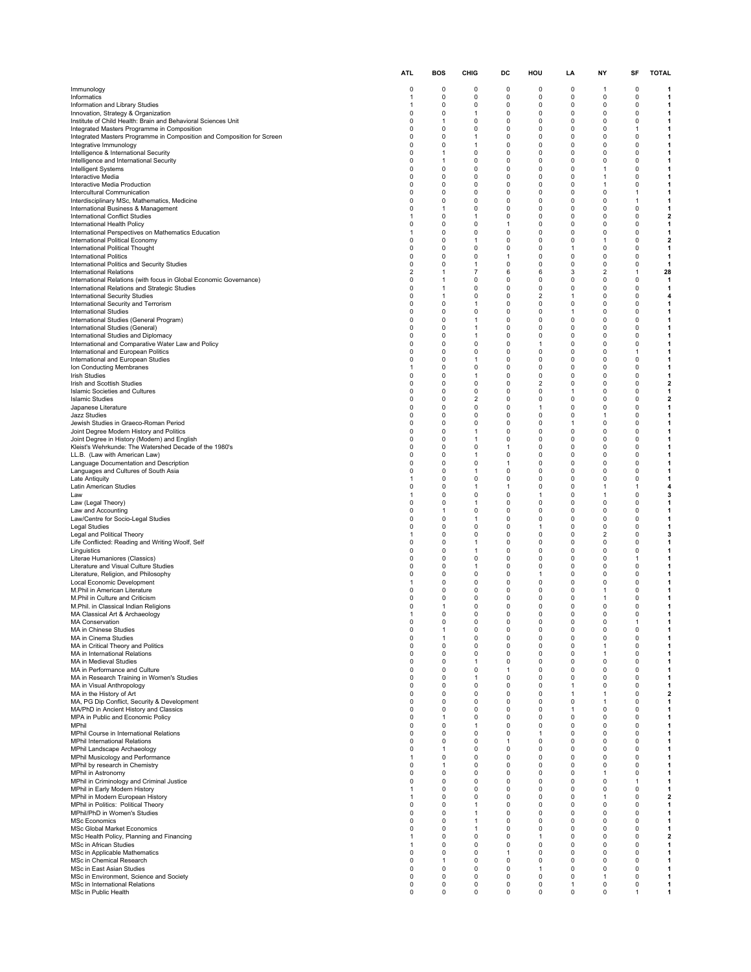|                                                                                                                       | <b>ATL</b>                    | <b>BOS</b>                   | CHIG                         | DC                       | HOU                 | LA                         | ΝY                | SF               | <b>TOTAL</b>                 |
|-----------------------------------------------------------------------------------------------------------------------|-------------------------------|------------------------------|------------------------------|--------------------------|---------------------|----------------------------|-------------------|------------------|------------------------------|
| Immunology                                                                                                            | 0                             | 0                            | 0                            | 0                        | 0                   | 0                          | $\mathbf{1}$      | 0                | 1                            |
| Informatics                                                                                                           | $\mathbf{1}$                  | $\mathbf 0$                  | 0                            | 0                        | 0                   | 0                          | 0                 | 0                | 1                            |
| Information and Library Studies<br>Innovation, Strategy & Organization                                                | $\mathbf{1}$<br>$\Omega$      | $\Omega$<br>$\Omega$         | 0<br>$\mathbf{1}$            | 0<br>0                   | 0<br>0              | 0<br>0                     | 0<br>0            | 0<br>0           | 1<br>1                       |
| Institute of Child Health: Brain and Behavioral Sciences Unit                                                         | $\mathbf 0$                   | $\mathbf{1}$                 | $\Omega$                     | 0                        | 0                   | 0                          | 0                 | 0                | 1                            |
| Integrated Masters Programme in Composition<br>Integrated Masters Programme in Composition and Composition for Screen | 0<br>$\mathbf 0$              | $\mathbf 0$<br>$\Omega$      | 0<br>$\mathbf{1}$            | 0<br>$\Omega$            | 0<br>0              | 0<br>0                     | 0<br>0            | 1<br>0           | 1<br>1                       |
| Integrative Immunology                                                                                                | $\mathbf 0$                   | $\mathbf 0$                  | $\mathbf{1}$                 | 0                        | 0                   | 0                          | 0                 | 0                | $\mathbf{1}$                 |
| Intelligence & International Security<br>Intelligence and International Security                                      | $\Omega$<br>$\mathbf 0$       | $\mathbf{1}$<br>$\mathbf{1}$ | 0<br>$\Omega$                | 0<br>$\Omega$            | 0<br>0              | 0<br>0                     | 0<br>0            | 0<br>0           | 1<br>1                       |
| Intelligent Systems                                                                                                   | $\mathbf 0$                   | $\mathbf 0$                  | $\Omega$                     | 0                        | 0                   | 0                          | 1                 | 0                | 1                            |
| Interactive Media<br>Interactive Media Production                                                                     | $\mathbf 0$<br>$\Omega$       | $\Omega$<br>0                | $\Omega$<br>0                | $\Omega$<br>0            | 0<br>0              | 0<br>0                     | 1<br>1            | 0<br>0           | 1<br>1                       |
| Intercultural Communication                                                                                           | $\mathbf 0$                   | $\mathbf 0$                  | 0                            | 0                        | 0                   | 0                          | 0                 | 1                | 1                            |
| Interdisciplinary MSc, Mathematics, Medicine<br>International Business & Management                                   | $\mathbf 0$<br>$\Omega$       | $\Omega$<br>1                | 0<br>$\Omega$                | $\Omega$<br>$\Omega$     | 0<br>0              | $\Omega$<br>0              | $\Omega$<br>0     | 1<br>0           | 1<br>1                       |
| <b>International Conflict Studies</b>                                                                                 | $\mathbf{1}$                  | $\mathbf 0$                  | $\mathbf{1}$                 | $\Omega$                 | 0                   | 0                          | 0                 | 0                | $\mathbf{2}$                 |
| International Health Policy<br>International Perspectives on Mathematics Education                                    | $\mathbf 0$<br>-1             | $\Omega$<br>0                | 0<br>0                       | $\mathbf{1}$<br>0        | 0<br>0              | 0<br>0                     | 0<br>0            | 0<br>0           | 1<br>1                       |
| International Political Economy                                                                                       | $\mathbf 0$                   | $\Omega$                     | $\mathbf{1}$                 | $\Omega$                 | 0                   | 0                          | 1                 | 0                | $\mathbf{2}$                 |
| International Political Thought<br><b>International Politics</b>                                                      | $\Omega$<br>$\mathbf 0$       | $\Omega$<br>$\Omega$         | 0<br>0                       | $\Omega$<br>$\mathbf{1}$ | 0<br>0              | $\mathbf{1}$<br>0          | 0<br>0            | 0<br>0           | $\mathbf{1}$<br>$\mathbf{1}$ |
| International Politics and Security Studies                                                                           | $\mathbf 0$                   | $\Omega$                     | $\mathbf{1}$                 | $\Omega$                 | 0                   | 0                          | 0                 | 0                | 1                            |
| <b>International Relations</b><br>International Relations (with focus in Global Economic Governance)                  | $\overline{2}$<br>$\mathbf 0$ | $\mathbf{1}$<br>1            | $\overline{7}$<br>0          | 6<br>0                   | 6<br>0              | 3<br>0                     | 2<br>0            | 1<br>0           | 28<br>$\mathbf{1}$           |
| International Relations and Strategic Studies                                                                         | $\mathbf 0$                   | $\mathbf{1}$                 | $\Omega$                     | $\Omega$                 | 0                   | 0                          | 0                 | 0                | 1                            |
| <b>International Security Studies</b><br>International Security and Terrorism                                         | $\mathbf 0$<br>$\mathbf 0$    | $\mathbf{1}$<br>$\Omega$     | 0<br>1                       | 0<br>$\Omega$            | $\overline{2}$<br>0 | $\mathbf{1}$<br>0          | 0<br>0            | 0<br>0           | 4<br>1                       |
| <b>International Studies</b>                                                                                          | $\mathbf 0$                   | $\Omega$                     | $\Omega$                     | $\Omega$                 | $\Omega$            | $\mathbf{1}$               | 0                 | 0                | 1                            |
| International Studies (General Program)<br>International Studies (General)                                            | $\mathbf 0$<br>0              | $\mathbf 0$<br>$\Omega$      | $\mathbf{1}$<br>1            | 0<br>0                   | 0<br>0              | 0<br>0                     | 0<br>0            | 0<br>0           | 1<br>1                       |
| International Studies and Diplomacy                                                                                   | $\mathbf 0$                   | $\Omega$                     | $\mathbf{1}$                 | $\Omega$                 | 0                   | 0                          | 0                 | 0                | 1                            |
| International and Comparative Water Law and Policy                                                                    | $\mathbf 0$                   | $\mathbf 0$<br>$\Omega$      | 0                            | 0                        | $\mathbf{1}$        | 0                          | 0<br>0            | 0                | $\mathbf{1}$                 |
| International and European Politics<br>International and European Studies                                             | $\mathbf 0$<br>$\mathbf 0$    | $\mathbf 0$                  | 0<br>$\mathbf{1}$            | 0<br>$\Omega$            | 0<br>0              | 0<br>0                     | 0                 | 1<br>0           | 1<br>1                       |
| Ion Conducting Membranes                                                                                              | $\mathbf{1}$                  | $\mathbf 0$                  | $\Omega$                     | $\Omega$                 | 0                   | 0                          | 0                 | 0                | 1                            |
| <b>Irish Studies</b><br>Irish and Scottish Studies                                                                    | $\mathbf 0$<br>$\Omega$       | $\Omega$<br>0                | $\mathbf{1}$<br>0            | $\Omega$<br>0            | 0<br>2              | 0<br>0                     | 0<br>0            | 0<br>0           | 1<br>$\mathbf{2}$            |
| <b>Islamic Societies and Cultures</b>                                                                                 | $\mathbf 0$                   | $\mathbf 0$                  | 0                            | 0                        | 0                   | 1                          | 0                 | 0                | 1                            |
| <b>Islamic Studies</b><br>Japanese Literature                                                                         | $\mathbf 0$<br>$\mathbf 0$    | $\Omega$<br>$\Omega$         | $\overline{2}$<br>$\Omega$   | $\Omega$<br>0            | 0<br>1              | 0<br>0                     | $\Omega$<br>0     | $\Omega$<br>0    | $\overline{\mathbf{z}}$<br>1 |
| <b>Jazz Studies</b>                                                                                                   | $\mathbf 0$                   | $\mathbf 0$                  | 0                            | 0                        | 0                   | 0                          | $\mathbf{1}$      | 0                | 1                            |
| Jewish Studies in Graeco-Roman Period<br>Joint Degree Modern History and Politics                                     | $\mathbf 0$<br>0              | $\Omega$<br>0                | 0<br>1                       | $\Omega$<br>0            | 0<br>0              | 1<br>0                     | 0<br>0            | 0<br>0           | 1<br>1                       |
| Joint Degree in History (Modern) and English                                                                          | $\mathbf 0$                   | $\Omega$                     | $\mathbf{1}$                 | $\Omega$                 | 0                   | 0                          | 0                 | 0                | 1                            |
| Kleist's Wehrkunde: The Watershed Decade of the 1980's<br>LL.B. (Law with American Law)                               | $\Omega$<br>$\mathbf 0$       | $\Omega$<br>$\Omega$         | 0<br>1                       | $\mathbf{1}$<br>0        | 0<br>0              | 0<br>0                     | 0<br>0            | 0<br>0           | 1<br>1                       |
| Language Documentation and Description                                                                                | $\mathbf 0$                   | $\Omega$                     | $\Omega$                     | $\mathbf{1}$             | 0                   | 0                          | 0                 | 0                | 1                            |
| Languages and Cultures of South Asia<br>Late Antiquity                                                                | $\Omega$<br>$\mathbf{1}$      | $\mathbf 0$<br>0             | $\mathbf{1}$<br>0            | 0<br>0                   | 0<br>0              | 0<br>0                     | 0<br>0            | 0<br>0           | 1<br>1                       |
| Latin American Studies                                                                                                | $\mathbf 0$                   | $\Omega$                     | $\mathbf{1}$                 | $\mathbf{1}$             | $\Omega$            | 0                          | 1                 | 1                | 4                            |
| Law<br>Law (Legal Theory)                                                                                             | $\mathbf{1}$<br>$\mathbf 0$   | $\mathbf 0$<br>$\Omega$      | $\Omega$<br>1                | 0<br>$\Omega$            | $\mathbf{1}$<br>0   | 0<br>0                     | 1<br>0            | 0<br>0           | 3<br>1                       |
| Law and Accounting                                                                                                    | $\mathbf 0$                   | $\mathbf{1}$                 | $\Omega$                     | $\Omega$                 | $\Omega$            | 0                          | 0                 | 0                | 1                            |
| Law/Centre for Socio-Legal Studies<br>Legal Studies                                                                   | $\mathbf 0$<br>0              | $\mathbf 0$<br>0             | $\mathbf{1}$<br>0            | $\Omega$<br>0            | 0<br>1              | 0<br>0                     | 0<br>0            | 0<br>0           | $\mathbf{1}$<br>1            |
| Legal and Political Theory                                                                                            | 1                             | $\mathbf 0$                  | $\Omega$                     | $\Omega$                 | 0                   | 0                          | $\overline{2}$    | 0                | 3                            |
| Life Conflicted: Reading and Writing Woolf, Self                                                                      | $\mathbf 0$<br>$\Omega$       | $\mathbf 0$<br>$\mathbf 0$   | $\mathbf{1}$<br>$\mathbf{1}$ | 0<br>0                   | 0<br>0              | 0<br>0                     | 0<br>0            | 0<br>0           | $\mathbf{1}$<br>1            |
| Linguistics<br>Literae Humaniores (Classics)                                                                          | $\mathbf 0$                   | $\mathbf 0$                  | $\Omega$                     | $\Omega$                 | 0                   | 0                          | 0                 | 1                | 1                            |
| Literature and Visual Culture Studies<br>Literature, Religion, and Philosophy                                         | $\mathbf 0$<br>$\Omega$       | $\mathbf 0$<br>$\Omega$      | $\mathbf{1}$<br>$\Omega$     | 0<br>$\Omega$            | 0<br>1              | 0<br>0                     | 0<br>0            | 0                | 1                            |
| Local Economic Development                                                                                            |                               | 0                            | 0                            | 0                        | 0                   | 0                          | 0                 | 0<br>0           | 1<br>1                       |
| M.Phil in American Literature                                                                                         | $\mathbf 0$<br>$\Omega$       | $\mathbf 0$<br>$\Omega$      | 0<br>0                       | 0<br>0                   | 0<br>0              | 0<br>0                     | 1                 | 0<br>0           | 1                            |
| M.Phil in Culture and Criticism<br>M.Phil. in Classical Indian Religions                                              | 0                             | 1                            | 0                            | $\Omega$                 | 0                   | 0                          | 1<br>0            | 0                | 1<br>1                       |
| MA Classical Art & Archaeology                                                                                        |                               | $\Omega$                     | $\Omega$                     | $\Omega$                 | $\Omega$            | $\Omega$                   | $\Omega$          | $\Omega$         |                              |
| <b>MA Conservation</b><br>MA in Chinese Studies                                                                       | $\mathbf 0$<br>0              | 0<br>1                       | 0<br>0                       | 0<br>0                   | 0<br>0              | 0<br>0                     | 0<br>0            | 1<br>0           | 1<br>1                       |
| MA in Cinema Studies                                                                                                  | 0<br>$\Omega$                 | 1                            | 0                            | 0                        | 0                   | 0                          | 0                 | 0                | 1                            |
| MA in Critical Theory and Politics<br>MA in International Relations                                                   | $\mathbf 0$                   | $\mathbf 0$<br>0             | 0<br>0                       | $\mathbf 0$<br>0         | 0<br>0              | 0<br>0                     | $\mathbf{1}$<br>1 | $\mathbf 0$<br>0 | $\mathbf{1}$<br>$\mathbf{1}$ |
| MA in Medieval Studies                                                                                                | $\mathbf 0$                   | $\mathbf 0$                  | $\mathbf{1}$                 | 0                        | 0                   | $\mathbf 0$                | 0                 | 0                | $\mathbf{1}$                 |
| MA in Performance and Culture<br>MA in Research Training in Women's Studies                                           | $\mathbf 0$<br>$\mathbf 0$    | $\mathbf 0$<br>0             | 0<br>1                       | $\mathbf{1}$<br>0        | 0<br>0              | $\mathbf 0$<br>0           | 0<br>0            | 0<br>0           | $\mathbf{1}$<br>$\mathbf{1}$ |
| MA in Visual Anthropology                                                                                             | $\mathbf 0$                   | $\mathbf 0$                  | 0                            | 0                        | 0                   | 1                          | 0                 | 0                | 1                            |
| MA in the History of Art<br>MA, PG Dip Conflict, Security & Development                                               | 0<br>0                        | 0<br>$\mathbf 0$             | 0<br>0                       | 0<br>0                   | 0<br>0              | 1<br>$\mathbf 0$           | $\mathbf{1}$<br>1 | 0<br>$\mathbf 0$ | $\mathbf{2}$<br>$\mathbf{1}$ |
| MA/PhD in Ancient History and Classics                                                                                | 0                             | 0                            | 0                            | $\Omega$                 | 0                   | 1                          | 0                 | 0                | 1                            |
| MPA in Public and Economic Policy<br>MPhil                                                                            | $\mathbf 0$<br>0              | $\mathbf{1}$<br>0            | 0<br>1                       | 0<br>0                   | 0<br>0              | $\mathbf 0$<br>0           | 0<br>0            | 0<br>0           | 1<br>1                       |
| MPhil Course in International Relations                                                                               | $\mathbf 0$                   | $\mathbf 0$                  | 0                            | 0                        | $\mathbf{1}$        | $\mathbf 0$                | 0                 | 0                | 1                            |
| <b>MPhil International Relations</b><br>MPhil Landscape Archaeology                                                   | $\mathbf 0$<br>$\mathbf 0$    | $\mathbf 0$<br>$\mathbf{1}$  | 0<br>0                       | $\mathbf{1}$<br>0        | 0<br>0              | $\mathbf 0$<br>$\mathbf 0$ | 0<br>0            | 0<br>$\mathbf 0$ | $\mathbf{1}$<br>$\mathbf{1}$ |
| MPhil Musicology and Performance                                                                                      | $\mathbf{1}$                  | $\mathbf 0$                  | 0                            | 0                        | 0                   | $\mathbf 0$                | 0                 | 0                | $\mathbf{1}$                 |
| MPhil by research in Chemistry<br>MPhil in Astronomy                                                                  | $\mathbf 0$<br>$\mathbf 0$    | $\mathbf{1}$<br>0            | 0<br>0                       | 0<br>0                   | 0<br>0              | $\mathbf 0$<br>$\mathbf 0$ | 0<br>1            | 0<br>0           | 1<br>1                       |
| MPhil in Criminology and Criminal Justice                                                                             | $\Omega$                      | 0                            | 0                            | 0                        | 0                   | 0                          | 0                 | 1                | $\mathbf{1}$                 |
| MPhil in Early Modern History<br>MPhil in Modern European History                                                     | $\mathbf{1}$<br>$\mathbf{1}$  | $\mathbf 0$<br>$\mathbf 0$   | 0<br>$\Omega$                | 0<br>$\Omega$            | 0<br>0              | 0<br>$\mathbf 0$           | 0<br>$\mathbf{1}$ | 0<br>$\Omega$    | 1<br>$\overline{\mathbf{z}}$ |
| MPhil in Politics: Political Theory                                                                                   | $\mathbf 0$                   | 0                            | 1                            | 0                        | 0                   | 0                          | 0                 | 0                | 1                            |
| MPhil/PhD in Women's Studies                                                                                          | $\mathbf 0$<br>$\mathbf 0$    | $\mathbf 0$<br>0             | $\mathbf{1}$                 | 0<br>0                   | 0<br>0              | $\mathbf 0$<br>0           | 0<br>0            | 0<br>$\mathbf 0$ | 1                            |
| <b>MSc Economics</b><br>MSc Global Market Economics                                                                   | 0                             | 0                            | 1<br>1                       | 0                        | 0                   | 0                          | 0                 | 0                | 1<br>1                       |
| MSc Health Policy, Planning and Financing                                                                             | $\mathbf{1}$                  | $\mathbf 0$                  | 0                            | $\Omega$                 | $\mathbf{1}$        | $\mathbf 0$                | 0                 | 0                | $\mathbf{2}$                 |
| MSc in African Studies<br>MSc in Applicable Mathematics                                                               | $\mathbf{1}$<br>$\mathbf 0$   | $\mathbf 0$<br>0             | 0<br>0                       | $\mathbf 0$<br>1         | 0<br>0              | $\mathbf 0$<br>0           | 0<br>0            | $\mathbf 0$<br>0 | $\mathbf{1}$<br>$\mathbf{1}$ |
| MSc in Chemical Research                                                                                              | $\mathbf 0$                   | $\mathbf{1}$                 | 0                            | 0                        | 0                   | $\mathbf 0$                | 0                 | 0                | $\mathbf{1}$                 |
| MSc in East Asian Studies<br>MSc in Environment, Science and Society                                                  | $\mathbf 0$<br>0              | 0<br>0                       | 0<br>0                       | 0<br>0                   | $\mathbf{1}$<br>0   | $\mathbf 0$<br>0           | 0<br>1            | 0<br>0           | $\mathbf{1}$<br>$\mathbf{1}$ |
| MSc in International Relations                                                                                        | $\mathbf 0$                   | 0                            | 0                            | 0                        | 0                   | 1                          | 0                 | 0                | 1                            |
| MSc in Public Health                                                                                                  | 0                             | 0                            | 0                            | 0                        | 0                   | 0                          | 0                 | 1                | 1                            |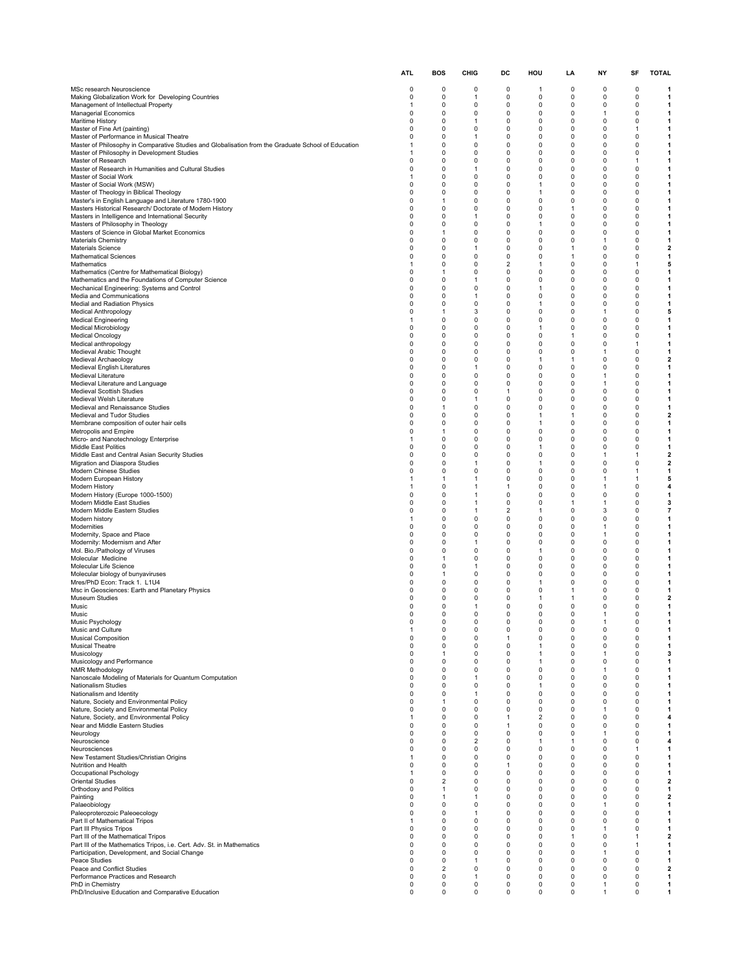|                                                                                                                | <b>ATL</b>                  | BOS                           | CHIG                        | DC                                  | HOU                          | LA                | NΥ                          | SF                | <b>TOTAL</b>                 |
|----------------------------------------------------------------------------------------------------------------|-----------------------------|-------------------------------|-----------------------------|-------------------------------------|------------------------------|-------------------|-----------------------------|-------------------|------------------------------|
| MSc research Neuroscience                                                                                      | 0                           | 0                             | 0                           | 0                                   | 1                            | 0                 | 0                           | 0                 | 1                            |
| Making Globalization Work for Developing Countries                                                             | 0                           | $\mathbf 0$                   | $\mathbf{1}$                | 0                                   | 0                            | 0                 | 0                           | 0                 | 1                            |
| Management of Intellectual Property<br><b>Managerial Economics</b>                                             | $\mathbf{1}$<br>0           | $\mathbf 0$<br>0              | 0<br>0                      | 0<br>0                              | 0<br>0                       | 0<br>0            | 0<br>1                      | 0<br>0            | 1<br>1                       |
| Maritime History                                                                                               | 0                           | 0                             | 1                           | 0                                   | 0                            | 0                 | 0                           | 0                 | 1                            |
| Master of Fine Art (painting)<br>Master of Performance in Musical Theatre                                      | $\Omega$<br>$\Omega$        | $\mathbf 0$<br>$\mathbf 0$    | 0<br>$\mathbf{1}$           | 0<br>0                              | 0<br>0                       | 0<br>0            | 0<br>0                      | 1<br>0            | 1<br>1                       |
| Master of Philosophy in Comparative Studies and Globalisation from the Graduate School of Education            | -1                          | 0                             | 0                           | 0                                   | 0                            | 0                 | 0                           | 0                 | 1                            |
| Master of Philosophy in Development Studies                                                                    | $\mathbf{1}$                | $\mathbf 0$                   | 0                           | 0                                   | 0                            | 0                 | 0                           | 0                 | 1                            |
| Master of Research<br>Master of Research in Humanities and Cultural Studies                                    | $\Omega$<br>0               | 0<br>0                        | 0<br>1                      | 0<br>0                              | 0<br>0                       | 0<br>0            | 0<br>0                      | 1<br>0            | 1<br>1                       |
| Master of Social Work                                                                                          | 1                           | $\Omega$                      | $\mathbf 0$                 | $\Omega$                            | $\Omega$                     | 0                 | 0                           | 0                 | 1                            |
| Master of Social Work (MSW)<br>Master of Theology in Biblical Theology                                         | $\mathbf 0$<br>$\Omega$     | $\mathbf 0$<br>$\mathbf 0$    | $\mathbf 0$<br>$\mathbf 0$  | 0<br>0                              | $\mathbf{1}$<br>1            | 0<br>0            | 0<br>0                      | 0<br>0            | 1<br>1                       |
| Master's in English Language and Literature 1780-1900                                                          | $\Omega$                    | $\overline{1}$                | 0                           | $\Omega$                            | 0                            | 0                 | 0                           | 0                 | 1                            |
| Masters Historical Research/ Doctorate of Modern History<br>Masters in Intelligence and International Security | $\mathbf 0$<br>0            | $\mathbf 0$<br>0              | 0<br>1                      | 0<br>0                              | $\Omega$<br>0                | $\mathbf{1}$<br>0 | 0<br>0                      | 0<br>0            | 1<br>1                       |
| Masters of Philosophy in Theology                                                                              | $\Omega$                    | 0                             | 0                           | 0                                   | $\mathbf{1}$                 | 0                 | 0                           | 0                 | 1                            |
| Masters of Science in Global Market Economics<br>Materials Chemistry                                           | $\mathbf 0$<br>$\mathbf 0$  | $\overline{1}$<br>$\mathbf 0$ | $\mathbf 0$<br>$\mathbf 0$  | 0<br>0                              | 0<br>0                       | 0<br>0            | 0<br>$\mathbf{1}$           | 0<br>0            | $\mathbf{1}$<br>1            |
| <b>Materials Science</b>                                                                                       | $\Omega$                    | $\mathbf 0$                   | $\mathbf{1}$                | 0                                   | 0                            | $\mathbf{1}$      | 0                           | 0                 | $\mathbf{2}$                 |
| <b>Mathematical Sciences</b><br>Mathematics                                                                    | $\mathbf 0$<br>-1           | $\mathbf 0$<br>0              | $\mathbf 0$<br>0            | $\Omega$<br>$\overline{\mathbf{c}}$ | $\Omega$<br>$\mathbf{1}$     | $\mathbf{1}$<br>0 | 0<br>0                      | 0<br>1            | 1<br>5                       |
| Mathematics (Centre for Mathematical Biology)                                                                  | 0                           | $\mathbf{1}$                  | 0                           | 0                                   | 0                            | 0                 | 0                           | 0                 | 1                            |
| Mathematics and the Foundations of Computer Science<br>Mechanical Engineering: Systems and Control             | $\mathbf 0$<br>$\Omega$     | $\mathbf 0$<br>$\mathbf 0$    | $\mathbf{1}$<br>$\mathbf 0$ | 0<br>0                              | 0<br>$\mathbf{1}$            | 0<br>0            | 0<br>0                      | 0<br>0            | 1<br>1                       |
| Media and Communications                                                                                       | $\Omega$                    | 0                             | 1                           | 0                                   | 0                            | 0                 | 0                           | 0                 | 1                            |
| Medial and Radiation Physics                                                                                   | $\mathbf 0$                 | $\mathbf 0$                   | 0                           | 0                                   | $\mathbf{1}$                 | 0                 | 0                           | 0                 | 1                            |
| <b>Medical Anthropology</b><br><b>Medical Engineering</b>                                                      | 0<br>$\mathbf{1}$           | -1<br>0                       | 3<br>0                      | 0<br>0                              | 0<br>0                       | 0<br>0            | -1<br>0                     | 0<br>0            | 5<br>1                       |
| Medical Microbiology                                                                                           | $\Omega$                    | 0                             | 0                           | 0                                   | $\mathbf{1}$                 | 0                 | 0                           | 0                 | 1                            |
| <b>Medical Oncology</b><br>Medical anthropology                                                                | $\Omega$<br>$\Omega$        | $\mathbf 0$<br>0              | $\mathbf 0$<br>0            | 0<br>0                              | $\Omega$<br>0                | $\mathbf{1}$<br>0 | 0<br>0                      | 0<br>1            | 1<br>1                       |
| Medieval Arabic Thought                                                                                        | $\Omega$                    | $\mathbf 0$                   | 0                           | 0                                   | 0                            | 0                 | $\mathbf{1}$                | 0                 | $\mathbf{1}$                 |
| Medieval Archaeology<br>Medieval English Literatures                                                           | 0<br>0                      | $\mathbf 0$<br>0              | 0<br>1                      | 0<br>0                              | $\mathbf{1}$<br>0            | 1<br>0            | 0<br>0                      | 0<br>0            | $\overline{\mathbf{2}}$<br>1 |
| Medieval Literature                                                                                            | $\Omega$                    | $\Omega$                      | $\mathbf 0$                 | $\Omega$                            | $\Omega$                     | 0                 | 1                           | 0                 | 1                            |
| Medieval Literature and Language<br><b>Medieval Scottish Studies</b>                                           | $\mathbf 0$<br>$\mathbf 0$  | $\mathbf 0$<br>0              | $\mathbf 0$                 | 0<br>1                              | 0<br>0                       | 0<br>0            | $\mathbf{1}$<br>0           | 0<br>0            | 1<br>1                       |
| Medieval Welsh Literature                                                                                      | $\Omega$                    | 0                             | 0<br>1                      | $\Omega$                            | $\Omega$                     | 0                 | 0                           | 0                 | 1                            |
| Medieval and Renaissance Studies                                                                               | 0                           | $\overline{1}$                | 0                           | 0                                   | $\Omega$                     | 0                 | 0                           | 0                 | 1                            |
| Medieval and Tudor Studies<br>Membrane composition of outer hair cells                                         | 0<br>$\Omega$               | 0<br>0                        | 0<br>0                      | 0<br>$\Omega$                       | 1<br>$\mathbf{1}$            | 1<br>0            | 0<br>0                      | 0<br>0            | $\mathbf{2}$<br>1            |
| Metropolis and Empire                                                                                          | $\mathbf 0$                 | $\overline{1}$                | $\mathbf 0$                 | 0                                   | 0                            | 0                 | 0                           | 0                 | 1                            |
| Micro- and Nanotechnology Enterprise<br>Middle East Politics                                                   | -1<br>$\Omega$              | $\mathbf 0$<br>$\mathbf 0$    | $\mathbf 0$<br>0            | 0<br>$\Omega$                       | 0<br>$\mathbf{1}$            | 0<br>0            | 0<br>0                      | 0<br>0            | 1<br>1                       |
| Middle East and Central Asian Security Studies                                                                 | $\mathbf 0$                 | $\mathbf 0$                   | $\mathbf 0$                 | $\Omega$                            | 0                            | 0                 | $\mathbf{1}$                | 1                 | $\mathbf{2}$                 |
| Migration and Diaspora Studies<br>Modern Chinese Studies                                                       | 0<br>0                      | 0<br>0                        | -1<br>0                     | 0<br>0                              | $\mathbf{1}$<br>0            | 0<br>0            | 0<br>0                      | 0<br>1            | $\mathbf{2}$<br>1            |
| Modern European History                                                                                        | $\mathbf{1}$                | $\mathbf{1}$                  | $\mathbf{1}$                | 0                                   | 0                            | 0                 | $\mathbf{1}$                | 1                 | 5                            |
| Modern History                                                                                                 | -1<br>0                     | $\mathbf 0$<br>0              | $\mathbf 1$<br>1            | $\mathbf{1}$<br>0                   | 0<br>0                       | 0<br>0            | 1<br>0                      | 0<br>0            | 4<br>1                       |
| Modern History (Europe 1000-1500)<br>Modern Middle East Studies                                                | $\mathbf 0$                 | $\mathbf 0$                   | $\mathbf{1}$                | 0                                   | $\Omega$                     | $\mathbf{1}$      | 1                           | 0                 | 3                            |
| Modern Middle Eastern Studies                                                                                  | 0                           | 0                             | -1                          | $\overline{\mathbf{c}}$             | $\mathbf{1}$                 | 0                 | 3                           | 0                 | $\overline{7}$               |
| Modern history<br>Modernities                                                                                  | $\mathbf{1}$<br>$\Omega$    | 0<br>0                        | 0<br>0                      | 0<br>0                              | 0<br>0                       | 0<br>0            | 0<br>$\mathbf{1}$           | 0<br>0            | 1<br>1                       |
| Modernity, Space and Place                                                                                     | $\Omega$                    | $\mathbf 0$                   | $\mathbf 0$                 | 0                                   | 0                            | 0                 | $\mathbf{1}$                | 0                 | 1                            |
| Modernity: Modernism and After<br>Mol. Bio./Pathology of Viruses                                               | $\Omega$<br>0               | 0<br>0                        | 1<br>0                      | 0<br>0                              | 0<br>$\mathbf{1}$            | 0<br>0            | 0<br>0                      | 0<br>0            | 1<br>1                       |
| Molecular Medicine                                                                                             | 0                           | -1                            | 0                           | 0                                   | 0                            | 0                 | 0                           | 0                 | 1                            |
| Molecular Life Science<br>Molecular biology of bunyaviruses                                                    | 0<br>$\Omega$               | 0<br>$\overline{1}$           | 1<br>$\Omega$               | 0<br>$\Omega$                       | 0<br>$\Omega$                | 0<br>0            | 0<br>0                      | 0<br>0            | 1<br>1                       |
| Mres/PhD Econ: Track 1. L1U4                                                                                   | $\mathbf 0$                 | $\mathbf 0$                   | $\mathbf 0$                 | 0                                   | $\mathbf{1}$                 | 0                 | 0                           | 0                 | $\mathbf{1}$                 |
| Msc in Geosciences: Earth and Planetary Physics<br>Museum Studies                                              | $\Omega$<br>$\Omega$        | $\mathbf 0$<br>0              | $\mathbf 0$<br>0            | 0<br>0                              | 0<br>$\mathbf{1}$            | 1<br>1            | 0<br>0                      | 0<br>0            | 1<br>$\mathbf{2}$            |
| Music                                                                                                          | $\mathbf 0$                 | 0                             | $\mathbf{1}$                | 0                                   | 0                            | 0                 | 0                           | 0                 | 1                            |
| Music                                                                                                          | 0                           | 0                             | 0                           | 0                                   | 0                            | 0                 | $\mathbf{1}$                | $\Omega$          |                              |
| Music Psychology<br>Music and Culture                                                                          | 0<br>$\mathbf{1}$           | 0<br>$\mathbf 0$              | 0<br>$\mathbf 0$            | 0<br>0                              | 0<br>0                       | 0<br>0            | 0                           | 0<br>0            | 1<br>$\mathbf{1}$            |
| <b>Musical Composition</b>                                                                                     | $\mathbf 0$                 | $\mathbf 0$                   | 0                           | $\mathbf{1}$                        | 0                            | 0                 | $\mathbf 0$                 | $\mathbf 0$       | 1                            |
| <b>Musical Theatre</b><br>Musicology                                                                           | $\mathbf 0$<br>$\mathbf 0$  | 0<br>$\overline{1}$           | 0<br>$\mathbf 0$            | 0<br>0                              | $\mathbf{1}$<br>$\mathbf{1}$ | 0<br>$\mathbf 0$  | 0<br>$\mathbf{1}$           | 0<br>0            | $\mathbf{1}$<br>3            |
| Musicology and Performance                                                                                     | 0                           | 0                             | 0                           | 0                                   | $\mathbf{1}$                 | 0                 | 0                           | 0                 | 1                            |
| NMR Methodology<br>Nanoscale Modeling of Materials for Quantum Computation                                     | 0<br>0                      | 0<br>$\mathbf 0$              | 0<br>$\mathbf{1}$           | 0<br>0                              | 0<br>0                       | 0<br>0            | 1<br>0                      | 0<br>0            | 1<br>1                       |
| Nationalism Studies                                                                                            | $\Omega$                    | $\Omega$                      | 0                           | 0                                   | $\mathbf{1}$                 | $\mathbf 0$       | $\mathbf 0$                 | $\Omega$          | 1                            |
| Nationalism and Identity<br>Nature, Society and Environmental Policy                                           | 0<br>$\mathbf 0$            | 0<br>$\overline{1}$           | 1<br>$\mathbf 0$            | 0<br>0                              | 0<br>0                       | 0<br>$\mathbf 0$  | 0<br>0                      | 0<br>0            | 1<br>1                       |
| Nature, Society and Environmental Policy                                                                       | 0                           | 0                             | 0                           | 0                                   | 0                            | 0                 | $\mathbf{1}$                | 0                 | 1                            |
| Nature, Society, and Environmental Policy<br>Near and Middle Eastern Studies                                   | $\mathbf{1}$<br>$\mathbf 0$ | 0<br>$\mathbf 0$              | 0<br>0                      | 1<br>$\mathbf{1}$                   | $\overline{\mathbf{c}}$<br>0 | 0<br>$\mathbf 0$  | 0<br>0                      | 0<br>0            | 4<br>1                       |
| Neurology                                                                                                      | $\Omega$                    | $\mathbf 0$                   | $\mathbf 0$                 | 0                                   | $\Omega$                     | $\mathbf 0$       | $\mathbf{1}$                | 0                 | 1                            |
| Neuroscience                                                                                                   | 0                           | 0                             | $\overline{2}$              | 0                                   | 1                            | 1                 | 0                           | 0                 | 4                            |
| Neurosciences<br>New Testament Studies/Christian Origins                                                       | $\Omega$<br>-1              | $\mathbf 0$<br>$\pmb{0}$      | 0<br>$\pmb{0}$              | 0<br>0                              | 0<br>0                       | 0<br>0            | 0<br>0                      | 1<br>0            | $\mathbf{1}$<br>1            |
| Nutrition and Health                                                                                           | 0                           | 0                             | 0                           | 1                                   | 0                            | 0                 | 0                           | 0                 | $\mathbf{1}$                 |
| Occupational Pschology<br><b>Oriental Studies</b>                                                              | $\mathbf{1}$<br>0           | $\mathbf 0$<br>$\overline{2}$ | 0<br>0                      | 0<br>0                              | $\Omega$<br>0                | $\mathbf 0$<br>0  | 0<br>0                      | 0<br>0            | 1<br>$\mathbf{2}$            |
| Orthodoxy and Politics                                                                                         | 0                           | $\mathbf{1}$                  | 0                           | 0                                   | 0                            | $\mathbf 0$       | $\mathbf 0$                 | 0                 | $\mathbf{1}$                 |
| Painting                                                                                                       | $\mathbf 0$<br>0            | $\overline{1}$<br>$\mathbf 0$ | 1<br>$\mathbf 0$            | $\Omega$<br>0                       | $\Omega$<br>0                | 0<br>$\mathbf 0$  | 0<br>$\mathbf{1}$           | 0<br>0            | $\mathbf{2}$                 |
| Palaeobiology<br>Paleoproterozoic Paleoecology                                                                 | 0                           | 0                             | 1                           | 0                                   | 0                            | 0                 | 0                           | 0                 | 1<br>1                       |
| Part II of Mathematical Tripos                                                                                 | 1                           | $\mathbf 0$                   | 0                           | 0                                   | $\Omega$                     | 0                 | 0                           | 0                 | 1                            |
| Part III Physics Tripos<br>Part III of the Mathematical Tripos                                                 | $\mathbf 0$<br>$\Omega$     | $\mathbf 0$<br>$\mathbf 0$    | $\mathbf 0$<br>$\mathbf 0$  | 0<br>0                              | 0<br>$\mathbf 0$             | 0<br>$\mathbf{1}$ | $\mathbf{1}$<br>$\mathbf 0$ | 0<br>$\mathbf{1}$ | 1<br>$\overline{\mathbf{z}}$ |
| Part III of the Mathematics Tripos, i.e. Cert. Adv. St. in Mathematics                                         | $\mathbf 0$                 | $\mathbf 0$                   | 0                           | 0                                   | 0                            | 0                 | 0                           | $\mathbf{1}$      | $\mathbf{1}$                 |
| Participation, Development, and Social Change<br>Peace Studies                                                 | $\mathbf 0$<br>0            | $\mathbf 0$<br>$\mathbf 0$    | $\mathbf 0$<br>-1           | 0<br>0                              | 0<br>0                       | $\mathbf 0$<br>0  | $\mathbf{1}$<br>0           | 0<br>0            | $\mathbf{1}$<br>1            |
| Peace and Conflict Studies                                                                                     | 0                           | $\overline{2}$                | 0                           | 0                                   | 0                            | 0                 | 0                           | 0                 | $\mathbf{2}$                 |
| Performance Practices and Research<br>PhD in Chemistry                                                         | 0<br>0                      | $\mathbf 0$<br>$\mathbf 0$    | $\mathbf{1}$<br>$\pmb{0}$   | 0<br>0                              | 0<br>$\mathbf 0$             | 0<br>$\mathbf 0$  | 0<br>1                      | 0<br>$\mathbf 0$  | $\mathbf{1}$<br>1            |
| PhD/Inclusive Education and Comparative Education                                                              | 0                           | 0                             | 0                           | 0                                   | 0                            | 0                 | 1                           | 0                 | 1                            |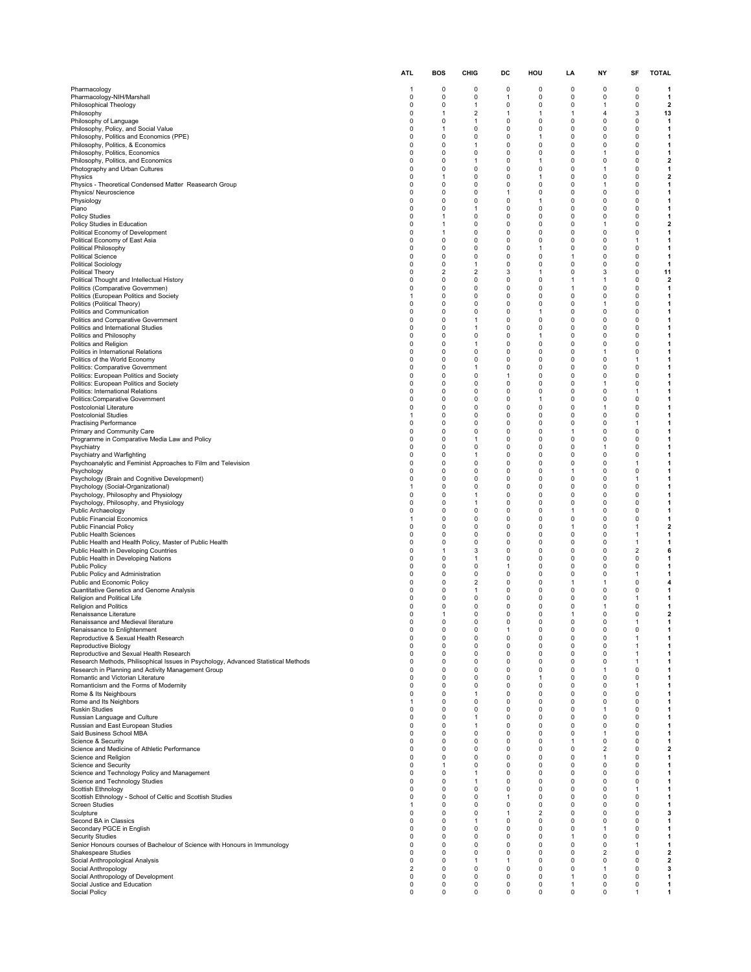|                                                                                                   | ATL                           | <b>BOS</b>                    | CHIG                           | DC                | HOU                  | LA                         | ΝY                      | SF                  | <b>TOTAL</b>                            |
|---------------------------------------------------------------------------------------------------|-------------------------------|-------------------------------|--------------------------------|-------------------|----------------------|----------------------------|-------------------------|---------------------|-----------------------------------------|
| Pharmacology                                                                                      | $\overline{1}$                | 0                             | 0                              | 0                 | 0                    | 0                          | 0                       | 0                   | 1                                       |
| Pharmacology-NIH/Marshall                                                                         | $\mathbf 0$                   | $\mathbf 0$                   | 0                              | $\mathbf{1}$      | 0                    | 0                          | 0                       | 0                   | $\mathbf{1}$                            |
| Philosophical Theology                                                                            | $\mathbf 0$<br>$\mathbf 0$    | $\mathbf 0$<br>$\mathbf{1}$   | $\mathbf{1}$                   | 0<br>$\mathbf{1}$ | 0<br>1               | 0<br>$\mathbf{1}$          | 1<br>4                  | 0<br>3              | $\overline{\mathbf{2}}$                 |
| Philosophy<br>Philosophy of Language                                                              | $\mathbf 0$                   | $\mathbf 0$                   | 2<br>$\mathbf 1$               | 0                 | 0                    | 0                          | 0                       | 0                   | 13<br>1                                 |
| Philosophy, Policy, and Social Value                                                              | 0                             | -1                            | 0                              | 0                 | 0                    | 0                          | 0                       | 0                   | $\mathbf{1}$                            |
| Philosophy, Politics and Economics (PPE)<br>Philosophy, Politics, & Economics                     | $\mathbf 0$<br>$\mathbf 0$    | $\mathbf 0$<br>$\mathbf 0$    | 0<br>$\mathbf{1}$              | 0<br>0            | 1<br>0               | 0<br>0                     | 0<br>0                  | 0<br>0              | $\mathbf{1}$<br>$\mathbf{1}$            |
| Philosophy, Politics, Economics                                                                   | $\Omega$                      | $\Omega$                      | 0                              | 0                 | 0                    | 0                          | 1                       | $\mathbf 0$         | $\mathbf{1}$                            |
| Philosophy, Politics, and Economics<br>Photography and Urban Cultures                             | $\mathbf 0$<br>$\mathbf 0$    | $\mathbf 0$<br>$\mathbf 0$    | $\mathbf{1}$<br>0              | $\Omega$<br>0     | 1<br>0               | 0<br>0                     | 0<br>1                  | 0<br>0              | $\mathbf{2}$<br>1                       |
| Physics                                                                                           | $\mathbf 0$                   | -1                            | $\Omega$                       | 0                 | 1                    | 0                          | 0                       | 0                   | $\mathbf 2$                             |
| Physics - Theoretical Condensed Matter Reasearch Group<br>Physics/ Neuroscience                   | 0<br>$\mathbf 0$              | 0<br>$\mathbf 0$              | 0<br>0                         | 0<br>$\mathbf{1}$ | 0<br>$\Omega$        | 0<br>0                     | 1<br>0                  | 0<br>0              | 1<br>$\mathbf{1}$                       |
| Physiology                                                                                        | $\Omega$                      | $\Omega$                      | $\Omega$                       | 0                 | 1                    | 0                          | $\Omega$                | $\Omega$            | 1                                       |
| Piano                                                                                             | $\mathbf 0$                   | $\Omega$                      | $\mathbf{1}$                   | $\Omega$          | $\Omega$             | 0                          | 0                       | 0                   | 1                                       |
| <b>Policy Studies</b><br>Policy Studies in Education                                              | $\mathbf 0$<br>0              | $\mathbf{1}$<br>-1            | 0<br>0                         | 0<br>0            | $\Omega$<br>0        | 0<br>0                     | 0<br>1                  | 0<br>0              | 1<br>$\mathbf{2}$                       |
| Political Economy of Development                                                                  | 0                             | 1                             | 0                              | 0                 | 0                    | 0                          | 0                       | 0                   | 1                                       |
| Political Economy of East Asia<br>Political Philosophy                                            | $\mathbf 0$<br>$\Omega$       | $\mathbf 0$<br>$\Omega$       | 0<br>0                         | $\Omega$<br>0     | 0<br>1               | 0<br>0                     | 0<br>0                  | 1<br>$\mathbf 0$    | 1<br>$\mathbf{1}$                       |
| <b>Political Science</b>                                                                          | $\mathbf 0$                   | $\mathbf 0$                   | 0                              | 0                 | 0                    | 1                          | 0                       | 0                   | $\mathbf{1}$                            |
| <b>Political Sociology</b>                                                                        | $\mathbf 0$<br>$\Omega$       | $\mathbf 0$<br>$\overline{2}$ | $\mathbf{1}$<br>$\overline{2}$ | $\Omega$<br>3     | $\Omega$<br>1        | 0<br>0                     | 0<br>3                  | 0<br>0              | $\mathbf{1}$<br>11                      |
| <b>Political Theory</b><br>Political Thought and Intellectual History                             | 0                             | 0                             | 0                              | 0                 | 0                    | 1                          | 1                       | 0                   | $\mathbf{2}$                            |
| Politics (Comparative Governmen)                                                                  | $\mathbf 0$                   | $\mathbf 0$                   | 0                              | 0                 | $\Omega$             | $\mathbf{1}$               | 0                       | 0                   | $\mathbf{1}$                            |
| Politics (European Politics and Society<br>Politics (Political Theory)                            | $\overline{1}$<br>$\mathbf 0$ | $\mathbf 0$<br>$\mathbf 0$    | 0<br>0                         | 0<br>0            | $\Omega$<br>$\Omega$ | 0<br>0                     | 0<br>1                  | 0<br>0              | 1<br>1                                  |
| Politics and Communication                                                                        | $\mathbf 0$                   | $\mathbf 0$                   | $\Omega$                       | $\Omega$          | 1                    | 0                          | 0                       | 0                   | 1                                       |
| Politics and Comparative Government<br>Politics and International Studies                         | $\mathbf 0$<br>0              | $\mathbf 0$<br>$\mathbf 0$    | $\mathbf{1}$<br>-1             | 0<br>0            | $\Omega$<br>0        | 0<br>0                     | 0<br>0                  | 0<br>0              | 1<br>1                                  |
| Politics and Philosophy                                                                           | $\mathbf 0$                   | $\mathbf 0$                   | 0                              | $\Omega$          | 1                    | 0                          | 0                       | 0                   | 1                                       |
| Politics and Religion                                                                             | $\mathbf 0$                   | $\mathbf 0$                   | $\mathbf{1}$                   | 0                 | $\Omega$             | 0                          | 0                       | 0                   | $\mathbf{1}$                            |
| Politics in International Relations<br>Politics of the World Economy                              | $\Omega$<br>$\mathbf 0$       | $\Omega$<br>$\mathbf 0$       | 0<br>0                         | 0<br>$\Omega$     | 0<br>$\Omega$        | 0<br>0                     | 1<br>0                  | 0<br>1              | 1<br>1                                  |
| Politics: Comparative Government                                                                  | $\mathbf 0$                   | $\mathbf 0$                   | $\mathbf{1}$                   | 0                 | 0                    | 0                          | 0                       | 0                   | 1                                       |
| Politics: European Politics and Society<br>Politics: European Politics and Society                | $\mathbf 0$<br>0              | $\mathbf 0$<br>0              | 0<br>0                         | $\mathbf{1}$<br>0 | 0<br>0               | 0<br>0                     | 0<br>1                  | 0<br>0              | 1<br>1                                  |
| Politics: International Relations                                                                 | $\mathbf 0$                   | $\mathbf 0$                   | 0                              | 0                 | 0                    | 0                          | 0                       | 1                   | $\mathbf{1}$                            |
| Politics: Comparative Government                                                                  | $\Omega$                      | $\Omega$                      | $\Omega$                       | $\Omega$          | 1                    | 0                          | $\Omega$                | $\Omega$            | 1                                       |
| Postcolonial Literature<br><b>Postcolonial Studies</b>                                            | 0<br>$\overline{1}$           | $\mathbf 0$<br>$\mathbf 0$    | $\Omega$<br>0                  | 0<br>0            | 0<br>0               | 0<br>0                     | 1<br>0                  | 0<br>0              | 1<br>$\mathbf{1}$                       |
| <b>Practising Performance</b>                                                                     | 0                             | 0                             | 0                              | 0                 | 0                    | 0                          | 0                       | 1                   | 1                                       |
| Primary and Community Care<br>Programme in Comparative Media Law and Policy                       | 0<br>$\mathbf 0$              | 0<br>$\mathbf 0$              | 0<br>$\mathbf{1}$              | 0<br>$\Omega$     | 0<br>$\Omega$        | 1<br>0                     | 0<br>0                  | 0<br>0              | 1<br>1                                  |
| Psychiatry                                                                                        | $\Omega$                      | $\Omega$                      | 0                              | 0                 | $\mathbf 0$          | 0                          | $\mathbf{1}$            | 0                   | 1                                       |
| Psychiatry and Warfighting                                                                        | $\mathbf 0$                   | $\mathbf 0$                   | $\mathbf{1}$                   | 0                 | 0                    | 0                          | 0                       | 0                   | 1                                       |
| Psychoanalytic and Feminist Approaches to Film and Television<br>Psychology                       | $\mathbf 0$<br>$\mathbf 0$    | $\mathbf 0$<br>$\mathbf 0$    | 0<br>0                         | $\Omega$<br>0     | 0<br>0               | 0<br>$\mathbf{1}$          | 0<br>0                  | 1<br>0              | 1<br>$\mathbf{1}$                       |
| Psychology (Brain and Cognitive Development)                                                      | 0                             | $\mathbf 0$                   | 0                              | 0                 | 0                    | 0                          | 0                       | 1                   | 1                                       |
| Psychology (Social-Organizational)<br>Psychology, Philosophy and Physiology                       | $\mathbf{1}$<br>$\mathbf 0$   | $\mathbf 0$<br>$\mathbf 0$    | $\Omega$<br>$\mathbf{1}$       | 0<br>0            | $\Omega$<br>0        | 0<br>0                     | 0<br>0                  | 0<br>0              | 1<br>$\mathbf{1}$                       |
| Psychology, Philosophy, and Physiology                                                            | $\mathbf 0$                   | $\mathbf 0$                   | $\mathbf{1}$                   | $\Omega$          | $\Omega$             | 0                          | 0                       | 0                   | 1                                       |
| Public Archaeology                                                                                | $\mathbf 0$                   | $\mathbf 0$                   | $\Omega$                       | $\Omega$          | $\Omega$<br>$\Omega$ | $\mathbf{1}$               | 0                       | 0                   | 1                                       |
| <b>Public Financial Economics</b><br><b>Public Financial Policy</b>                               | $\overline{1}$<br>0           | $\mathbf 0$<br>0              | 0<br>0                         | 0<br>0            | 0                    | 0<br>1                     | 0<br>0                  | 0<br>1              | 1<br>$\mathbf{2}$                       |
| <b>Public Health Sciences</b>                                                                     | $\mathbf 0$                   | $\mathbf 0$                   | 0                              | 0                 | $\Omega$             | 0                          | 0                       | $\mathbf{1}$        | 1                                       |
| Public Health and Health Policy, Master of Public Health<br>Public Health in Developing Countries | $\mathbf 0$<br>$\mathbf 0$    | $\mathbf 0$<br>$\mathbf{1}$   | 0<br>3                         | 0<br>0            | 0<br>0               | 0<br>0                     | 0<br>0                  | 1<br>$\overline{2}$ | $\mathbf{1}$<br>6                       |
| Public Health in Developing Nations                                                               | $\mathbf 0$                   | $\mathbf 0$                   | $\mathbf{1}$                   | $\Omega$          | $\Omega$             | 0                          | 0                       | 0                   | 1                                       |
| Public Policy<br>Public Policy and Administration                                                 | $\mathbf 0$<br>$\mathbf 0$    | $\mathbf 0$<br>$\mathbf 0$    | 0<br>$\Omega$                  | $\mathbf{1}$<br>0 | 0<br>0               | 0<br>0                     | 0<br>0                  | 0<br>1              | $\mathbf{1}$<br>1                       |
| Public and Economic Policy                                                                        | 0                             | 0                             | 2                              | 0                 | 0                    | 1                          | 1                       | 0                   | 4                                       |
| Quantitative Genetics and Genome Analysis                                                         | 0                             | 0                             | $\mathbf{1}$                   | 0                 | 0                    | 0                          | 0                       | 0                   | $\mathbf{1}$                            |
| Religion and Political Life<br>Religion and Politics                                              | $\mathbf 0$<br>$\Omega$       | 0<br>0                        | 0<br>0                         | 0<br>0            | 0<br>0               | 0<br>0                     | 0<br>1                  | 1<br>0              | 1<br>1                                  |
| Renaissance Literature                                                                            |                               | $\mathbf{1}$                  | $\Omega$                       | $\Omega$          | $\Omega$             | 1                          | $\Omega$                | $\Omega$            | 2                                       |
| Renaissance and Medieval literature<br>Renaissance to Enlightenment                               | $\pmb{0}$<br>0                | 0<br>0                        | 0<br>0                         | 0<br>1            | 0<br>0               | 0<br>0                     | 0<br>0                  | 1<br>0              | 1<br>1                                  |
| Reproductive & Sexual Health Research                                                             | 0                             | 0                             | 0                              | 0                 | 0                    | 0                          | 0                       | $\mathbf{1}$        | 1                                       |
| <b>Reproductive Biology</b><br>Reproductive and Sexual Health Research                            | $\mathbf 0$<br>0              | $\mathbf 0$<br>0              | $\mathbf 0$<br>0               | $\mathbf 0$<br>0  | $\mathbf 0$<br>0     | 0<br>0                     | 0<br>0                  | 1<br>$\mathbf{1}$   | 1<br>1                                  |
| Research Methods, Philisophical Issues in Psychology, Advanced Statistical Methods                | $\mathbf 0$                   | 0                             | 0                              | 0                 | 0                    | 0                          | 0                       | $\mathbf{1}$        | $\mathbf{1}$                            |
| Research in Planning and Activity Management Group<br>Romantic and Victorian Literature           | $\mathbf 0$                   | $\mathbf 0$                   | 0                              | 0                 | 0                    | $\mathbf 0$                | $\mathbf{1}$            | 0                   | 1                                       |
| Romanticism and the Forms of Modernity                                                            | 0<br>$\mathbf 0$              | 0<br>0                        | 0<br>0                         | 0<br>0            | 1<br>0               | 0<br>$\mathbf 0$           | 0<br>0                  | 0<br>1              | 1<br>1                                  |
| Rome & Its Neighbours                                                                             | $\mathbf 0$                   | 0                             | $\mathbf{1}$                   | 0                 | 0                    | 0                          | 0                       | 0                   | 1                                       |
| Rome and Its Neighbors<br><b>Ruskin Studies</b>                                                   | $\overline{1}$<br>$\mathbf 0$ | 0<br>0                        | 0<br>0                         | 0<br>0            | $\mathbf 0$<br>0     | $\mathbf 0$<br>$\mathbf 0$ | 0<br>1                  | 0<br>0              | 1<br>1                                  |
| Russian Language and Culture                                                                      | $\mathbf 0$                   | $\mathbf 0$                   | $\mathbf{1}$                   | 0                 | 0                    | $\mathbf 0$                | 0                       | 0                   | 1                                       |
| Russian and East European Studies<br>Said Business School MBA                                     | 0<br>$\mathbf 0$              | 0<br>0                        | $\mathbf{1}$<br>0              | 0<br>0            | 0<br>0               | 0<br>$\mathbf 0$           | 0<br>$\mathbf{1}$       | 0<br>0              | 1<br>1                                  |
| Science & Security                                                                                | $\mathbf 0$                   | 0                             | 0                              | 0                 | 0                    | $\mathbf{1}$               | 0                       | 0                   | 1                                       |
| Science and Medicine of Athletic Performance                                                      | $\mathbf 0$                   | $\mathbf 0$                   | $\mathbf 0$                    | 0                 | $\mathbf 0$          | $\mathbf 0$                | $\overline{\mathbf{c}}$ | 0                   | $\overline{\mathbf{z}}$                 |
| Science and Religion<br>Science and Security                                                      | $\mathbf 0$<br>$\mathbf 0$    | 0<br>$\mathbf{1}$             | 0<br>0                         | 0<br>0            | 0<br>0               | $\mathbf 0$<br>$\mathbf 0$ | $\mathbf{1}$<br>0       | 0<br>0              | 1<br>$\mathbf{1}$                       |
| Science and Technology Policy and Management                                                      |                               | 0                             | -1                             | 0                 | 0                    | 0                          | 0                       | 0                   | 1                                       |
| Science and Technology Studies<br>Scottish Ethnology                                              | 0                             |                               |                                |                   |                      |                            |                         |                     | 1                                       |
| Scottish Ethnology - School of Celtic and Scottish Studies                                        | 0                             | 0                             | $\mathbf{1}$                   | 0                 | 0                    | 0                          | 0                       | 0                   |                                         |
| Screen Studies                                                                                    | $\mathbf 0$<br>$\mathbf 0$    | 0<br>$\mathbf 0$              | 0<br>0                         | 0<br>$\mathbf{1}$ | 0<br>$\mathbf 0$     | $\mathbf 0$<br>$\mathbf 0$ | 0<br>0                  | $\mathbf{1}$<br>0   | 1<br>$\mathbf{1}$                       |
|                                                                                                   | $\overline{1}$                | 0                             | 0                              | 0                 | 0                    | 0                          | 0                       | 0                   | 1                                       |
| Sculpture<br>Second BA in Classics                                                                | $\mathbf 0$<br>0              | $\mathbf 0$<br>0              | 0<br>-1                        | $\mathbf{1}$<br>0 | 2<br>0               | $\mathbf 0$<br>0           | 0<br>0                  | 0<br>0              | 3<br>1                                  |
| Secondary PGCE in English                                                                         | 0                             | 0                             | 0                              | 0                 | 0                    | 0                          | 1                       | 0                   | 1                                       |
| <b>Security Studies</b>                                                                           | $\mathbf 0$<br>$\mathbf 0$    | 0<br>$\mathbf 0$              | 0<br>$\mathbf 0$               | 0<br>$\mathbf 0$  | 0<br>$\mathbf 0$     | 1<br>$\mathbf 0$           | 0<br>0                  | 0<br>$\mathbf{1}$   | 1                                       |
| Senior Honours courses of Bachelour of Science with Honours in Immunology<br>Shakespeare Studies  | 0                             | 0                             | 0                              | 0                 | 0                    | 0                          | $\overline{\mathbf{c}}$ | 0                   | $\mathbf{1}$<br>$\overline{\mathbf{z}}$ |
| Social Anthropological Analysis                                                                   | $\mathbf 0$                   | 0                             | $\mathbf{1}$                   | $\mathbf{1}$      | 0                    | 0                          | 0                       | 0                   | $\mathbf{2}$                            |
| Social Anthropology<br>Social Anthropology of Development<br>Social Justice and Education         | 2<br>0<br>0                   | $\mathbf 0$<br>0<br>0         | 0<br>0<br>0                    | 0<br>0<br>0       | 0<br>0<br>0          | $\mathbf 0$<br>1<br>1      | $\mathbf{1}$<br>0<br>0  | 0<br>0<br>0         | 3<br>1<br>1                             |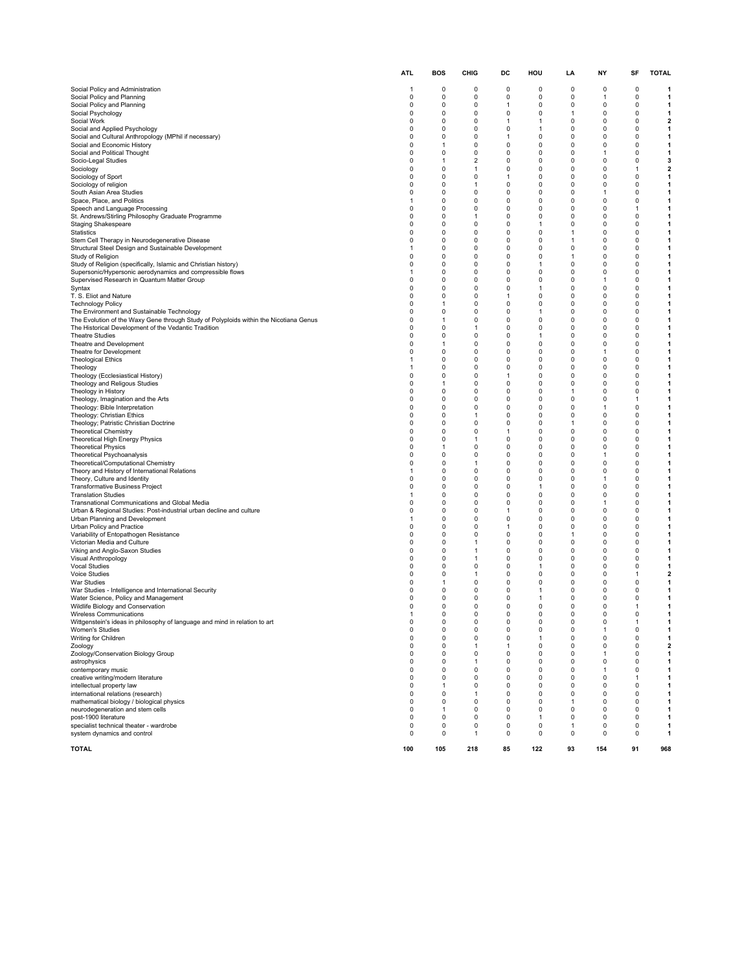|                                                                                                                                               | ATL                        | <b>BOS</b>                  | CHIG                           | DC                       | HOU               | LA                | NY                | SF                | <b>TOTAL</b>                 |
|-----------------------------------------------------------------------------------------------------------------------------------------------|----------------------------|-----------------------------|--------------------------------|--------------------------|-------------------|-------------------|-------------------|-------------------|------------------------------|
| Social Policy and Administration                                                                                                              | $\overline{1}$             | 0                           | 0                              | 0                        | 0                 | 0                 | 0                 | 0                 | 1                            |
| Social Policy and Planning                                                                                                                    | 0                          | 0                           | 0                              | 0                        | 0                 | 0                 | 1                 | 0                 | 1                            |
| Social Policy and Planning<br>Social Psychology                                                                                               | 0<br>$\Omega$              | 0<br>$\Omega$               | 0<br>0                         | 1<br>0                   | 0<br>0            | 0<br>$\mathbf{1}$ | 0<br>0            | 0<br>0            | 1<br>1                       |
| Social Work                                                                                                                                   | $\mathbf 0$                | $\mathbf 0$                 | 0                              | $\mathbf{1}$             | 1                 | 0                 | 0                 | 0                 | $\mathbf{2}$                 |
| Social and Applied Psychology                                                                                                                 | $\mathbf 0$                | $\mathbf 0$                 | 0                              | 0                        | 1                 | 0                 | 0                 | 0                 | 1                            |
| Social and Cultural Anthropology (MPhil if necessary)<br>Social and Economic History                                                          | $\mathbf 0$<br>$\mathbf 0$ | $\mathbf 0$<br>$\mathbf{1}$ | 0<br>0                         | $\mathbf{1}$<br>0        | 0<br>0            | 0<br>0            | 0<br>0            | 0<br>0            | 1<br>$\mathbf{1}$            |
| Social and Political Thought                                                                                                                  | 0                          | 0                           | 0                              | 0                        | 0                 | 0                 | 1                 | 0                 | 1                            |
| Socio-Legal Studies                                                                                                                           | $\mathbf 0$<br>$\mathbf 0$ | $\mathbf{1}$<br>$\mathbf 0$ | $\overline{2}$<br>$\mathbf{1}$ | 0<br>0                   | 0<br>0            | 0<br>0            | 0<br>0            | 0<br>1            | 3                            |
| Sociology<br>Sociology of Sport                                                                                                               | $\mathbf 0$                | $\mathbf 0$                 | 0                              | $\mathbf{1}$             | 0                 | 0                 | 0                 | 0                 | $\mathbf{2}$<br>1            |
| Sociology of religion                                                                                                                         | 0                          | 0                           | $\mathbf{1}$                   | 0                        | 0                 | 0                 | 0                 | 0                 | 1                            |
| South Asian Area Studies<br>Space, Place, and Politics                                                                                        | 0<br>-1                    | $\mathbf 0$<br>0            | 0<br>0                         | 0<br>0                   | 0<br>0            | 0<br>0            | $\mathbf{1}$<br>0 | 0<br>0            | 1<br>1                       |
| Speech and Language Processing                                                                                                                | 0                          | 0                           | 0                              | 0                        | 0                 | 0                 | 0                 | 1                 | 1                            |
| St. Andrews/Stirling Philosophy Graduate Programme                                                                                            | $\mathbf 0$                | $\mathbf 0$                 | $\mathbf{1}$                   | 0                        | 0                 | 0                 | 0                 | 0                 | $\mathbf{1}$                 |
| <b>Staging Shakespeare</b><br>Statistics                                                                                                      | $\mathbf 0$<br>0           | $\mathbf 0$<br>0            | 0<br>0                         | 0<br>0                   | 1<br>0            | 0<br>1            | 0<br>0            | 0<br>0            | 1<br>1                       |
| Stem Cell Therapy in Neurodegenerative Disease                                                                                                | $\mathbf 0$                | $\mathbf 0$                 | 0                              | 0                        | 0                 | $\mathbf{1}$      | 0                 | 0                 | $\mathbf{1}$                 |
| Structural Steel Design and Sustainable Development                                                                                           | $\mathbf{1}$               | 0                           | 0                              | 0                        | 0                 | 0                 | 0                 | 0                 | 1                            |
| Study of Religion<br>Study of Religion (specifically, Islamic and Christian history)                                                          | 0<br>$\Omega$              | 0<br>$\Omega$               | 0<br>$\Omega$                  | 0<br>$\Omega$            | 0<br>1            | 1<br>0            | 0<br>0            | 0<br>0            | 1<br>1                       |
| Supersonic/Hypersonic aerodynamics and compressible flows                                                                                     | $\overline{1}$             | $\mathbf 0$                 | 0                              | 0                        | 0                 | 0                 | 0                 | 0                 | 1                            |
| Supervised Research in Quantum Matter Group                                                                                                   | 0                          | $\mathbf 0$                 | $\Omega$                       | 0                        | 0                 | 0                 | 1                 | 0                 | 1                            |
| Syntax<br>T. S. Eliot and Nature                                                                                                              | 0<br>$\mathbf 0$           | 0<br>0                      | 0<br>0                         | $\Omega$<br>$\mathbf{1}$ | 1<br>0            | 0<br>0            | 0<br>0            | 0<br>0            | 1<br>1                       |
| <b>Technology Policy</b>                                                                                                                      | 0                          | $\mathbf{1}$                | 0                              | 0                        | 0                 | 0                 | 0                 | 0                 | 1                            |
| The Environment and Sustainable Technology                                                                                                    | $\Omega$                   | 0                           | 0                              | 0                        | 1                 | 0                 | 0                 | 0                 | 1                            |
| The Evolution of the Waxy Gene through Study of Polyploids within the Nicotiana Genus<br>The Historical Development of the Vedantic Tradition | $\mathbf 0$<br>$\mathbf 0$ | $\mathbf{1}$<br>$\mathbf 0$ | 0<br>-1                        | 0<br>0                   | 0<br>0            | 0<br>0            | 0<br>0            | 0<br>0            | $\mathbf{1}$<br>1            |
| <b>Theatre Studies</b>                                                                                                                        | $\mathbf 0$                | $\mathbf 0$                 | 0                              | $\Omega$                 | 1                 | 0                 | 0                 | 0                 | 1                            |
| Theatre and Development                                                                                                                       | $\mathbf 0$<br>0           | $\mathbf{1}$                | 0                              | $\Omega$                 | 0                 | 0<br>0            | 0                 | 0<br>0            | 1                            |
| Theatre for Development<br><b>Theological Ethics</b>                                                                                          | $\mathbf{1}$               | 0<br>$\mathbf 0$            | 0<br>0                         | 0<br>0                   | 0<br>$\Omega$     | 0                 | 1<br>0            | 0                 | 1<br>1                       |
| Theology                                                                                                                                      | $\overline{1}$             | $\mathbf 0$                 | 0                              | 0                        | 0                 | 0                 | 0                 | 0                 | 1                            |
| Theology (Ecclesiastical History)                                                                                                             | $\mathbf 0$<br>0           | $\mathbf 0$<br>1            | 0<br>$\Omega$                  | $\mathbf{1}$<br>0        | 0<br>0            | 0<br>0            | 0<br>0            | 0<br>0            | 1<br>1                       |
| Theology and Religous Studies<br>Theology in History                                                                                          | 0                          | $\mathbf 0$                 | 0                              | 0                        | 0                 | 1                 | 0                 | 0                 | 1                            |
| Theology, Imagination and the Arts                                                                                                            | 0                          | 0                           | 0                              | 0                        | 0                 | 0                 | 0                 | 1                 | 1                            |
| Theology: Bible Interpretation<br>Theology: Christian Ethics                                                                                  | 0<br>$\mathbf 0$           | 0<br>$\mathbf 0$            | 0<br>$\mathbf{1}$              | 0<br>0                   | 0<br>0            | 0<br>0            | 1<br>0            | 0<br>0            | 1<br>1                       |
| Theology; Patristic Christian Doctrine                                                                                                        | $\mathbf 0$                | $\mathbf 0$                 | 0                              | 0                        | 0                 | $\mathbf{1}$      | 0                 | 0                 | 1                            |
| <b>Theoretical Chemistry</b>                                                                                                                  | 0                          | $\Omega$                    | 0                              | 1                        | 0                 | 0                 | 0                 | 0                 | 1                            |
| Theoretical High Energy Physics<br><b>Theoretical Physics</b>                                                                                 | 0<br>0                     | 0<br>1                      | $\mathbf{1}$<br>0              | 0<br>0                   | 0<br>0            | 0<br>0            | 0<br>0            | 0<br>0            | 1<br>1                       |
| Theoretical Psychoanalysis                                                                                                                    | 0                          | 0                           | 0                              | 0                        | 0                 | 0                 | 1                 | 0                 | 1                            |
| Theoretical/Computational Chemistry                                                                                                           | $\Omega$                   | $\Omega$                    | $\mathbf{1}$                   | $\Omega$                 | $\Omega$          | 0                 | 0                 | 0                 | 1                            |
| Theory and History of International Relations<br>Theory, Culture and Identity                                                                 | $\overline{1}$<br>0        | $\mathbf 0$<br>$\mathbf 0$  | 0<br>$\Omega$                  | 0<br>0                   | 0<br>0            | 0<br>0            | 0<br>1            | 0<br>0            | 1<br>1                       |
| <b>Transformative Business Project</b>                                                                                                        | 0                          | $\mathbf 0$                 | 0                              | $\Omega$                 | 1                 | 0                 | 0                 | 0                 | 1                            |
| <b>Translation Studies</b>                                                                                                                    | $\overline{1}$             | 0                           | 0                              | 0                        | 0                 | 0                 | 0                 | 0                 | 1                            |
| Transnational Communications and Global Media<br>Urban & Regional Studies: Post-industrial urban decline and culture                          | 0<br>$\Omega$              | 0<br>$\mathbf 0$            | 0<br>0                         | 0<br>$\mathbf{1}$        | 0<br>0            | 0<br>0            | 1<br>0            | 0<br>0            | 1<br>1                       |
| Urban Planning and Development                                                                                                                | $\overline{1}$             | $\mathbf 0$                 | 0                              | 0                        | 0                 | 0                 | 0                 | 0                 | $\mathbf{1}$                 |
| Urban Policy and Practice                                                                                                                     | $\mathbf 0$<br>$\mathbf 0$ | 0<br>$\mathbf 0$            | 0<br>0                         | $\mathbf{1}$<br>0        | 0<br>0            | 0<br>$\mathbf{1}$ | 0<br>0            | 0<br>0            | 1<br>1                       |
| Variability of Entopathogen Resistance<br>Victorian Media and Culture                                                                         | $\mathbf 0$                | $\mathbf 0$                 | $\mathbf{1}$                   | $\Omega$                 | 0                 | 0                 | 0                 | 0                 | 1                            |
| Viking and Anglo-Saxon Studies                                                                                                                | 0                          | 0                           | -1                             | 0                        | 0                 | 0                 | 0                 | 0                 | 1                            |
| Visual Anthropology<br>Vocal Studies                                                                                                          | $\mathbf 0$<br>$\mathbf 0$ | 0<br>0                      | $\mathbf{1}$<br>0              | 0<br>0                   | 0<br>1            | 0<br>0            | 0<br>0            | 0<br>0            | 1<br>$\mathbf{1}$            |
| Voice Studies                                                                                                                                 | $\mathbf 0$                | 0                           | -1                             | 0                        | $\Omega$          | 0                 | 0                 | 1                 | $\mathbf{2}$                 |
| War Studies                                                                                                                                   | 0                          | 1                           | 0                              | 0                        | 0                 | 0                 | 0                 | 0                 | 1                            |
| War Studies - Intelligence and International Security<br>Water Science, Policy and Management                                                 | $\mathbf 0$<br>0           | $\mathbf 0$<br>0            | 0<br>0                         | 0<br>0                   | 1<br>1            | 0<br>0            | 0<br>0            | 0<br>0            | 1<br>1                       |
| Wildlife Biology and Conservation                                                                                                             | 0                          | 0                           | 0                              | 0                        | 0                 | 0                 | 0                 | 1                 | 1                            |
| Wireless Communications                                                                                                                       | 0                          | $\Omega$<br>$\pmb{0}$       | 0<br>$\pmb{0}$                 | 0<br>$\pmb{0}$           | 0<br>$\pmb{0}$    | 0<br>0            | 0<br>0            | 0                 |                              |
| Wittgenstein's ideas in philosophy of language and mind in relation to art<br>Women's Studies                                                 | $\pmb{0}$                  | 0                           | 0                              | 0                        | 0                 | 0                 | 1                 | $\mathbf{1}$<br>0 | $\mathbf{1}$<br>$\mathbf{1}$ |
| Writing for Children                                                                                                                          | 0                          | 0                           | 0                              | 0                        | 1                 | 0                 | 0                 | 0                 | $\mathbf{1}$                 |
| Zoology                                                                                                                                       | $\pmb{0}$                  | 0                           | $\mathbf{1}$                   | $\mathbf{1}$             | 0                 | 0                 | 0                 | 0                 | $\mathbf{2}$                 |
| Zoology/Conservation Biology Group<br>astrophysics                                                                                            | 0<br>$\mathbf 0$           | 0<br>0                      | 0<br>$\mathbf{1}$              | 0<br>0                   | 0<br>0            | 0<br>0            | 1<br>0            | 0<br>0            | $\mathbf{1}$<br>$\mathbf{1}$ |
| contemporary music                                                                                                                            | $\mathbf 0$                | 0                           | 0                              | 0                        | 0                 | 0                 | $\mathbf{1}$      | 0                 | $\mathbf{1}$                 |
| creative writing/modern literature<br>intellectual property law                                                                               | 0<br>0                     | 0<br>1                      | 0<br>0                         | 0<br>0                   | 0<br>0            | 0<br>0            | 0<br>0            | $\mathbf{1}$<br>0 | $\mathbf{1}$<br>$\mathbf{1}$ |
| international relations (research)                                                                                                            | $\mathbf 0$                | 0                           | $\mathbf{1}$                   | 0                        | $\Omega$          | $\mathbf 0$       | 0                 | 0                 | 1                            |
| mathematical biology / biological physics                                                                                                     | 0                          | 0                           | 0                              | 0                        | 0                 | 1                 | 0                 | 0                 | $\mathbf{1}$                 |
| neurodegeneration and stem cells<br>post-1900 literature                                                                                      | $\mathbf 0$<br>$\mathbf 0$ | $\mathbf{1}$<br>0           | 0<br>0                         | 0<br>0                   | 0<br>$\mathbf{1}$ | 0<br>0            | 0<br>0            | 0<br>0            | $\mathbf{1}$<br>$\mathbf{1}$ |
| specialist technical theater - wardrobe                                                                                                       | 0                          | $\pmb{0}$                   | $\pmb{0}$                      | $\pmb{0}$                | $\pmb{0}$         | 1                 | 0                 | $\mathbf 0$       | $\mathbf{1}$                 |
| system dynamics and control                                                                                                                   | 0                          | 0                           | $\mathbf{1}$                   | 0                        | 0                 | 0                 | 0                 | 0                 | $\mathbf{1}$                 |
| <b>TOTAL</b>                                                                                                                                  | 100                        | 105                         | 218                            | 85                       | 122               | 93                | 154               | 91                | 968                          |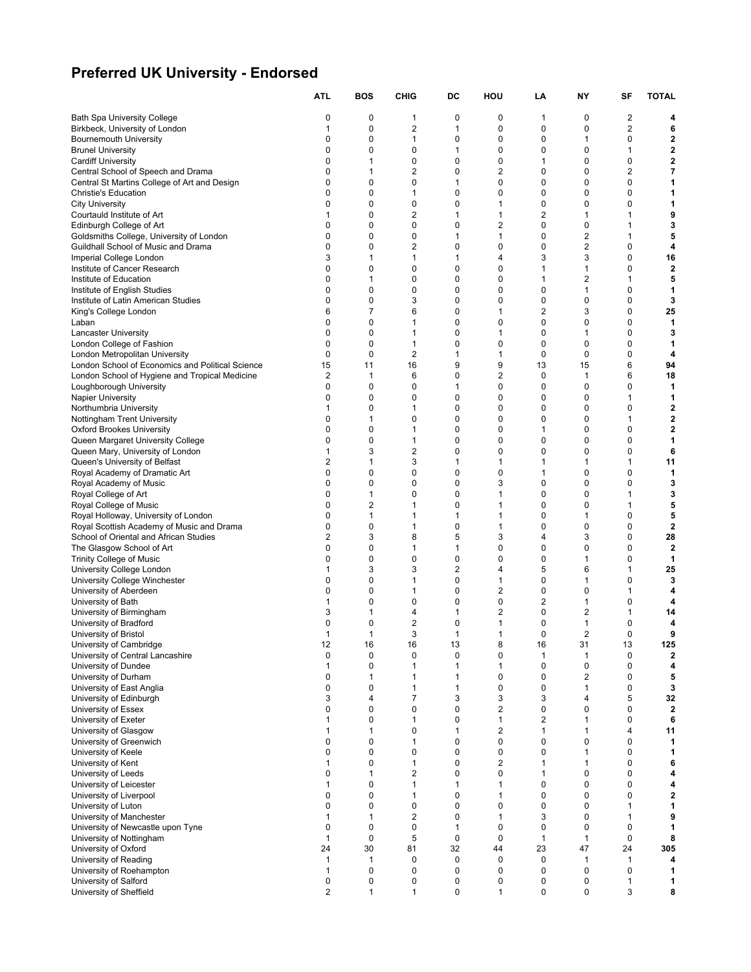# **Preferred UK University - Endorsed**

|                                                                                     | ATL              | <b>BOS</b>                 | <b>CHIG</b>                  | DC                      | HOU                         | LA                            | NΥ               | SF                      | <b>TOTAL</b>                  |
|-------------------------------------------------------------------------------------|------------------|----------------------------|------------------------------|-------------------------|-----------------------------|-------------------------------|------------------|-------------------------|-------------------------------|
| <b>Bath Spa University College</b>                                                  | 0                | 0                          | 1                            | 0                       | 0                           | 1                             | 0                | $\overline{\mathbf{c}}$ | 4                             |
| Birkbeck, University of London                                                      | 1                | 0                          | 2                            | 1                       | 0                           | $\mathbf 0$                   | 0                | $\overline{c}$          | 6                             |
| <b>Bournemouth University</b>                                                       | 0                | 0                          | 1                            | 0                       | 0                           | 0                             | 1                | 0                       | 2                             |
| <b>Brunel University</b>                                                            | 0                | 0                          | 0                            | 1                       | 0                           | 0                             | 0                | 1                       | $\overline{\mathbf{2}}$       |
| <b>Cardiff University</b>                                                           | 0                | 1                          | 0                            | 0                       | $\mathbf 0$                 | 1                             | 0                | $\mathbf 0$             | $\overline{\mathbf{2}}$       |
| Central School of Speech and Drama                                                  | 0                | 1                          | 2                            | 0                       | $\overline{2}$              | $\mathbf 0$                   | 0                | $\overline{2}$          | 7                             |
| Central St Martins College of Art and Design<br><b>Christie's Education</b>         | 0<br>0           | $\mathbf 0$<br>$\mathbf 0$ | 0<br>1                       | 1<br>0                  | $\mathbf 0$<br>$\mathbf 0$  | $\mathbf 0$<br>$\mathbf 0$    | 0<br>0           | 0<br>0                  | 1<br>1                        |
| <b>City University</b>                                                              | 0                | $\mathbf 0$                | 0                            | 0                       | 1                           | 0                             | 0                | 0                       | 1                             |
| Courtauld Institute of Art                                                          | 1                | 0                          | 2                            | 1                       | 1                           | $\overline{2}$                | 1                | 1                       | 9                             |
| Edinburgh College of Art                                                            | 0                | $\mathbf 0$                | 0                            | 0                       | $\overline{2}$              | 0                             | 0                | 1                       | 3                             |
| Goldsmiths College, University of London                                            | 0                | 0                          | 0                            | 1                       | 1                           | $\mathbf 0$                   | $\overline{2}$   | 1                       | 5                             |
| Guildhall School of Music and Drama                                                 | 0                | $\mathbf 0$                | 2                            | 0                       | 0                           | $\mathbf 0$                   | 2                | $\mathbf 0$             | 4                             |
| Imperial College London                                                             | 3                | 1                          | 1                            | 1                       | 4                           | 3                             | 3                | $\mathbf 0$             | 16                            |
| Institute of Cancer Research<br>Institute of Education                              | 0<br>0           | $\mathbf 0$<br>1           | 0<br>0                       | 0<br>0                  | 0<br>0                      | 1<br>1                        | 1<br>2           | 0<br>1                  | $\mathbf{2}$<br>5             |
| Institute of English Studies                                                        | 0                | 0                          | 0                            | 0                       | 0                           | 0                             | 1                | 0                       | 1                             |
| Institute of Latin American Studies                                                 | 0                | $\mathbf 0$                | 3                            | 0                       | $\mathbf 0$                 | $\mathbf 0$                   | 0                | $\mathbf 0$             | 3                             |
| King's College London                                                               | 6                | 7                          | 6                            | 0                       | 1                           | $\overline{2}$                | 3                | $\mathbf 0$             | 25                            |
| Laban                                                                               | 0                | $\mathbf 0$                | 1                            | 0                       | $\mathbf 0$                 | $\mathbf 0$                   | 0                | $\mathbf 0$             | 1                             |
| Lancaster University                                                                | 0                | $\mathbf 0$                | 1                            | 0                       | 1                           | 0                             | 1                | 0                       | 3                             |
| London College of Fashion                                                           | 0                | $\mathbf 0$                | 1                            | 0                       | 0                           | 0                             | 0                | 0                       | 1                             |
| London Metropolitan University<br>London School of Economics and Political Science  | 0<br>15          | 0<br>11                    | 2<br>16                      | 1<br>9                  | 1<br>9                      | 0<br>13                       | 0<br>15          | 0<br>6                  | 4<br>94                       |
| London School of Hygiene and Tropical Medicine                                      | 2                | 1                          | 6                            | 0                       | $\boldsymbol{2}$            | $\mathbf 0$                   | $\mathbf{1}$     | 6                       | 18                            |
| Loughborough University                                                             | 0                | 0                          | 0                            | $\mathbf{1}$            | $\mathbf 0$                 | $\mathbf 0$                   | $\mathbf 0$      | $\mathbf 0$             | 1                             |
| <b>Napier University</b>                                                            | 0                | 0                          | 0                            | 0                       | 0                           | 0                             | 0                | 1                       | 1                             |
| Northumbria University                                                              | 1                | 0                          | 1                            | 0                       | 0                           | 0                             | 0                | 0                       | $\mathbf{2}$                  |
| Nottingham Trent University                                                         | 0                | 1                          | 0                            | 0                       | 0                           | 0                             | 0                | 1                       | 2                             |
| <b>Oxford Brookes University</b>                                                    | 0                | $\mathbf 0$                | 1                            | 0                       | $\mathbf 0$                 | 1                             | 0                | $\mathbf 0$             | $\overline{\mathbf{2}}$       |
| Queen Margaret University College                                                   | 0<br>1           | $\mathbf 0$<br>3           | 1<br>2                       | 0<br>0                  | $\mathbf 0$<br>$\mathbf 0$  | $\mathbf 0$<br>$\mathbf 0$    | 0<br>0           | $\mathbf 0$<br>0        | 1<br>6                        |
| Queen Mary, University of London<br>Queen's University of Belfast                   | 2                | 1                          | 3                            | $\mathbf{1}$            | $\mathbf{1}$                | 1                             | 1                | 1                       | 11                            |
| Royal Academy of Dramatic Art                                                       | 0                | $\mathbf 0$                | 0                            | 0                       | 0                           | 1                             | 0                | 0                       | 1                             |
| Royal Academy of Music                                                              | 0                | 0                          | 0                            | 0                       | 3                           | 0                             | 0                | 0                       | 3                             |
| Royal College of Art                                                                | 0                | 1                          | 0                            | 0                       | 1                           | $\mathbf 0$                   | 0                | 1                       | 3                             |
| Royal College of Music                                                              | 0                | $\overline{2}$             | 1                            | 0                       | $\mathbf{1}$                | $\mathbf 0$                   | 0                | 1                       | 5                             |
| Royal Holloway, University of London                                                | 0                | 1                          | 1                            | 1                       | 1                           | $\mathbf 0$                   | 1                | $\mathbf 0$             | 5                             |
| Royal Scottish Academy of Music and Drama<br>School of Oriental and African Studies | $\mathbf 0$<br>2 | 0<br>3                     | 1<br>8                       | 0<br>5                  | $\mathbf{1}$<br>3           | $\mathbf 0$<br>$\overline{4}$ | $\mathbf 0$<br>3 | $\mathbf 0$<br>0        | $\overline{\mathbf{2}}$<br>28 |
| The Glasgow School of Art                                                           | 0                | 0                          | 1                            | 1                       | 0                           | 0                             | 0                | 0                       | $\overline{2}$                |
| <b>Trinity College of Music</b>                                                     | 0                | $\mathbf 0$                | 0                            | 0                       | 0                           | 0                             | 1                | 0                       | 1                             |
| University College London                                                           | 1                | 3                          | 3                            | $\overline{\mathbf{c}}$ | $\overline{4}$              | 5                             | 6                | 1                       | 25                            |
| University College Winchester                                                       | $\mathbf 0$      | $\mathbf 0$                | 1                            | 0                       | 1                           | 0                             | 1                | $\Omega$                | 3                             |
| University of Aberdeen                                                              | 0                | $\mathbf 0$                | 1                            | 0                       | 2                           | $\mathbf 0$                   | 0                | 1                       | 4                             |
| University of Bath                                                                  | 1                | $\mathbf 0$                | 0                            | 0                       | 0                           | $\overline{2}$                | 1                | 0                       | 4                             |
| University of Birmingham<br>University of Bradford                                  | 3<br>0           | 1<br>0                     | 4<br>2                       | 1<br>0                  | 2<br>1                      | $\mathbf 0$<br>0              | 2<br>1           | 1<br>0                  | 14<br>4                       |
| University of Bristol                                                               | 1                | 1                          | 3                            | $\mathbf{1}$            | $\mathbf{1}$                | $\mathbf 0$                   | $\overline{2}$   | 0                       | 9                             |
| University of Cambridge                                                             | 12               | 16                         | 16                           | 13                      | 8                           | 16                            | 31               | 13                      | 125                           |
| University of Central Lancashire                                                    | 0                | 0                          | 0                            | 0                       | 0                           | $\mathbf{1}$                  | 1                | 0                       | $\overline{\mathbf{2}}$       |
| University of Dundee                                                                | 1                | 0                          | 1                            | $\mathbf{1}$            | $\mathbf{1}$                | $\mathbf 0$                   | 0                | 0                       | 4                             |
| University of Durham                                                                | $\mathbf 0$<br>0 | 1                          | 1                            | 1                       | 0<br>$\pmb{0}$              | $\mathbf 0$                   | 2                | $\mathbf 0$             | 5                             |
| University of East Anglia<br>University of Edinburgh                                | 3                | 0<br>4                     | 1<br>7                       | 1<br>3                  | 3                           | $\mathbf 0$<br>3              | 1<br>4           | 0<br>5                  | 3<br>32                       |
| University of Essex                                                                 | 0                | $\mathbf 0$                | 0                            | 0                       | $\overline{2}$              | $\mathbf 0$                   | 0                | $\mathbf 0$             | $\overline{\mathbf{2}}$       |
| University of Exeter                                                                | 1                | $\mathbf 0$                | 1                            | 0                       | $\mathbf{1}$                | $\overline{2}$                | 1                | $\mathbf 0$             | 6                             |
| University of Glasgow                                                               | 1                | 1                          | 0                            | $\mathbf{1}$            | $\overline{2}$              | $\mathbf{1}$                  | 1                | $\overline{4}$          | 11                            |
| University of Greenwich                                                             | 0                | 0                          | 1                            | 0                       | 0                           | $\mathbf 0$                   | 0                | $\mathbf 0$             | 1                             |
| University of Keele                                                                 | 0                | 0                          | 0                            | 0                       | 0                           | $\mathbf 0$                   | 1                | 0                       | 1                             |
| University of Kent                                                                  | 1<br>0           | $\mathbf 0$<br>1           | 1<br>$\overline{\mathbf{c}}$ | 0<br>0                  | $\overline{2}$<br>$\pmb{0}$ | $\mathbf{1}$<br>$\mathbf{1}$  | 1<br>$\mathbf 0$ | 0<br>$\mathbf 0$        | 6<br>4                        |
| University of Leeds<br>University of Leicester                                      | $\mathbf{1}$     | 0                          | $\mathbf{1}$                 | $\mathbf{1}$            | $\mathbf{1}$                | $\mathbf 0$                   | 0                | 0                       | 4                             |
| University of Liverpool                                                             | 0                | 0                          | 1                            | 0                       | $\mathbf{1}$                | $\mathbf 0$                   | $\mathbf 0$      | $\mathbf 0$             | 2                             |
| University of Luton                                                                 | 0                | 0                          | 0                            | 0                       | 0                           | $\mathbf 0$                   | 0                | $\mathbf{1}$            | 1                             |
| University of Manchester                                                            | 1                | 1                          | 2                            | 0                       | 1                           | 3                             | 0                | 1                       | 9                             |
| University of Newcastle upon Tyne                                                   | $\mathbf 0$      | 0                          | 0                            | $\mathbf{1}$            | $\pmb{0}$                   | $\mathbf 0$                   | $\mathbf 0$      | 0                       | 1                             |
| University of Nottingham                                                            | 1                | 0                          | 5                            | $\mathbf 0$             | $\mathbf 0$                 | $\mathbf{1}$                  | 1                | $\mathbf 0$             | 8                             |
| University of Oxford                                                                | 24<br>1          | 30<br>1                    | 81<br>0                      | 32<br>0                 | 44<br>$\mathbf 0$           | 23<br>$\mathbf 0$             | 47               | 24<br>1                 | 305                           |
| University of Reading<br>University of Roehampton                                   | 1                | 0                          | 0                            | 0                       | 0                           | $\mathbf 0$                   | 1<br>0           | 0                       | 4<br>1                        |
| University of Salford                                                               | 0                | 0                          | 0                            | 0                       | 0                           | 0                             | 0                | 1                       | 1                             |
| University of Sheffield                                                             | 2                | 1                          | 1                            | 0                       | 1                           | $\mathbf 0$                   | 0                | 3                       | 8                             |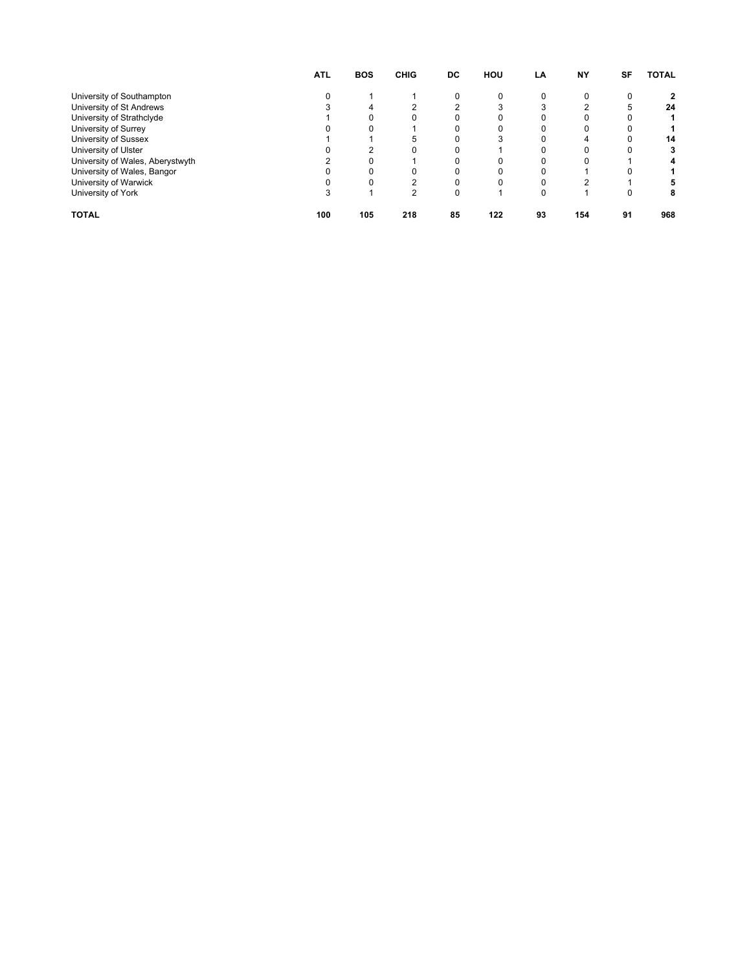|                                  | <b>ATL</b> | <b>BOS</b> | <b>CHIG</b> | DC | HOU | LA | <b>NY</b> | SF | <b>TOTAL</b> |
|----------------------------------|------------|------------|-------------|----|-----|----|-----------|----|--------------|
| University of Southampton        |            |            |             |    |     |    |           | 0  | 2            |
| University of St Andrews         |            |            |             |    |     |    |           | 5  | 24           |
| University of Strathclyde        |            |            |             |    |     |    |           |    |              |
| University of Surrey             |            |            |             |    |     |    |           |    |              |
| University of Sussex             |            |            |             |    |     |    |           |    | 14           |
| University of Ulster             |            |            |             |    |     |    |           |    | 3            |
| University of Wales, Aberystwyth |            |            |             |    |     |    |           |    | 4            |
| University of Wales, Bangor      |            |            |             |    |     |    |           |    |              |
| University of Warwick            |            |            |             |    |     |    | ົ         |    |              |
| University of York               |            |            | 2           |    |     |    |           |    | 8            |
| <b>TOTAL</b>                     | 100        | 105        | 218         | 85 | 122 | 93 | 154       | 91 | 968          |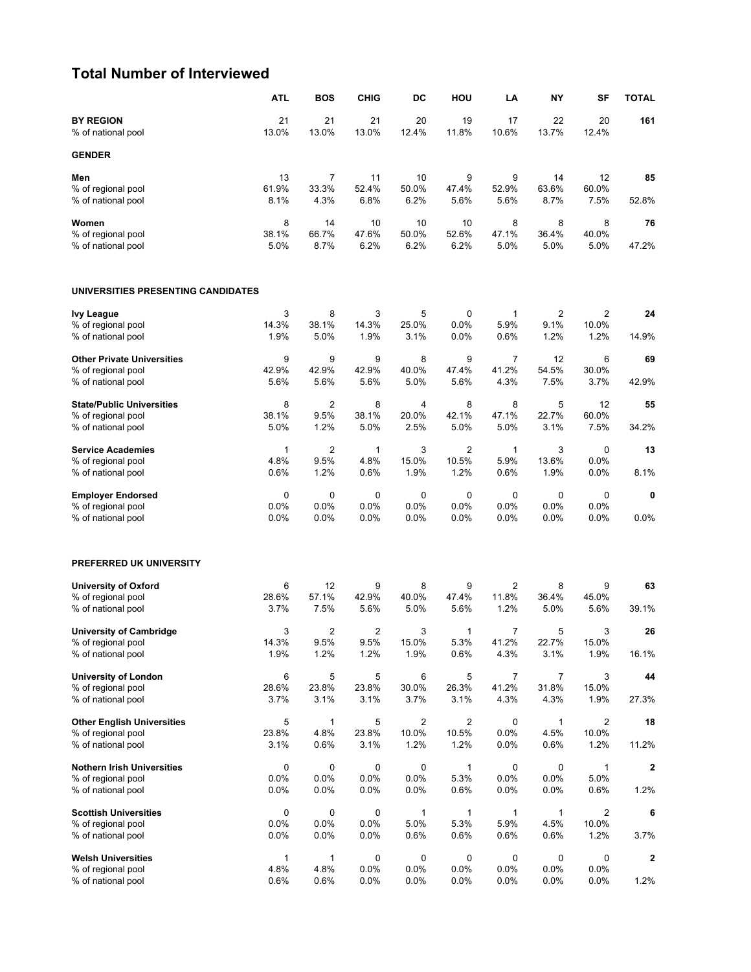#### **Total Number of Interviewed**

|                                                         | <b>ATL</b>           | <b>BOS</b>             | <b>CHIG</b>    | DC            | HOU                     | LA                   | <b>NY</b>            | SF              | <b>TOTAL</b> |
|---------------------------------------------------------|----------------------|------------------------|----------------|---------------|-------------------------|----------------------|----------------------|-----------------|--------------|
| <b>BY REGION</b><br>% of national pool                  | 21<br>13.0%          | 21<br>13.0%            | 21<br>13.0%    | 20<br>12.4%   | 19<br>11.8%             | 17<br>10.6%          | 22<br>13.7%          | 20<br>12.4%     | 161          |
| <b>GENDER</b>                                           |                      |                        |                |               |                         |                      |                      |                 |              |
| Men                                                     | 13                   | 7                      | 11             | 10            | 9                       | 9                    | 14                   | 12              | 85           |
| % of regional pool<br>% of national pool                | 61.9%<br>8.1%        | 33.3%<br>4.3%          | 52.4%<br>6.8%  | 50.0%<br>6.2% | 47.4%<br>5.6%           | 52.9%<br>5.6%        | 63.6%<br>8.7%        | 60.0%<br>7.5%   | 52.8%        |
| Women                                                   | 8                    | 14                     | 10             | 10            | 10                      | 8                    | 8                    | 8               | 76           |
| % of regional pool                                      | 38.1%                | 66.7%                  | 47.6%          | 50.0%         | 52.6%                   | 47.1%                | 36.4%                | 40.0%           |              |
| % of national pool                                      | 5.0%                 | 8.7%                   | 6.2%           | 6.2%          | 6.2%                    | 5.0%                 | 5.0%                 | 5.0%            | 47.2%        |
| UNIVERSITIES PRESENTING CANDIDATES                      |                      |                        |                |               |                         |                      |                      |                 |              |
| <b>Ivy League</b>                                       | 3                    | 8                      | 3              | 5             | 0                       | 1                    | $\overline{2}$       | 2               | 24           |
| % of regional pool<br>% of national pool                | 14.3%<br>1.9%        | 38.1%<br>5.0%          | 14.3%<br>1.9%  | 25.0%<br>3.1% | 0.0%<br>0.0%            | 5.9%<br>0.6%         | 9.1%<br>1.2%         | 10.0%<br>1.2%   | 14.9%        |
| <b>Other Private Universities</b>                       | 9                    | 9                      | 9              | 8             | 9                       | 7                    | 12                   | 6               | 69           |
| % of regional pool                                      | 42.9%                | 42.9%                  | 42.9%          | 40.0%         | 47.4%                   | 41.2%                | 54.5%                | 30.0%           |              |
| % of national pool                                      | 5.6%                 | 5.6%                   | 5.6%           | 5.0%          | 5.6%                    | 4.3%                 | 7.5%                 | 3.7%            | 42.9%        |
| <b>State/Public Universities</b>                        | 8                    | $\overline{2}$         | 8              | 4             | 8                       | 8                    | 5                    | 12              | 55           |
| % of regional pool<br>% of national pool                | 38.1%<br>5.0%        | 9.5%<br>1.2%           | 38.1%<br>5.0%  | 20.0%<br>2.5% | 42.1%<br>5.0%           | 47.1%<br>5.0%        | 22.7%<br>3.1%        | 60.0%<br>7.5%   | 34.2%        |
|                                                         |                      |                        |                |               |                         |                      |                      |                 |              |
| <b>Service Academies</b><br>% of regional pool          | $\mathbf{1}$<br>4.8% | $\overline{2}$<br>9.5% | 1<br>4.8%      | 3<br>15.0%    | $\overline{2}$<br>10.5% | $\mathbf{1}$<br>5.9% | 3<br>13.6%           | 0<br>0.0%       | 13           |
| % of national pool                                      | 0.6%                 | 1.2%                   | 0.6%           | 1.9%          | 1.2%                    | 0.6%                 | 1.9%                 | 0.0%            | 8.1%         |
| <b>Employer Endorsed</b>                                | 0                    | 0                      | $\mathbf 0$    | 0             | 0                       | 0                    | $\mathbf 0$          | 0               | 0            |
| % of regional pool<br>% of national pool                | 0.0%<br>0.0%         | 0.0%<br>0.0%           | 0.0%<br>0.0%   | 0.0%<br>0.0%  | 0.0%<br>0.0%            | 0.0%<br>0.0%         | 0.0%<br>0.0%         | 0.0%<br>$0.0\%$ | 0.0%         |
| PREFERRED UK UNIVERSITY                                 |                      |                        |                |               |                         |                      |                      |                 |              |
| <b>University of Oxford</b>                             | 6                    | 12                     | 9              | 8             | 9                       | $\overline{2}$       | 8                    | 9               | 63           |
| % of regional pool<br>% of national pool                | 28.6%<br>3.7%        | 57.1%<br>7.5%          | 42.9%<br>5.6%  | 40.0%<br>5.0% | 47.4%<br>5.6%           | 11.8%<br>1.2%        | 36.4%<br>5.0%        | 45.0%<br>5.6%   | 39.1%        |
| <b>University of Cambridge</b>                          | 3                    | $\overline{2}$         | $\overline{2}$ | 3             | $\mathbf{1}$            | 7                    | 5                    | 3               | 26           |
| % of regional pool                                      | 14.3%                | $9.5\%$                | 9.5%           | 15.0%         | 5.3%                    | 41.2%                | 22.7%                | 15.0%           |              |
| % of national pool                                      | 1.9%                 | 1.2%                   | 1.2%           | 1.9%          | 0.6%                    | 4.3%                 | 3.1%                 | 1.9%            | 16.1%        |
| <b>University of London</b>                             | 6                    | 5                      | 5              | 6             | 5                       | 7                    | $\boldsymbol{7}$     | 3               | 44           |
| % of regional pool<br>% of national pool                | 28.6%<br>3.7%        | 23.8%<br>3.1%          | 23.8%<br>3.1%  | 30.0%<br>3.7% | 26.3%<br>3.1%           | 41.2%<br>4.3%        | 31.8%<br>4.3%        | 15.0%<br>1.9%   | 27.3%        |
|                                                         |                      |                        |                |               |                         |                      |                      |                 |              |
| <b>Other English Universities</b><br>% of regional pool | 5<br>23.8%           | 1<br>4.8%              | 5<br>23.8%     | 2<br>10.0%    | $\overline{c}$<br>10.5% | 0<br>0.0%            | $\mathbf{1}$<br>4.5% | 2<br>10.0%      | 18           |
| % of national pool                                      | 3.1%                 | 0.6%                   | 3.1%           | 1.2%          | 1.2%                    | 0.0%                 | 0.6%                 | 1.2%            | 11.2%        |
| <b>Nothern Irish Universities</b>                       | 0                    | 0                      | 0              | 0             | 1                       | 0                    | 0                    | 1               | 2            |
| % of regional pool                                      | 0.0%                 | 0.0%                   | 0.0%           | 0.0%          | 5.3%                    | 0.0%                 | 0.0%                 | 5.0%            |              |
| % of national pool                                      | 0.0%                 | 0.0%                   | 0.0%           | $0.0\%$       | 0.6%                    | 0.0%                 | 0.0%                 | 0.6%            | 1.2%         |
| <b>Scottish Universities</b>                            | 0                    | 0                      | 0              | 1             | 1                       | 1                    | 1                    | 2               | 6            |
| % of regional pool<br>% of national pool                | 0.0%<br>0.0%         | 0.0%<br>0.0%           | 0.0%<br>0.0%   | 5.0%<br>0.6%  | 5.3%<br>0.6%            | 5.9%<br>0.6%         | 4.5%<br>0.6%         | 10.0%<br>1.2%   | 3.7%         |
| <b>Welsh Universities</b>                               | 1                    | 1                      | 0              | 0             | 0                       | 0                    | 0                    | 0               | 2            |
| % of regional pool                                      | 4.8%                 | 4.8%                   | 0.0%           | 0.0%          | 0.0%                    | 0.0%                 | 0.0%                 | 0.0%            |              |
| % of national pool                                      | 0.6%                 | 0.6%                   | 0.0%           | 0.0%          | 0.0%                    | 0.0%                 | 0.0%                 | 0.0%            | 1.2%         |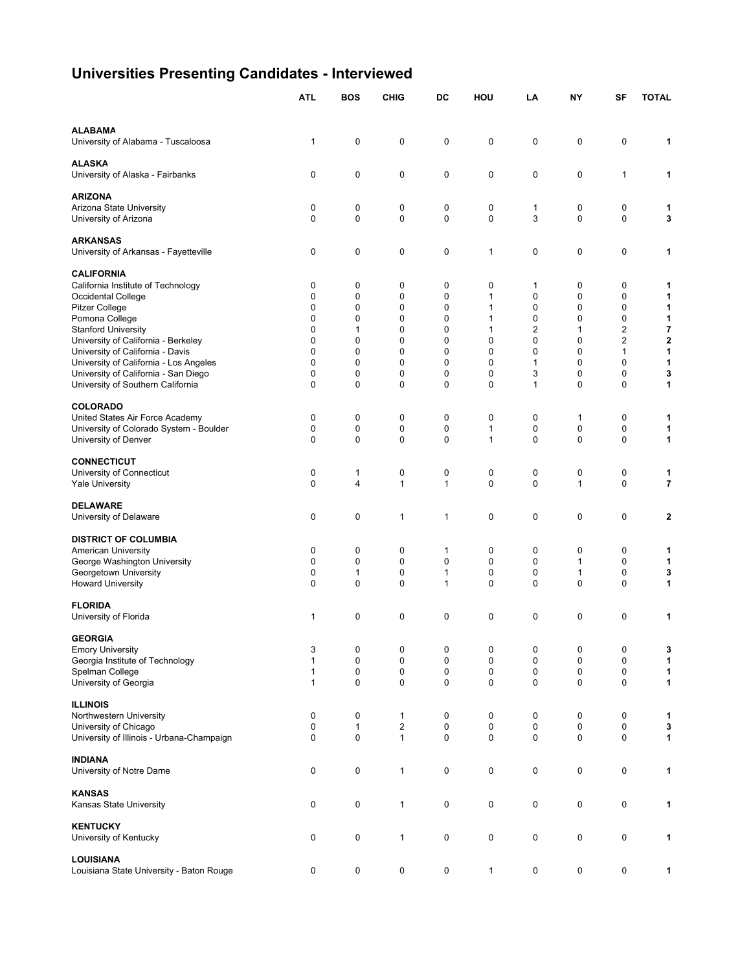# **Universities Presenting Candidates - Interviewed**

|                                                                 | <b>ATL</b>   | <b>BOS</b>        | <b>CHIG</b>             | DC           | HOU                          | LA     | <b>NY</b>    | SF                       | <b>TOTAL</b>            |
|-----------------------------------------------------------------|--------------|-------------------|-------------------------|--------------|------------------------------|--------|--------------|--------------------------|-------------------------|
| <b>ALABAMA</b>                                                  |              |                   |                         |              |                              |        |              |                          |                         |
| University of Alabama - Tuscaloosa                              | 1            | 0                 | 0                       | 0            | 0                            | 0      | 0            | $\mathbf 0$              | 1                       |
| <b>ALASKA</b><br>University of Alaska - Fairbanks               | 0            | 0                 | 0                       | 0            | 0                            | 0      | 0            | 1                        | 1                       |
| <b>ARIZONA</b>                                                  |              |                   |                         |              |                              |        |              |                          |                         |
| Arizona State University<br>University of Arizona               | 0<br>0       | 0<br>$\mathbf{0}$ | 0<br>$\mathbf 0$        | 0<br>0       | 0<br>0                       | 1<br>3 | 0<br>0       | 0<br>$\mathbf 0$         | 1<br>3                  |
| <b>ARKANSAS</b>                                                 |              |                   |                         |              |                              |        |              |                          |                         |
| University of Arkansas - Fayetteville                           | 0            | 0                 | 0                       | 0            | 1                            | 0      | 0            | $\mathbf 0$              | 1                       |
| <b>CALIFORNIA</b>                                               |              |                   |                         |              |                              |        |              |                          |                         |
| California Institute of Technology                              | 0            | 0                 | 0                       | 0            | 0                            | 1      | 0            | 0                        | 1                       |
| Occidental College<br><b>Pitzer College</b>                     | 0<br>0       | 0<br>0            | 0<br>0                  | 0<br>0       | $\mathbf{1}$<br>$\mathbf{1}$ | 0<br>0 | 0<br>0       | 0<br>0                   | 1<br>1                  |
| Pomona College                                                  | 0            | 0                 | 0                       | 0            | $\mathbf{1}$                 | 0      | 0            | 0                        | 1                       |
| <b>Stanford University</b>                                      | $\Omega$     | $\mathbf{1}$      | 0                       | 0            | $\mathbf{1}$                 | 2      | $\mathbf{1}$ | 2                        | 7                       |
| University of California - Berkeley                             | 0            | 0                 | 0                       | 0            | 0                            | 0      | 0            | 2                        | $\mathbf 2$             |
| University of California - Davis                                | $\Omega$     | $\mathbf{0}$      | 0                       | 0            | 0                            | 0      | 0            | 1                        | 1                       |
| University of California - Los Angeles                          | 0            | 0                 | $\mathbf 0$             | 0            | 0                            | 1      | 0            | 0                        | 1                       |
| University of California - San Diego                            | 0            | 0                 | 0                       | 0            | 0                            | 3      | 0            | 0                        | 3                       |
| University of Southern California                               | 0            | 0                 | 0                       | 0            | 0                            | 1      | 0            | 0                        | 1                       |
| <b>COLORADO</b>                                                 |              |                   |                         |              |                              |        |              |                          |                         |
| United States Air Force Academy                                 | 0            | 0                 | 0                       | 0            | 0                            | 0      | 1            | 0                        | 1                       |
| University of Colorado System - Boulder<br>University of Denver | 0<br>0       | 0<br>$\mathbf 0$  | 0<br>0                  | 0<br>0       | $\mathbf{1}$<br>$\mathbf{1}$ | 0<br>0 | 0<br>0       | $\pmb{0}$<br>$\mathbf 0$ | 1<br>1                  |
|                                                                 |              |                   |                         |              |                              |        |              |                          |                         |
| <b>CONNECTICUT</b>                                              |              |                   |                         |              |                              |        |              |                          |                         |
| University of Connecticut                                       | 0            | $\mathbf{1}$      | 0                       | 0            | 0                            | 0<br>0 | 0            | $\pmb{0}$                | 1                       |
| <b>Yale University</b>                                          | 0            | $\overline{4}$    | $\mathbf{1}$            | $\mathbf{1}$ | 0                            |        | $\mathbf{1}$ | $\mathbf 0$              | $\overline{\mathbf{r}}$ |
| <b>DELAWARE</b>                                                 |              |                   |                         |              |                              |        |              |                          |                         |
| University of Delaware                                          | 0            | 0                 | $\mathbf{1}$            | 1            | 0                            | 0      | 0            | $\mathbf 0$              | 2                       |
| <b>DISTRICT OF COLUMBIA</b>                                     |              |                   |                         |              |                              |        |              |                          |                         |
| American University                                             | 0            | 0                 | 0                       | 1            | 0                            | 0      | 0            | 0                        | 1                       |
| George Washington University                                    | 0            | 0                 | 0                       | 0            | 0                            | 0      | $\mathbf{1}$ | 0                        | 1                       |
| Georgetown University                                           | 0            | $\mathbf{1}$      | 0                       | 1            | 0                            | 0      | 1            | 0                        | 3                       |
| <b>Howard University</b>                                        | 0            | 0                 | 0                       | 1            | 0                            | 0      | 0            | 0                        | 1                       |
| <b>FLORIDA</b>                                                  |              |                   |                         |              |                              |        |              |                          |                         |
| University of Florida                                           | 1            | 0                 | 0                       | 0            | 0                            | 0      | 0            | $\mathbf 0$              | 1                       |
| <b>GEORGIA</b>                                                  |              |                   |                         |              |                              |        |              |                          |                         |
| <b>Emory University</b>                                         | 3            | 0                 | 0                       | 0            | 0                            | 0      | 0            | $\mathbf 0$              | 3                       |
| Georgia Institute of Technology                                 | $\mathbf{1}$ | 0                 | 0                       | 0            | 0                            | 0      | 0            | 0                        | 1                       |
| Spelman College                                                 | $\mathbf{1}$ | 0                 | 0                       | 0            | 0                            | 0      | 0            | 0                        | 1                       |
| University of Georgia                                           | $\mathbf{1}$ | 0                 | $\mathbf 0$             | 0            | 0                            | 0      | 0            | $\mathbf 0$              | 1                       |
| <b>ILLINOIS</b>                                                 |              |                   |                         |              |                              |        |              |                          |                         |
| Northwestern University                                         | 0            | 0                 | $\mathbf{1}$            | 0            | 0                            | 0      | 0            | 0                        | 1                       |
| University of Chicago                                           | 0            | $\mathbf{1}$      | $\overline{\mathbf{c}}$ | 0            | 0                            | 0      | 0            | $\mathbf 0$              | 3                       |
| University of Illinois - Urbana-Champaign                       | 0            | 0                 | $\mathbf{1}$            | 0            | 0                            | 0      | 0            | $\pmb{0}$                | 1                       |
| <b>INDIANA</b>                                                  |              |                   |                         |              |                              |        |              |                          |                         |
| University of Notre Dame                                        | 0            | 0                 | $\mathbf{1}$            | 0            | 0                            | 0      | 0            | $\mathbf 0$              | 1                       |
| <b>KANSAS</b>                                                   |              |                   |                         |              |                              |        |              |                          |                         |
| Kansas State University                                         | 0            | 0                 | $\mathbf{1}$            | 0            | 0                            | 0      | 0            | $\pmb{0}$                | 1                       |
| <b>KENTUCKY</b>                                                 |              |                   |                         |              |                              |        |              |                          |                         |
| University of Kentucky                                          | 0            | 0                 | $\mathbf{1}$            | 0            | 0                            | 0      | 0            | $\mathbf 0$              | 1                       |
| <b>LOUISIANA</b>                                                |              |                   |                         |              |                              |        |              |                          |                         |
| Louisiana State University - Baton Rouge                        | 0            | 0                 | 0                       | 0            | $\mathbf{1}$                 | 0      | 0            | $\mathbf 0$              | 1                       |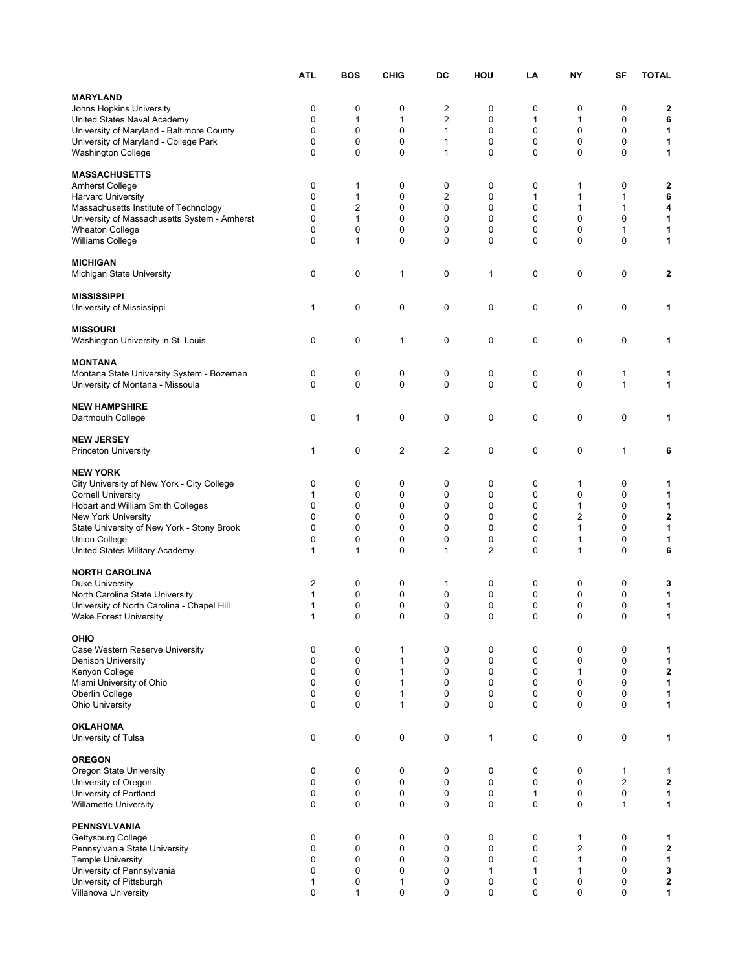|                                                                          | ATL               | <b>BOS</b>   | <b>CHIG</b>       | DC       | HOU         | LA               | NΥ                      | SF               | <b>TOTAL</b>            |
|--------------------------------------------------------------------------|-------------------|--------------|-------------------|----------|-------------|------------------|-------------------------|------------------|-------------------------|
| <b>MARYLAND</b>                                                          |                   |              |                   |          |             |                  |                         |                  |                         |
| Johns Hopkins University                                                 | 0                 | 0            | 0                 | 2        | 0           | 0                | 0                       | 0                | 2                       |
| United States Naval Academy                                              | 0                 | 1            | 1                 | 2        | 0           | 1                | 1                       | 0                | 6                       |
| University of Maryland - Baltimore County                                | 0                 | 0            | 0                 | 1        | 0           | 0                | 0                       | 0                | 1                       |
| University of Maryland - College Park                                    | 0                 | 0            | 0                 | 1        | 0           | 0                | 0                       | 0                | 1                       |
| <b>Washington College</b>                                                | 0                 | $\Omega$     | 0                 | 1        | 0           | 0                | 0                       | 0                | 1                       |
| <b>MASSACHUSETTS</b>                                                     |                   |              |                   |          |             |                  |                         |                  |                         |
| <b>Amherst College</b>                                                   | 0                 | 1            | 0                 | 0        | 0           | 0                | 1                       | 0                | 2                       |
| <b>Harvard University</b>                                                | 0                 | 1            | 0                 | 2        | 0           | 1                | 1                       | 1                | 6                       |
| Massachusetts Institute of Technology                                    | 0                 | 2            | 0                 | 0        | 0           | 0                | 1                       | 1                | 4                       |
| University of Massachusetts System - Amherst                             | 0                 | 1            | 0                 | 0        | 0           | 0                | 0                       | 0                | 1                       |
| <b>Wheaton College</b><br>Williams College                               | 0<br>0            | 0<br>1       | 0<br>0            | 0<br>0   | 0<br>0      | 0<br>0           | 0<br>0                  | 1<br>0           | 1<br>1                  |
|                                                                          |                   |              |                   |          |             |                  |                         |                  |                         |
| <b>MICHIGAN</b>                                                          |                   |              |                   |          |             |                  |                         |                  |                         |
| Michigan State University                                                | 0                 | 0            | 1                 | 0        | 1           | 0                | 0                       | 0                | $\overline{\mathbf{2}}$ |
|                                                                          |                   |              |                   |          |             |                  |                         |                  |                         |
| <b>MISSISSIPPI</b><br>University of Mississippi                          | 1                 | 0            | 0                 | 0        | 0           | 0                | 0                       | 0                | 1                       |
|                                                                          |                   |              |                   |          |             |                  |                         |                  |                         |
| <b>MISSOURI</b>                                                          |                   |              |                   |          |             |                  |                         |                  |                         |
| Washington University in St. Louis                                       | 0                 | 0            | 1                 | 0        | 0           | 0                | 0                       | 0                | 1                       |
|                                                                          |                   |              |                   |          |             |                  |                         |                  |                         |
| <b>MONTANA</b><br>Montana State University System - Bozeman              | 0                 | 0            | 0                 | 0        | 0           | 0                | 0                       | 1                | 1                       |
| University of Montana - Missoula                                         | 0                 | 0            | 0                 | 0        | 0           | 0                | 0                       | 1                | 1                       |
|                                                                          |                   |              |                   |          |             |                  |                         |                  |                         |
| <b>NEW HAMPSHIRE</b>                                                     |                   |              |                   |          |             |                  |                         |                  |                         |
| Dartmouth College                                                        | 0                 | $\mathbf{1}$ | 0                 | 0        | 0           | 0                | 0                       | 0                | 1                       |
| <b>NEW JERSEY</b>                                                        |                   |              |                   |          |             |                  |                         |                  |                         |
| <b>Princeton University</b>                                              | 1                 | 0            | 2                 | 2        | 0           | 0                | 0                       | 1                | 6                       |
|                                                                          |                   |              |                   |          |             |                  |                         |                  |                         |
| <b>NEW YORK</b>                                                          |                   |              |                   |          |             |                  |                         |                  |                         |
| City University of New York - City College                               | 0                 | 0            | 0                 | 0        | 0           | 0                | 1                       | 0                | 1                       |
| <b>Cornell University</b>                                                | 1                 | 0            | 0                 | 0        | 0           | 0                | 0                       | 0                | 1                       |
| Hobart and William Smith Colleges                                        | 0<br>0            | 0<br>0       | 0<br>0            | 0<br>0   | 0<br>0      | 0<br>0           | 1<br>2                  | 0<br>0           | 1<br>$\mathbf 2$        |
| <b>New York University</b><br>State University of New York - Stony Brook | 0                 | 0            | 0                 | 0        | 0           | 0                | 1                       | 0                | 1                       |
| Union College                                                            | 0                 | 0            | 0                 | 0        | 0           | 0                | 1                       | 0                | 1                       |
| United States Military Academy                                           | 1                 | 1            | 0                 | 1        | 2           | 0                | 1                       | 0                | 6                       |
|                                                                          |                   |              |                   |          |             |                  |                         |                  |                         |
| <b>NORTH CAROLINA</b>                                                    |                   |              |                   |          |             |                  |                         |                  |                         |
| <b>Duke University</b><br>North Carolina State University                | 2<br>$\mathbf{1}$ | 0<br>0       | 0<br>0            | 1<br>0   | 0<br>0      | 0<br>0           | 0<br>0                  | 0<br>0           | 3<br>1                  |
| University of North Carolina - Chapel Hill                               | 1                 | 0            | 0                 | 0        | 0           | 0                | 0                       | 0                | 1                       |
| <b>Wake Forest University</b>                                            | 1                 | $\Omega$     | 0                 | $\Omega$ | 0           | 0                | 0                       | 0                | 1                       |
|                                                                          |                   |              |                   |          |             |                  |                         |                  |                         |
| OHIO                                                                     |                   |              |                   |          |             |                  |                         |                  |                         |
| Case Western Reserve University<br><b>Denison University</b>             | 0<br>0            | 0<br>0       | 1<br>$\mathbf{1}$ | 0<br>0   | 0<br>0      | 0<br>0           | 0<br>0                  | 0<br>$\mathbf 0$ | 1<br>1                  |
| Kenyon College                                                           | 0                 | 0            | 1                 | 0        | 0           | 0                | 1                       | $\mathbf 0$      | $\mathbf 2$             |
| Miami University of Ohio                                                 | 0                 | 0            | $\mathbf{1}$      | 0        | 0           | 0                | 0                       | 0                | 1                       |
| Oberlin College                                                          | 0                 | 0            | 1                 | 0        | 0           | 0                | 0                       | 0                | 1                       |
| Ohio University                                                          | 0                 | 0            | 1                 | 0        | 0           | 0                | 0                       | 0                | 1                       |
| <b>OKLAHOMA</b>                                                          |                   |              |                   |          |             |                  |                         |                  |                         |
| University of Tulsa                                                      | 0                 | 0            | 0                 | 0        | 1           | 0                | 0                       | 0                | 1                       |
|                                                                          |                   |              |                   |          |             |                  |                         |                  |                         |
| <b>OREGON</b>                                                            |                   |              |                   |          |             |                  |                         |                  |                         |
| Oregon State University                                                  | 0                 | 0            | 0                 | 0        | 0           | 0                | 0                       | $\mathbf{1}$     | 1                       |
| University of Oregon                                                     | 0                 | 0            | 0                 | 0        | $\mathbf 0$ | 0                | 0                       | $\overline{2}$   | $\mathbf 2$             |
| University of Portland<br>Willamette University                          | 0<br>0            | 0<br>0       | 0<br>0            | 0<br>0   | 0<br>0      | 1<br>$\mathbf 0$ | 0<br>0                  | $\mathbf 0$<br>1 | 1<br>1                  |
|                                                                          |                   |              |                   |          |             |                  |                         |                  |                         |
| <b>PENNSYLVANIA</b>                                                      |                   |              |                   |          |             |                  |                         |                  |                         |
| Gettysburg College                                                       | 0                 | 0            | 0                 | 0        | 0           | 0                | 1                       | 0                | 1                       |
| Pennsylvania State University                                            | 0                 | 0            | 0                 | 0        | 0           | 0                | $\overline{\mathbf{c}}$ | 0                | $\mathbf 2$             |
| <b>Temple University</b><br>University of Pennsylvania                   | 0<br>0            | 0<br>0       | 0<br>0            | 0<br>0   | 0<br>1      | 0<br>1           | 1<br>1                  | 0<br>0           | 1<br>3                  |
| University of Pittsburgh                                                 | 1                 | 0            | 1                 | 0        | 0           | 0                | 0                       | 0                | $\mathbf 2$             |
| <b>Villanova University</b>                                              | 0                 | $\mathbf{1}$ | 0                 | 0        | 0           | 0                | 0                       | 0                | $\mathbf{1}$            |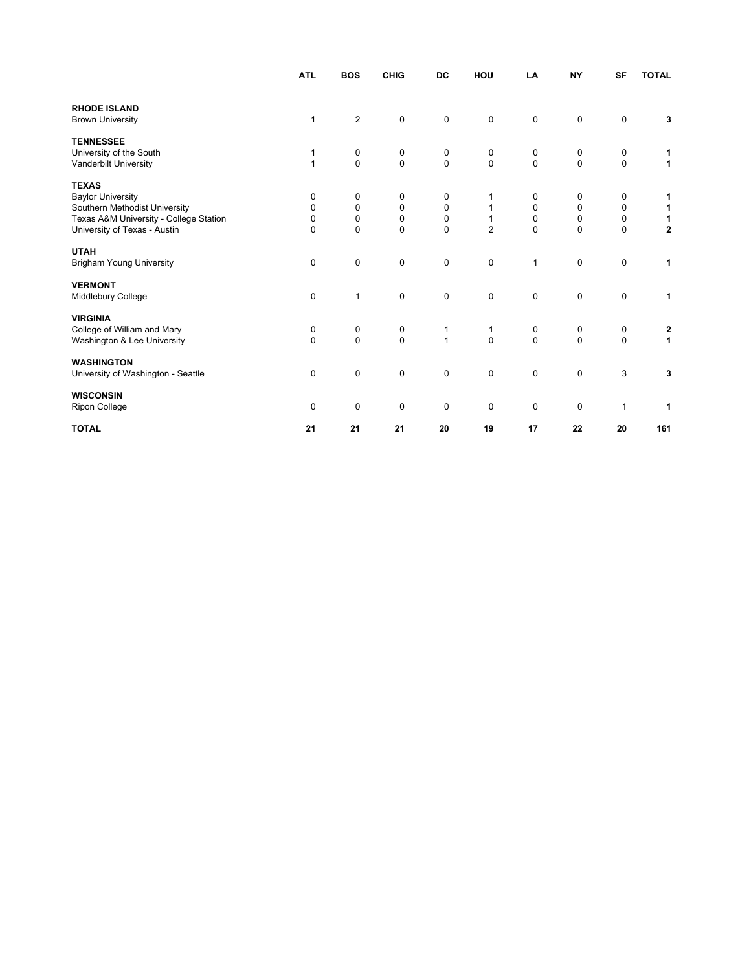|                                        | <b>ATL</b>   | <b>BOS</b>     | <b>CHIG</b> | DC             | HOU            | LA           | <b>NY</b>    | <b>SF</b>   | <b>TOTAL</b>            |
|----------------------------------------|--------------|----------------|-------------|----------------|----------------|--------------|--------------|-------------|-------------------------|
|                                        |              |                |             |                |                |              |              |             |                         |
| <b>RHODE ISLAND</b>                    |              |                |             |                |                |              |              |             |                         |
| <b>Brown University</b>                | $\mathbf{1}$ | $\overline{2}$ | $\mathbf 0$ | $\mathbf 0$    | 0              | $\pmb{0}$    | 0            | 0           | 3                       |
| <b>TENNESSEE</b>                       |              |                |             |                |                |              |              |             |                         |
| University of the South                | 1            | 0              | 0           | 0              | 0              | 0            | 0            | 0           | 1                       |
| Vanderbilt University                  | $\mathbf{1}$ | $\Omega$       | $\mathbf 0$ | $\mathbf 0$    | $\mathbf 0$    | $\mathbf 0$  | $\mathbf 0$  | 0           | $\mathbf{1}$            |
| <b>TEXAS</b>                           |              |                |             |                |                |              |              |             |                         |
| <b>Baylor University</b>               | 0            | 0              | 0           | 0              |                | 0            | 0            | 0           | 1                       |
| Southern Methodist University          | 0            | $\mathbf 0$    | $\mathbf 0$ | $\mathbf 0$    | $\mathbf{1}$   | 0            | $\mathbf 0$  | 0           | $\mathbf{1}$            |
| Texas A&M University - College Station | $\pmb{0}$    | $\mathbf 0$    | $\mathbf 0$ | $\pmb{0}$      | 1              | $\mathbf 0$  | $\mathbf 0$  | 0           | 1                       |
| University of Texas - Austin           | $\mathbf{0}$ | $\Omega$       | $\Omega$    | $\Omega$       | $\overline{2}$ | $\Omega$     | $\Omega$     | 0           | $\overline{\mathbf{2}}$ |
| <b>UTAH</b>                            |              |                |             |                |                |              |              |             |                         |
| <b>Brigham Young University</b>        | $\pmb{0}$    | $\mathbf 0$    | 0           | $\mathbf 0$    | 0              | $\mathbf{1}$ | $\mathbf 0$  | 0           | 1                       |
| <b>VERMONT</b>                         |              |                |             |                |                |              |              |             |                         |
| Middlebury College                     | 0            | $\mathbf{1}$   | $\mathbf 0$ | $\mathbf 0$    | $\mathbf 0$    | 0            | $\mathbf 0$  | 0           | 1                       |
| <b>VIRGINIA</b>                        |              |                |             |                |                |              |              |             |                         |
| College of William and Mary            | 0            | 0              | 0           | 1              | 1              | 0            | 0            | 0           |                         |
| Washington & Lee University            | $\Omega$     | $\Omega$       | $\Omega$    | $\overline{1}$ | $\mathbf{0}$   | $\mathbf 0$  | $\mathbf{0}$ | $\mathbf 0$ | $\frac{2}{1}$           |
|                                        |              |                |             |                |                |              |              |             |                         |
| <b>WASHINGTON</b>                      |              |                |             |                |                |              |              |             |                         |
| University of Washington - Seattle     | $\pmb{0}$    | $\pmb{0}$      | 0           | $\pmb{0}$      | $\pmb{0}$      | 0            | $\mathbf 0$  | 3           | 3                       |
| <b>WISCONSIN</b>                       |              |                |             |                |                |              |              |             |                         |
| <b>Ripon College</b>                   | 0            | $\mathbf 0$    | $\mathbf 0$ | $\pmb{0}$      | 0              | $\pmb{0}$    | $\mathbf 0$  | 1           | 1                       |
| <b>TOTAL</b>                           | 21           | 21             | 21          | 20             | 19             | 17           | 22           | 20          | 161                     |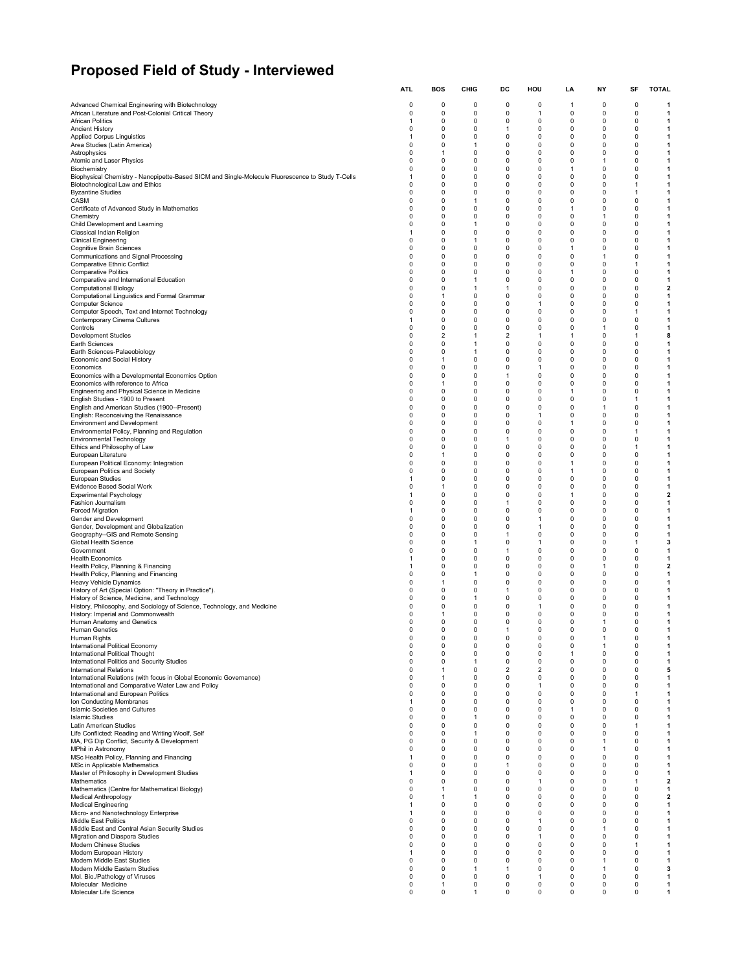# **Proposed Field of Study - Interviewed**

|                                                                                                                                     | ATL                         | BOS                     | CHIG                       | DC                | нου               | LA                | NΥ                          | SF                       | TOTAL                        |
|-------------------------------------------------------------------------------------------------------------------------------------|-----------------------------|-------------------------|----------------------------|-------------------|-------------------|-------------------|-----------------------------|--------------------------|------------------------------|
| Advanced Chemical Engineering with Biotechnology                                                                                    | 0                           | 0                       | 0                          | 0                 | 0                 | -1                | 0                           | 0                        | -1                           |
| African Literature and Post-Colonial Critical Theory                                                                                | $\mathbf 0$                 | $\mathbf 0$<br>0        | $\mathbf 0$                | 0                 | 1                 | $\mathbf 0$       | 0                           | 0                        | 1                            |
| <b>African Politics</b><br><b>Ancient History</b>                                                                                   | $\mathbf{1}$<br>0           | 0                       | 0<br>0                     | 0<br>1            | 0<br>0            | 0<br>0            | 0<br>0                      | 0<br>0                   | 1<br>1                       |
| Applied Corpus Linguistics                                                                                                          | -1                          | 0                       | 0                          | 0                 | 0                 | 0                 | 0                           | 0                        | 1                            |
| Area Studies (Latin America)                                                                                                        | 0<br>$\Omega$               | 0<br>1                  | 1<br>0                     | 0<br>0            | 0<br>0            | 0<br>$\Omega$     | 0<br>$\Omega$               | 0<br>0                   | 1<br>1                       |
| Astrophysics<br>Atomic and Laser Physics                                                                                            | $\Omega$                    | $\Omega$                | $\mathbf 0$                | 0                 | 0                 | 0                 | $\mathbf{1}$                | 0                        | 1                            |
| Biochemistry                                                                                                                        | $\Omega$                    | 0                       | 0                          | 0                 | 0                 | 1                 | 0                           | 0                        | 1                            |
| Biophysical Chemistry - Nanopipette-Based SICM and Single-Molecule Fluorescence to Study T-Cells<br>Biotechnological Law and Ethics | 1<br>$\Omega$               | 0<br>$\Omega$           | 0<br>$\mathbf 0$           | 0<br>0            | 0<br>0            | $\mathbf 0$<br>0  | $\Omega$<br>0               | $\Omega$<br>$\mathbf{1}$ | 1<br>1                       |
| <b>Byzantine Studies</b>                                                                                                            | $\Omega$                    | 0                       | 0                          | 0                 | 0                 | 0                 | 0                           | 1                        | 1                            |
| CASM                                                                                                                                | $\Omega$                    | $\Omega$                | 1                          | 0                 | 0                 | $\Omega$          | $\Omega$                    | $\Omega$                 | 1                            |
| Certificate of Advanced Study in Mathematics<br>Chemistry                                                                           | $\mathbf 0$<br>$\Omega$     | 0<br>0                  | $\mathbf 0$<br>0           | 0<br>0            | 0<br>0            | $\mathbf{1}$<br>0 | 0<br>1                      | 0<br>0                   | 1<br>1                       |
| Child Development and Learning                                                                                                      | $\Omega$                    | 0                       | 1                          | $\Omega$          | 0                 | $\Omega$          | 0                           | $\Omega$                 | 1                            |
| Classical Indian Religion                                                                                                           | -1                          | $\Omega$                | $\mathbf 0$                | 0                 | 0                 | 0                 | 0                           | 0                        | 1                            |
| <b>Clinical Engineering</b><br><b>Cognitive Brain Sciences</b>                                                                      | $\mathbf 0$<br>$\Omega$     | 0<br>0                  | 1<br>0                     | 0<br>0            | 0<br>0            | 0<br>1            | 0<br>0                      | 0<br>0                   | 1<br>1                       |
| Communications and Signal Processing                                                                                                | $\mathbf 0$                 | $\Omega$                | $\mathbf 0$                | 0                 | 0                 | $\mathbf 0$       | $\mathbf{1}$                | 0                        | 1                            |
| <b>Comparative Ethnic Conflict</b>                                                                                                  | $\Omega$<br>$\Omega$        | $\Omega$<br>0           | $\mathbf 0$<br>0           | 0<br>0            | 0<br>0            | 0<br>1            | 0<br>0                      | $\mathbf{1}$<br>0        | -1<br>1                      |
| <b>Comparative Politics</b><br>Comparative and International Education                                                              | $\mathbf 0$                 | $\Omega$                | 1                          | 0                 | 0                 | $\mathbf 0$       | 0                           | 0                        | 1                            |
| <b>Computational Biology</b>                                                                                                        | $\Omega$                    | 0                       | 1                          | 1                 | 0                 | 0                 | 0                           | 0                        | 2                            |
| Computational Linguistics and Formal Grammar<br>Computer Science                                                                    | 0<br>$\mathbf 0$            | 1<br>0                  | 0<br>$\mathbf 0$           | 0<br>0            | 0<br>$\mathbf{1}$ | 0<br>0            | 0<br>0                      | 0<br>0                   | 1<br>1                       |
| Computer Speech, Text and Internet Technology                                                                                       | $\mathbf 0$                 | $\Omega$                | $\mathbf 0$                | 0                 | 0                 | 0                 | 0                           | $\mathbf{1}$             | 1                            |
| Contemporary Cinema Cultures                                                                                                        | $\mathbf{1}$                | 0                       | 0                          | 0                 | 0                 | 0                 | 0                           | 0                        | 1                            |
| Controls<br>Development Studies                                                                                                     | $\Omega$<br>0               | 0<br>2                  | 0<br>1                     | 0<br>2            | 0<br>1            | $\Omega$<br>-1    | $\mathbf{1}$<br>0           | 0<br>1                   | 1<br>8                       |
| Earth Sciences                                                                                                                      | 0                           | 0                       | 1                          | 0                 | 0                 | 0                 | 0                           | 0                        | 1                            |
| Earth Sciences-Palaeobiology                                                                                                        | $\Omega$                    | 0                       | 1                          | 0                 | 0                 | 0                 | 0                           | 0                        | 1                            |
| Economic and Social History<br>Economics                                                                                            | $\Omega$<br>$\mathbf 0$     | 1<br>0                  | $\mathbf 0$<br>0           | 0<br>0            | 0<br>1            | 0<br>0            | 0<br>0                      | 0<br>0                   | 1<br>1                       |
| Economics with a Developmental Economics Option                                                                                     | $\Omega$                    | 0                       | 0                          | $\mathbf{1}$      | 0                 | $\Omega$          | $\Omega$                    | $\Omega$                 | 1                            |
| Economics with reference to Africa                                                                                                  | $\mathbf 0$                 | 1                       | $\mathbf 0$                | 0                 | 0                 | 0                 | 0                           | 0                        | 1                            |
| Engineering and Physical Science in Medicine<br>English Studies - 1900 to Present                                                   | 0<br>$\Omega$               | 0<br>0                  | 0<br>0                     | 0<br>0            | 0<br>0            | 1<br>$\Omega$     | 0<br>$\Omega$               | 0<br>$\mathbf{1}$        | 1<br>1                       |
| English and American Studies (1900--Present)                                                                                        | $\mathbf 0$                 | 0                       | $\mathbf 0$                | 0                 | 0                 | $\mathbf 0$       | $\mathbf{1}$                | 0                        | 1                            |
| English: Reconceiving the Renaissance<br><b>Environment and Development</b>                                                         | $\Omega$<br>$\Omega$        | 0<br>0                  | 0<br>0                     | 0<br>$\Omega$     | 1<br>$\Omega$     | 0<br>$\mathbf{1}$ | 0<br>$\Omega$               | $\Omega$<br>$\Omega$     | 1<br>1                       |
| Environmental Policy, Planning and Regulation                                                                                       | $\mathbf 0$                 | $\Omega$                | $\mathbf 0$                | 0                 | 0                 | $\mathbf 0$       | 0                           | $\mathbf{1}$             | 1                            |
| <b>Environmental Technology</b>                                                                                                     | $\mathbf 0$                 | 0                       | 0                          | 1                 | 0                 | 0                 | 0                           | 0                        | 1                            |
| Ethics and Philosophy of Law<br>European Literature                                                                                 | $\mathbf 0$<br>$\mathbf 0$  | 0<br>1                  | 0<br>$\mathbf 0$           | 0<br>0            | 0<br>0            | 0<br>$\mathbf 0$  | 0<br>0                      | $\mathbf{1}$<br>0        | 1<br>1                       |
| European Political Economy: Integration                                                                                             | $\mathbf 0$                 | $\Omega$                | $\mathbf 0$                | 0                 | 0                 | -1                | 0                           | 0                        | 1                            |
| European Politics and Society                                                                                                       | $\Omega$                    | 0                       | 0                          | 0                 | 0                 | $\mathbf{1}$      | 0                           | 0                        | 1                            |
| European Studies<br>Evidence Based Social Work                                                                                      | $\mathbf{1}$<br>0           | $\Omega$<br>1           | $\mathbf 0$<br>0           | 0<br>0            | 0<br>0            | $\mathbf 0$<br>0  | 0<br>0                      | 0<br>0                   | 1<br>1                       |
| <b>Experimental Psychology</b>                                                                                                      | -1                          | 0                       | 0                          | 0                 | 0                 | 1                 | 0                           | 0                        | $\mathbf{2}$                 |
| Fashion Journalism                                                                                                                  | $\mathbf 0$                 | $\Omega$                | $\mathbf 0$                | $\mathbf{1}$      | 0                 | $\mathbf 0$       | 0                           | 0                        | 1                            |
| <b>Forced Migration</b><br>Gender and Development                                                                                   | -1<br>$\Omega$              | 0<br>0                  | $\mathbf 0$<br>0           | 0<br>0            | 0<br>1            | 0<br>0            | 0<br>0                      | 0<br>$\Omega$            | 1<br>1                       |
| Gender, Development and Globalization                                                                                               | 0                           | 0                       | 0                          | 0                 | 1                 | 0                 | 0                           | 0                        | 1                            |
| Geography--GIS and Remote Sensing<br>Global Health Science                                                                          | 0<br>0                      | 0<br>0                  | 0<br>1                     | 1<br>0            | 0<br>1            | 0<br>0            | 0<br>0                      | 0<br>1                   | 1<br>3                       |
| Government                                                                                                                          | $\Omega$                    | 0                       | 0                          | 1                 | 0                 | 0                 | 0                           | 0                        | 1                            |
| <b>Health Economics</b>                                                                                                             | $\mathbf{1}$                | $\Omega$                | $\mathbf 0$                | 0                 | 0                 | 0                 | 0                           | 0                        | $\mathbf{1}$                 |
| Health Policy, Planning & Financing<br>Health Policy, Planning and Financing                                                        | $\mathbf{1}$<br>$\Omega$    | 0<br>0                  | 0<br>1                     | 0<br>0            | 0<br>0            | 0<br>0            | 1<br>0                      | 0<br>0                   | $\overline{\mathbf{2}}$<br>1 |
| Heavy Vehicle Dynamics                                                                                                              | $\mathbf 0$                 | 1                       | 0                          | 0                 | 0                 | 0                 | 0                           | 0                        | 1                            |
| History of Art (Special Option: "Theory in Practice").<br>History of Science, Medicine, and Technology                              | 0<br>$\Omega$               | 0<br>0                  | 0<br>1                     | 1<br>0            | 0<br>0            | 0<br>$\Omega$     | 0<br>$\Omega$               | 0<br>$\Omega$            | 1<br>1                       |
| History, Philosophy, and Sociology of Science, Technology, and Medicine                                                             | $\mathbf 0$                 | 0                       | $\mathbf 0$                | 0                 | 1                 | 0                 | 0                           | 0                        | $\mathbf 1$                  |
| History: Imperial and Commonwealth                                                                                                  | $\Omega$                    | 1                       | 0                          | 0                 | 0                 | 0                 | 0                           | 0                        | 1                            |
| Human Anatomy and Genetics<br><b>Human Genetics</b>                                                                                 | $\Omega$<br>$\Omega$        | 0<br>$\Omega$           | 0<br>0                     | 0<br>$\mathbf{1}$ | 0<br>0            | 0<br>0            | $\mathbf{1}$<br>0           | 0<br>$\Omega$            | 1<br>1                       |
| Human Rights                                                                                                                        | $\Omega$                    | n                       | $\Omega$                   | $\Omega$          | n                 | $\Omega$          |                             | $\Omega$                 |                              |
| International Political Economy<br>International Political Thought                                                                  | 0<br>$\mathbf 0$            | 0<br>0                  | 0<br>$\mathbf 0$           | 0<br>0            | 0<br>0            | 0<br>$\mathbf{1}$ | $\mathbf{1}$<br>0           | 0<br>0                   | 1<br>$\mathbf{1}$            |
| International Politics and Security Studies                                                                                         | $\mathbf 0$                 | $\mathbf 0$             | -1                         | 0                 | 0                 | 0                 | 0                           | 0                        | 1                            |
| <b>International Relations</b>                                                                                                      | $\mathbf 0$                 | 1                       | 0                          | 2                 | 2                 | 0                 | 0                           | 0                        | 5                            |
| International Relations (with focus in Global Economic Governance)<br>International and Comparative Water Law and Policy            | $\mathbf 0$<br>$\mathbf 0$  | 1<br>0                  | $\mathbf 0$<br>0           | 0<br>0            | 0<br>1            | 0<br>0            | 0<br>0                      | 0<br>0                   | 1<br>1                       |
| International and European Politics                                                                                                 | 0                           | 0                       | 0                          | 0                 | 0                 | 0                 | 0                           | 1                        | 1                            |
| Ion Conducting Membranes                                                                                                            | $\mathbf{1}$<br>$\mathbf 0$ | 0<br>$\mathbf 0$        | $\mathbf 0$<br>$\mathbf 0$ | 0<br>0            | 0<br>0            | 0                 | 0<br>0                      | 0<br>0                   | 1                            |
| Islamic Societies and Cultures<br><b>Islamic Studies</b>                                                                            | $\Omega$                    | 0                       | 1                          | 0                 | 0                 | -1<br>0           | 0                           | $\Omega$                 | 1<br>1                       |
| Latin American Studies                                                                                                              | $\Omega$                    | 0                       | 0                          | 0                 | 0                 | 0                 | 0                           | 1                        | 1                            |
| Life Conflicted: Reading and Writing Woolf, Self<br>MA, PG Dip Conflict, Security & Development                                     | $\mathbf 0$<br>0            | 0<br>0                  | 1<br>0                     | 0<br>0            | 0<br>0            | 0<br>0            | 0<br>1                      | 0<br>0                   | 1<br>1                       |
| MPhil in Astronomy                                                                                                                  | $\Omega$                    | 0                       | 0                          | 0                 | 0                 | $\Omega$          | $\mathbf{1}$                | 0                        | -1                           |
| MSc Health Policy, Planning and Financing                                                                                           | $\mathbf{1}$                | $\mathbf 0$             | $\mathbf 0$                | 0                 | 0                 | $\mathbf 0$       | 0                           | 0                        | $\mathbf{1}$                 |
| MSc in Applicable Mathematics<br>Master of Philosophy in Development Studies                                                        | $\Omega$<br>$\mathbf{1}$    | $\Omega$<br>0           | 0<br>0                     | 1<br>0            | 0<br>0            | 0<br>0            | 0<br>0                      | $\Omega$<br>0            | -1<br>$\mathbf{1}$           |
| Mathematics                                                                                                                         | $\mathbf 0$                 | $\Omega$                | $\mathbf 0$                | 0                 | 1                 | 0                 | 0                           | $\mathbf{1}$             | $\overline{\mathbf{2}}$      |
| Mathematics (Centre for Mathematical Biology)                                                                                       | 0                           | 1                       | 0                          | 0                 | 0                 | 0                 | 0                           | 0                        | 1                            |
| <b>Medical Anthropology</b><br><b>Medical Engineering</b>                                                                           | $\Omega$<br>$\mathbf{1}$    | 1<br>0                  | 1<br>$\mathbf 0$           | 0<br>0            | 0<br>0            | $\Omega$<br>0     | 0<br>0                      | $\Omega$<br>0            | $\overline{\mathbf{2}}$<br>1 |
| Micro- and Nanotechnology Enterprise                                                                                                | $\mathbf{1}$                | 0                       | $\mathbf 0$                | 0                 | 0                 | 0                 | 0                           | 0                        | 1                            |
| Middle East Politics                                                                                                                | $\Omega$<br>$\Omega$        | 0<br>$\Omega$           | 0<br>$\mathbf 0$           | 0<br>0            | 1<br>0            | 0<br>0            | 0<br>$\mathbf{1}$           | 0<br>0                   | 1<br>1                       |
| Middle East and Central Asian Security Studies<br>Migration and Diaspora Studies                                                    | $\mathbf 0$                 | 0                       | 0                          | 0                 | 1                 | 0                 | 0                           | 0                        | 1                            |
| Modern Chinese Studies                                                                                                              | $\Omega$                    | $\Omega$                | $\mathbf 0$                | 0                 | 0                 | 0                 | 0                           | 1                        | $\mathbf{1}$                 |
| Modern European History<br>Modern Middle East Studies                                                                               | $\mathbf{1}$<br>$\Omega$    | $\Omega$<br>$\mathbf 0$ | $\mathbf 0$<br>$\mathbf 0$ | 0<br>0            | 0<br>0            | $\mathbf 0$<br>0  | $\mathbf 0$<br>$\mathbf{1}$ | 0<br>0                   | $\mathbf{1}$<br>-1           |
| Modern Middle Eastern Studies                                                                                                       | $\Omega$                    | 0                       | 1                          | 1                 | 0                 | 0                 | $\mathbf{1}$                | 0                        | 3                            |
| Mol. Bio./Pathology of Viruses                                                                                                      | $\mathbf 0$                 | 0                       | $\mathbf 0$                | 0                 | 1                 | 0                 | 0                           | 0                        | $\mathbf{1}$                 |
| Molecular Medicine<br>Molecular Life Science                                                                                        | 0<br>0                      | 1<br>0                  | 0<br>1                     | 0<br>0            | 0<br>0            | 0<br>0            | 0<br>0                      | 0<br>0                   | 1<br>1                       |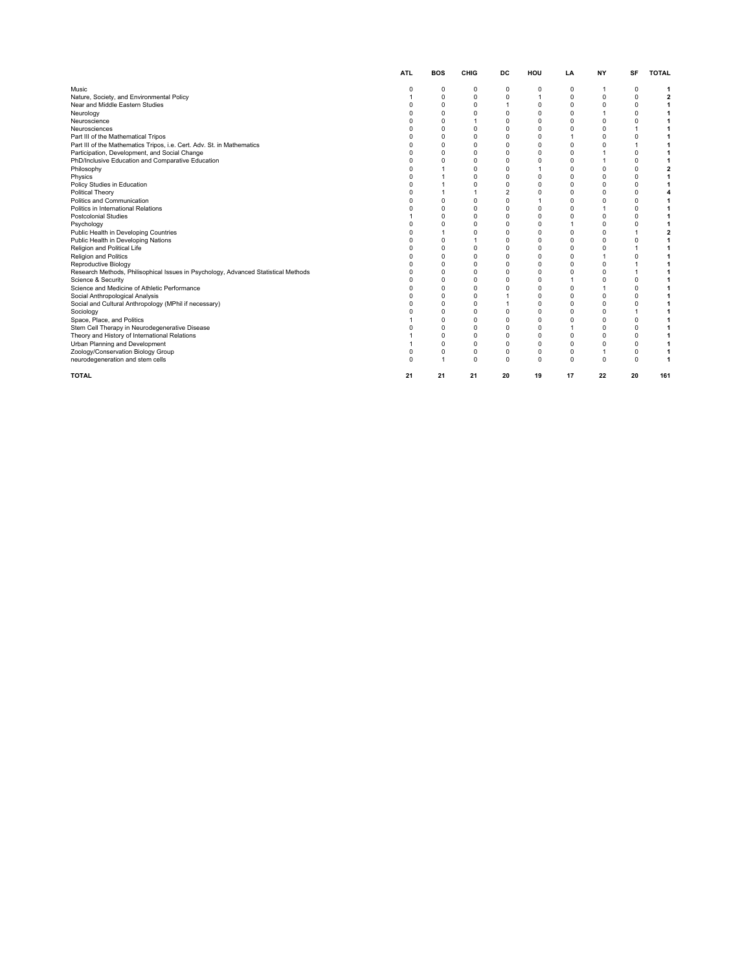|                                                                                    | <b>ATL</b> | <b>BOS</b>     | CHIG           | DC             | HOU            | LA           | <b>NY</b>    | SF             | <b>TOTAL</b>            |
|------------------------------------------------------------------------------------|------------|----------------|----------------|----------------|----------------|--------------|--------------|----------------|-------------------------|
| Music                                                                              | $\Omega$   | 0              | 0              | 0              | 0              | $\Omega$     |              | $\Omega$       | 1                       |
| Nature, Society, and Environmental Policy                                          | 1          | $\mathbf 0$    | $\mathbf 0$    | $\mathbf 0$    | $\overline{1}$ | 0            | $\Omega$     | $\Omega$       | $\overline{\mathbf{2}}$ |
| Near and Middle Eastern Studies                                                    | $\Omega$   | $\mathbf 0$    | $\mathbf 0$    | $\mathbf{1}$   | $\mathbf 0$    | $\Omega$     | $\Omega$     | $\Omega$       | 1                       |
| Neurology                                                                          | $\Omega$   | $\mathbf 0$    | $\mathbf 0$    | $\mathbf 0$    | $\Omega$       | $\Omega$     | $\mathbf{1}$ | $\Omega$       | 1                       |
| Neuroscience                                                                       | O          | $\mathbf 0$    | 1              | $\mathbf 0$    | $\Omega$       | $\Omega$     | 0            | $\Omega$       |                         |
| Neurosciences                                                                      | $\Omega$   | $\mathbf 0$    | $\mathbf 0$    | $\mathbf 0$    | $\Omega$       | $\Omega$     | $\Omega$     | $\overline{1}$ |                         |
| Part III of the Mathematical Tripos                                                | O          | $\mathbf 0$    | $\mathbf 0$    | $\mathbf 0$    | $\Omega$       | $\mathbf{1}$ | $\Omega$     | $\Omega$       |                         |
| Part III of the Mathematics Tripos, i.e. Cert. Adv. St. in Mathematics             | $\Omega$   | $\mathbf 0$    | $\mathbf 0$    | $\mathbf 0$    | $\Omega$       | $\Omega$     | $\Omega$     | $\overline{1}$ |                         |
| Participation, Development, and Social Change                                      | $\Omega$   | $\Omega$       | $\mathbf 0$    | $\mathbf 0$    | $\Omega$       | $\Omega$     | 1            | $\Omega$       |                         |
| PhD/Inclusive Education and Comparative Education                                  | $\Omega$   | $\Omega$       | $\mathbf 0$    | $\mathbf 0$    | $\Omega$       | $\Omega$     | $\mathbf{1}$ | $\Omega$       |                         |
| Philosophy                                                                         | $\Omega$   |                | $\mathbf 0$    | $\mathbf 0$    | $\overline{1}$ | $\Omega$     | 0            | $\mathbf 0$    | $\overline{2}$          |
| Physics                                                                            | $\Omega$   |                | $\Omega$       | $\mathbf 0$    | $\Omega$       | $\Omega$     | $\Omega$     | $\Omega$       | 1                       |
| Policy Studies in Education                                                        | $\Omega$   |                | $\mathbf 0$    | $\mathbf 0$    | $\Omega$       | $\Omega$     | $\Omega$     | $\Omega$       | 1                       |
| Political Theory                                                                   | O          |                | 1              | $\overline{2}$ | $\Omega$       | $\Omega$     | $\Omega$     | $\Omega$       | 4                       |
| Politics and Communication                                                         |            | $\mathbf 0$    | $\mathbf 0$    | $\Omega$       | $\overline{1}$ | $\Omega$     | $\Omega$     | 0              | 1                       |
| Politics in International Relations                                                |            | $\mathbf 0$    | $\mathbf 0$    | $\mathbf 0$    | $\mathbf 0$    | $\Omega$     | $\mathbf{1}$ | 0              | 1                       |
| <b>Postcolonial Studies</b>                                                        |            | $\mathbf 0$    | $\mathbf 0$    | $\mathbf 0$    | $\mathbf 0$    | $\Omega$     | 0            | 0              | 1                       |
| Psychology                                                                         |            | $\Omega$       | $\mathbf 0$    | $\mathbf 0$    | $\Omega$       | 1            | $\Omega$     | $\Omega$       |                         |
| Public Health in Developing Countries                                              | ŋ          | $\overline{1}$ | $\mathbf 0$    | $\mathbf 0$    | $\Omega$       | $\Omega$     | $\Omega$     | $\overline{1}$ | $\overline{2}$          |
| Public Health in Developing Nations                                                | O          | $\mathbf 0$    | $\overline{1}$ | $\mathbf 0$    | $\Omega$       | $\Omega$     | $\Omega$     | 0              | 1                       |
| Religion and Political Life                                                        | $\Omega$   | $\mathbf 0$    | $\mathbf 0$    | $\mathbf 0$    | $\Omega$       | $\Omega$     | $\Omega$     | $\mathbf{1}$   | 1                       |
| Religion and Politics                                                              | O          | $\Omega$       | $\mathbf 0$    | $\mathbf 0$    | $\Omega$       | $\Omega$     |              | $\Omega$       | 1                       |
| Reproductive Biology                                                               | O          | $\mathbf 0$    | $\mathbf 0$    | $\mathbf 0$    | $\Omega$       | $\Omega$     | $\Omega$     | 1              |                         |
| Research Methods, Philisophical Issues in Psychology, Advanced Statistical Methods | $\Omega$   | $\mathbf 0$    | $\mathbf 0$    | $\mathbf 0$    | $\Omega$       | $\Omega$     | $\Omega$     | $\overline{1}$ |                         |
| Science & Security                                                                 | O          | $\mathbf 0$    | $\mathbf 0$    | $\mathbf 0$    | $\Omega$       | $\mathbf{1}$ | $\Omega$     | $\Omega$       |                         |
| Science and Medicine of Athletic Performance                                       | $\Omega$   | $\mathbf 0$    | $\mathbf 0$    | $\mathbf 0$    | $\Omega$       | $\Omega$     | 1            | 0              |                         |
| Social Anthropological Analysis                                                    | $\Omega$   | $\mathbf 0$    | $\mathbf 0$    | 1              | $\Omega$       | $\Omega$     | $\Omega$     | $\Omega$       |                         |
| Social and Cultural Anthropology (MPhil if necessary)                              | C          | $\Omega$       | $\mathbf 0$    | $\mathbf{1}$   | $\Omega$       | $\Omega$     | $\Omega$     | $\Omega$       |                         |
| Sociology                                                                          | $\Omega$   | $\mathbf 0$    | $\mathbf 0$    | $\mathbf 0$    | $\mathbf 0$    | $\Omega$     | 0            | $\overline{1}$ | 1                       |
| Space, Place, and Politics                                                         |            | $\Omega$       | $\mathbf 0$    | $\mathbf 0$    | $\Omega$       | $\Omega$     | $\Omega$     | 0              | 1                       |
| Stem Cell Therapy in Neurodegenerative Disease                                     |            | $\mathbf 0$    | $\mathbf 0$    | $\mathbf 0$    | $\Omega$       | $\mathbf{1}$ | $\Omega$     | $\Omega$       | 1                       |
| Theory and History of International Relations                                      |            | $\mathbf 0$    | $\mathbf 0$    | $\mathbf 0$    | $\Omega$       | $\Omega$     | $\Omega$     | 0              | 1                       |
| Urban Planning and Development                                                     |            | $\mathbf 0$    | $\mathbf 0$    | $\mathbf 0$    | $\Omega$       | $\Omega$     | $\Omega$     | 0              | 1                       |
| Zoology/Conservation Biology Group                                                 | $\Omega$   | $\Omega$       | $\mathbf 0$    | $\mathbf 0$    | $\mathbf 0$    | 0            | $\mathbf{1}$ | 0              | 1                       |
| neurodegeneration and stem cells                                                   | $\Omega$   | 1              | $\mathbf 0$    | $\mathbf 0$    | $\Omega$       | 0            | 0            | 0              | 1                       |
| <b>TOTAL</b>                                                                       | 21         | 21             | 21             | 20             | 19             | 17           | 22           | 20             | 161                     |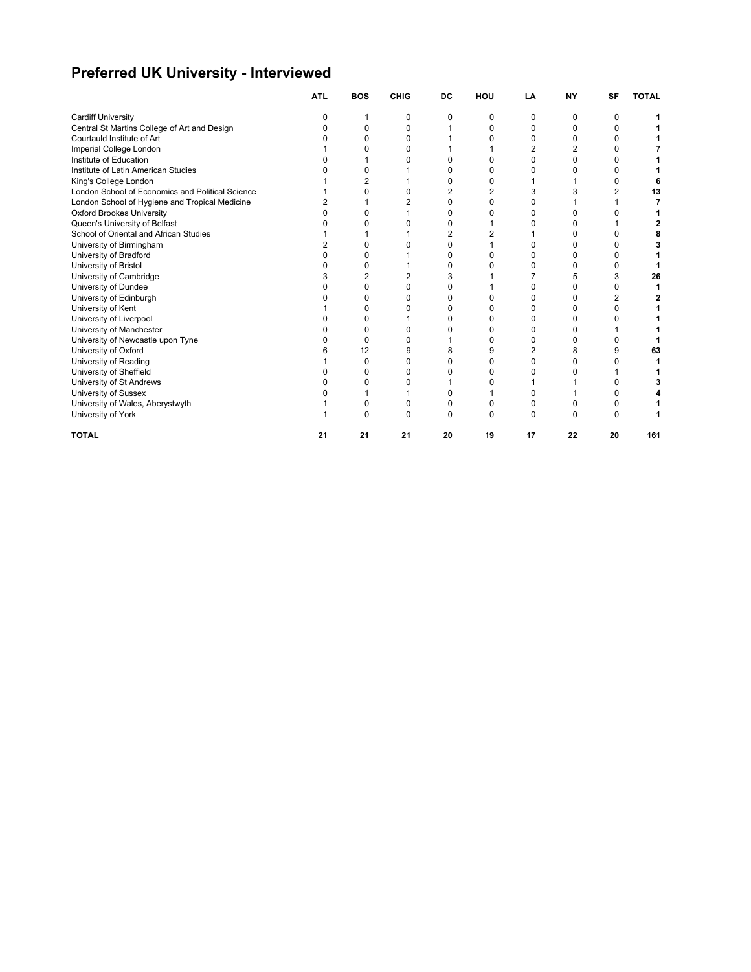### **Preferred UK University - Interviewed**

|                                                  | <b>ATL</b> | <b>BOS</b> | <b>CHIG</b> | DC | HOU | LA | <b>NY</b> | SF | <b>TOTAL</b> |
|--------------------------------------------------|------------|------------|-------------|----|-----|----|-----------|----|--------------|
| <b>Cardiff University</b>                        |            |            | ი           | n  | 0   | O  | O         | n  |              |
| Central St Martins College of Art and Design     |            | O          |             |    | 0   | C  | n         |    |              |
| Courtauld Institute of Art                       |            | O          |             |    |     |    |           |    |              |
| Imperial College London                          |            | n          |             |    |     |    |           |    |              |
| Institute of Education                           |            |            |             |    | O   |    |           |    |              |
| Institute of Latin American Studies              |            | n          |             |    |     |    |           |    |              |
| King's College London                            |            | 2          |             |    | O   |    |           |    |              |
| London School of Economics and Political Science |            | O          |             |    | 2   |    |           |    | 13           |
| London School of Hygiene and Tropical Medicine   |            |            |             |    | 0   |    |           |    |              |
| <b>Oxford Brookes University</b>                 |            | O          |             |    | 0   |    |           |    |              |
| Queen's University of Belfast                    |            | n          |             |    |     |    |           |    |              |
| School of Oriental and African Studies           |            |            |             |    | 2   |    | n         |    |              |
| University of Birmingham                         |            | n          |             |    |     |    |           |    |              |
| University of Bradford                           |            | ŋ          |             |    |     |    |           |    |              |
| University of Bristol                            |            | O          |             |    | n   |    |           |    |              |
| University of Cambridge                          |            | 2          |             |    |     |    |           | 3  | 26           |
| University of Dundee                             |            | 0          |             |    |     |    |           |    |              |
| University of Edinburgh                          |            | 0          |             |    |     |    |           |    |              |
| University of Kent                               |            | O          |             |    | O   |    |           |    |              |
| University of Liverpool                          |            | O          |             |    | O   |    | n         |    |              |
| University of Manchester                         |            | O          |             |    |     |    |           |    |              |
| University of Newcastle upon Tyne                |            | 0          |             |    | 0   |    |           |    |              |
| University of Oxford                             | 6          | 12         |             |    | 9   |    |           | g  | 63           |
| University of Reading                            |            | 0          | n           |    | 0   | n  | r         |    |              |
| University of Sheffield                          |            | 0          |             |    | 0   |    |           |    |              |
| University of St Andrews                         |            | O          |             |    | U   |    |           |    |              |
| University of Sussex                             |            |            |             |    |     |    |           |    |              |
| University of Wales, Aberystwyth                 |            | 0          | n           |    | 0   | n  | C         |    |              |
| University of York                               |            | O          | n           |    |     |    |           |    |              |
| <b>TOTAL</b>                                     | 21         | 21         | 21          | 20 | 19  | 17 | 22        | 20 | 161          |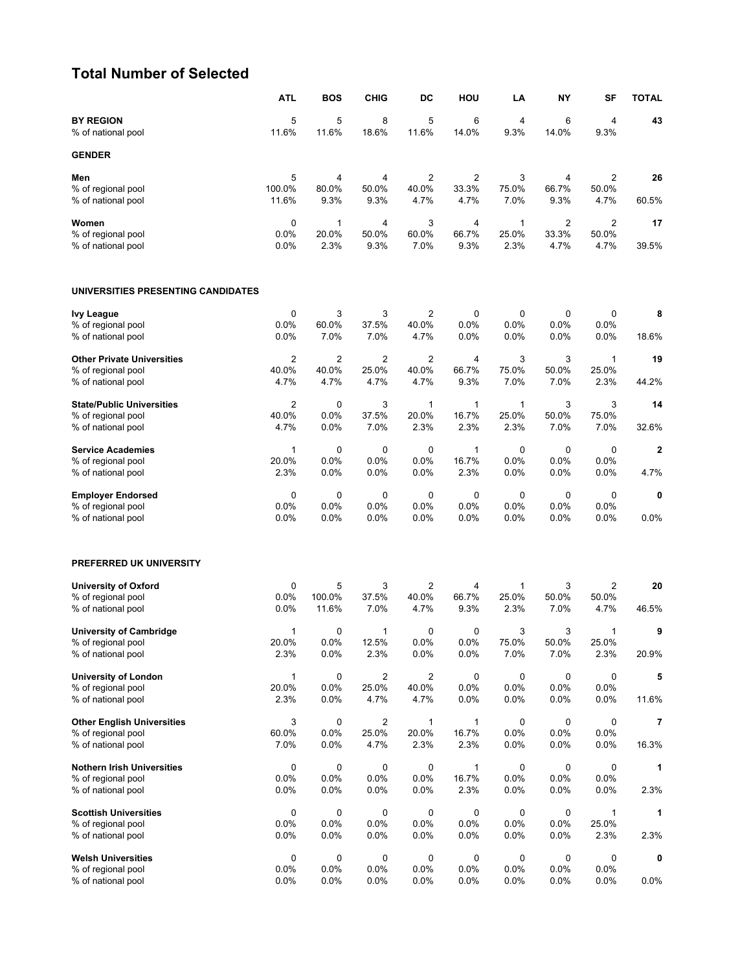#### **Total Number of Selected**

|                                                    | <b>ATL</b>      | <b>BOS</b>      | <b>CHIG</b>             | DC             | HOU             | LA            | <b>NY</b>     | SF             | <b>TOTAL</b> |
|----------------------------------------------------|-----------------|-----------------|-------------------------|----------------|-----------------|---------------|---------------|----------------|--------------|
| <b>BY REGION</b><br>% of national pool             | 5<br>11.6%      | 5<br>11.6%      | 8<br>18.6%              | 5<br>11.6%     | 6<br>14.0%      | 4<br>9.3%     | 6<br>14.0%    | 4<br>9.3%      | 43           |
| <b>GENDER</b>                                      |                 |                 |                         |                |                 |               |               |                |              |
| Men                                                | 5               | 4               | 4                       | $\overline{2}$ | $\overline{2}$  | 3             | 4             | $\overline{2}$ | 26           |
| % of regional pool<br>% of national pool           | 100.0%<br>11.6% | 80.0%<br>9.3%   | 50.0%<br>9.3%           | 40.0%<br>4.7%  | 33.3%<br>4.7%   | 75.0%<br>7.0% | 66.7%<br>9.3% | 50.0%<br>4.7%  | 60.5%        |
| Women                                              | 0               | 1               | 4                       | 3              | 4               | 1             | 2             | $\overline{2}$ | 17           |
| % of regional pool<br>% of national pool           | 0.0%<br>0.0%    | 20.0%<br>2.3%   | 50.0%<br>9.3%           | 60.0%<br>7.0%  | 66.7%<br>9.3%   | 25.0%<br>2.3% | 33.3%<br>4.7% | 50.0%<br>4.7%  | 39.5%        |
| UNIVERSITIES PRESENTING CANDIDATES                 |                 |                 |                         |                |                 |               |               |                |              |
| <b>Ivy League</b>                                  | 0               | 3               | 3                       | 2              | 0               | 0             | 0             | 0              | 8            |
| % of regional pool<br>% of national pool           | 0.0%<br>0.0%    | 60.0%<br>7.0%   | 37.5%<br>7.0%           | 40.0%<br>4.7%  | 0.0%<br>0.0%    | 0.0%<br>0.0%  | 0.0%<br>0.0%  | 0.0%<br>0.0%   | 18.6%        |
| <b>Other Private Universities</b>                  | $\overline{2}$  | $\overline{2}$  | $\overline{2}$          | $\overline{2}$ | 4               | 3             | 3             | 1              | 19           |
| % of regional pool<br>% of national pool           | 40.0%<br>4.7%   | 40.0%<br>4.7%   | 25.0%<br>4.7%           | 40.0%<br>4.7%  | 66.7%<br>9.3%   | 75.0%<br>7.0% | 50.0%<br>7.0% | 25.0%<br>2.3%  | 44.2%        |
| <b>State/Public Universities</b>                   | $\overline{2}$  | 0               | 3                       | $\mathbf{1}$   | $\mathbf{1}$    | $\mathbf{1}$  | 3             | 3              | 14           |
| % of regional pool<br>% of national pool           | 40.0%<br>4.7%   | 0.0%<br>0.0%    | 37.5%<br>7.0%           | 20.0%<br>2.3%  | 16.7%<br>2.3%   | 25.0%<br>2.3% | 50.0%<br>7.0% | 75.0%<br>7.0%  | 32.6%        |
| <b>Service Academies</b>                           | 1               | 0               | 0                       | 0              | $\mathbf{1}$    | $\mathbf 0$   | 0             | 0              | $\mathbf 2$  |
| % of regional pool<br>% of national pool           | 20.0%<br>2.3%   | 0.0%<br>0.0%    | 0.0%<br>0.0%            | 0.0%<br>0.0%   | 16.7%<br>2.3%   | 0.0%<br>0.0%  | 0.0%<br>0.0%  | 0.0%<br>0.0%   | 4.7%         |
| <b>Employer Endorsed</b>                           | 0               | 0               | 0                       | 0              | 0               | 0             | 0             | 0              | 0            |
| % of regional pool<br>% of national pool           | 0.0%<br>0.0%    | 0.0%<br>0.0%    | 0.0%<br>0.0%            | 0.0%<br>0.0%   | 0.0%<br>0.0%    | 0.0%<br>0.0%  | 0.0%<br>0.0%  | 0.0%<br>0.0%   | 0.0%         |
| PREFERRED UK UNIVERSITY                            |                 |                 |                         |                |                 |               |               |                |              |
| <b>University of Oxford</b>                        | 0               | 5               | 3                       | $\overline{2}$ | 4               | 1             | 3             | 2              | 20           |
| % of regional pool<br>% of national pool           | 0.0%<br>0.0%    | 100.0%<br>11.6% | 37.5%<br>7.0%           | 40.0%<br>4.7%  | 66.7%<br>9.3%   | 25.0%<br>2.3% | 50.0%<br>7.0% | 50.0%<br>4.7%  | 46.5%        |
| <b>University of Cambridge</b>                     | 1               | 0               | 1                       | 0              | 0               | 3             | 3             | $\mathbf 1$    | 9            |
| % of regional pool<br>% of national pool           | 20.0%<br>2.3%   | 0.0%<br>0.0%    | 12.5%<br>2.3%           | 0.0%<br>0.0%   | $0.0\%$<br>0.0% | 75.0%<br>7.0% | 50.0%<br>7.0% | 25.0%<br>2.3%  | 20.9%        |
| <b>University of London</b>                        | 1               | 0               | $\overline{\mathbf{c}}$ | $\overline{c}$ | $\mathbf 0$     | 0             | 0             | 0              | 5            |
| % of regional pool<br>% of national pool           | 20.0%<br>2.3%   | 0.0%<br>0.0%    | 25.0%<br>4.7%           | 40.0%<br>4.7%  | 0.0%<br>0.0%    | 0.0%<br>0.0%  | 0.0%<br>0.0%  | 0.0%<br>0.0%   | 11.6%        |
| <b>Other English Universities</b>                  | 3               | 0               | $\overline{2}$          | $\mathbf{1}$   | $\mathbf{1}$    | 0             | 0             | 0              | 7            |
| % of regional pool<br>% of national pool           | 60.0%<br>7.0%   | 0.0%<br>0.0%    | 25.0%<br>4.7%           | 20.0%<br>2.3%  | 16.7%<br>2.3%   | 0.0%<br>0.0%  | 0.0%<br>0.0%  | 0.0%<br>0.0%   | 16.3%        |
| <b>Nothern Irish Universities</b>                  | 0               | 0               | 0                       | 0              | $\mathbf{1}$    | 0             | 0             | 0              | 1            |
| % of regional pool                                 | 0.0%            | 0.0%            | 0.0%                    | 0.0%           | 16.7%           | 0.0%          | 0.0%          | 0.0%           |              |
| % of national pool                                 | 0.0%            | 0.0%            | 0.0%                    | 0.0%           | 2.3%            | 0.0%          | 0.0%          | 0.0%           | 2.3%         |
| <b>Scottish Universities</b><br>% of regional pool | 0<br>0.0%       | 0<br>0.0%       | 0<br>0.0%               | 0<br>0.0%      | 0<br>$0.0\%$    | 0<br>0.0%     | 0<br>0.0%     | 1<br>25.0%     | 1            |
| % of national pool                                 | 0.0%            | 0.0%            | 0.0%                    | 0.0%           | $0.0\%$         | 0.0%          | 0.0%          | 2.3%           | 2.3%         |
| <b>Welsh Universities</b>                          | 0               | 0               | 0                       | 0              | 0               | 0             | 0             | 0              | 0            |
| % of regional pool<br>% of national pool           | 0.0%<br>0.0%    | 0.0%<br>0.0%    | 0.0%<br>0.0%            | 0.0%<br>0.0%   | $0.0\%$<br>0.0% | 0.0%<br>0.0%  | 0.0%<br>0.0%  | 0.0%<br>0.0%   | 0.0%         |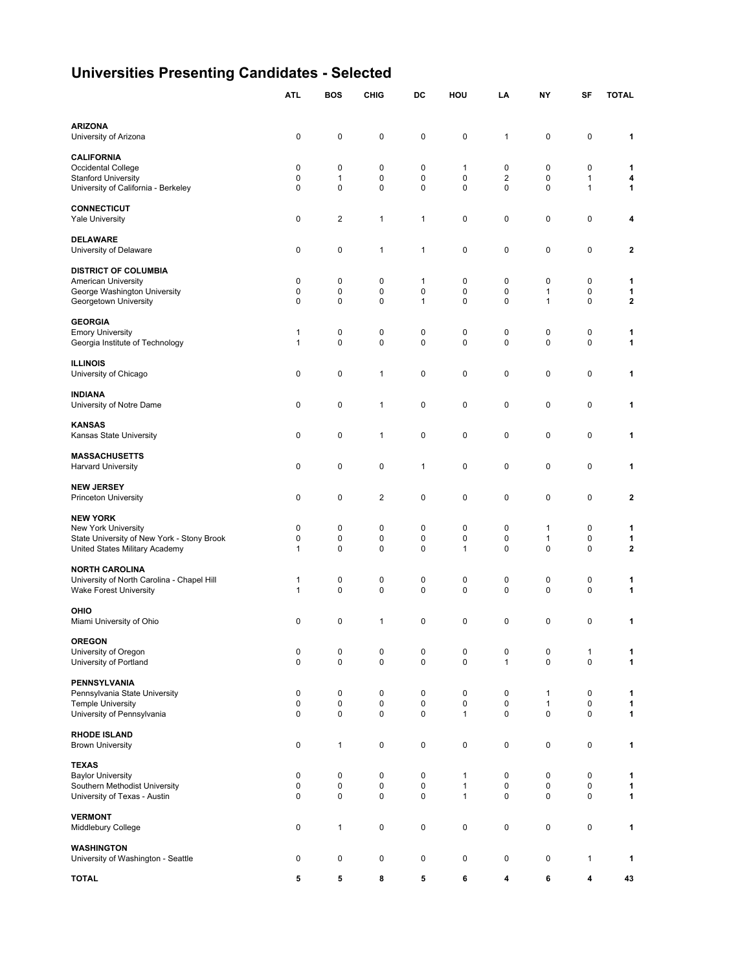# **Universities Presenting Candidates - Selected**

|                                                               | <b>ATL</b>       | <b>BOS</b>               | <b>CHIG</b>    | DC             | HOU               | LA                  | NY                | SF     | <b>TOTAL</b>            |
|---------------------------------------------------------------|------------------|--------------------------|----------------|----------------|-------------------|---------------------|-------------------|--------|-------------------------|
|                                                               |                  |                          |                |                |                   |                     |                   |        |                         |
| <b>ARIZONA</b>                                                | 0                | 0                        | 0              | 0              | 0                 | 1                   | 0                 | 0      | 1                       |
| University of Arizona                                         |                  |                          |                |                |                   |                     |                   |        |                         |
| <b>CALIFORNIA</b>                                             |                  |                          |                |                |                   |                     |                   |        |                         |
| Occidental College<br><b>Stanford University</b>              | 0<br>$\mathbf 0$ | 0<br>$\mathbf{1}$        | 0<br>$\pmb{0}$ | 0<br>0         | 1<br>$\mathbf 0$  | 0<br>$\overline{2}$ | 0<br>0            | 0<br>1 | 1<br>4                  |
| University of California - Berkeley                           | 0                | 0                        | 0              | 0              | 0                 | 0                   | 0                 | 1      | 1                       |
|                                                               |                  |                          |                |                |                   |                     |                   |        |                         |
| <b>CONNECTICUT</b><br><b>Yale University</b>                  | 0                | $\overline{\mathbf{c}}$  | 1              | 1              | 0                 | 0                   | 0                 | 0      | 4                       |
|                                                               |                  |                          |                |                |                   |                     |                   |        |                         |
| <b>DELAWARE</b><br>University of Delaware                     | 0                | 0                        | 1              | $\mathbf 1$    | 0                 | 0                   | 0                 | 0      | 2                       |
|                                                               |                  |                          |                |                |                   |                     |                   |        |                         |
| <b>DISTRICT OF COLUMBIA</b>                                   |                  |                          |                |                |                   |                     |                   |        |                         |
| American University<br>George Washington University           | 0<br>0           | $\mathbf 0$<br>0         | 0<br>0         | 1<br>0         | 0<br>0            | 0<br>0              | 0<br>1            | 0<br>0 | 1<br>1                  |
| Georgetown University                                         | 0                | $\mathbf 0$              | $\mathbf 0$    | 1              | 0                 | 0                   | 1                 | 0      | $\overline{\mathbf{2}}$ |
|                                                               |                  |                          |                |                |                   |                     |                   |        |                         |
| <b>GEORGIA</b><br><b>Emory University</b>                     | 1                | $\mathbf 0$              | 0              | 0              | 0                 | 0                   | 0                 | 0      | 1                       |
| Georgia Institute of Technology                               | 1                | $\mathbf 0$              | 0              | 0              | 0                 | 0                   | 0                 | 0      | 1                       |
| <b>ILLINOIS</b>                                               |                  |                          |                |                |                   |                     |                   |        |                         |
| University of Chicago                                         | 0                | 0                        | 1              | 0              | 0                 | 0                   | 0                 | 0      | 1                       |
|                                                               |                  |                          |                |                |                   |                     |                   |        |                         |
| <b>INDIANA</b><br>University of Notre Dame                    | 0                | $\mathbf 0$              | 1              | $\pmb{0}$      | 0                 | 0                   | 0                 | 0      | 1                       |
|                                                               |                  |                          |                |                |                   |                     |                   |        |                         |
| <b>KANSAS</b>                                                 |                  |                          |                |                |                   |                     |                   |        |                         |
| Kansas State University                                       | 0                | $\mathbf 0$              | 1              | 0              | 0                 | 0                   | 0                 | 0      | 1                       |
| <b>MASSACHUSETTS</b>                                          |                  |                          |                |                |                   |                     |                   |        |                         |
| <b>Harvard University</b>                                     | 0                | $\mathbf 0$              | 0              | 1              | 0                 | 0                   | 0                 | 0      | 1                       |
| <b>NEW JERSEY</b>                                             |                  |                          |                |                |                   |                     |                   |        |                         |
| <b>Princeton University</b>                                   | 0                | 0                        | $\overline{2}$ | 0              | 0                 | 0                   | 0                 | 0      | 2                       |
| <b>NEW YORK</b>                                               |                  |                          |                |                |                   |                     |                   |        |                         |
| New York University                                           | 0                | 0                        | 0              | 0              | 0                 | 0                   | 1                 | 0      | 1                       |
| State University of New York - Stony Brook                    | 0                | $\mathbf 0$              | $\pmb{0}$      | 0              | 0                 | 0                   | 1                 | 0      | 1                       |
| United States Military Academy                                | 1                | 0                        | 0              | 0              | 1                 | 0                   | 0                 | 0      | $\mathbf{2}$            |
| <b>NORTH CAROLINA</b>                                         |                  |                          |                |                |                   |                     |                   |        |                         |
| University of North Carolina - Chapel Hill                    | 1                | 0                        | 0              | 0              | 0                 | 0                   | 0                 | 0      | 1                       |
| <b>Wake Forest University</b>                                 | 1                | $\mathbf 0$              | $\pmb{0}$      | $\pmb{0}$      | 0                 | 0                   | 0                 | 0      | 1                       |
| OHIO                                                          |                  |                          |                |                |                   |                     |                   |        |                         |
| Miami University of Ohio                                      | 0                | 0                        | 1              | 0              | 0                 | 0                   | 0                 | 0      | 1                       |
| <b>OREGON</b>                                                 |                  |                          |                |                |                   |                     |                   |        |                         |
| University of Oregon                                          | 0                | 0                        | 0              | 0              | 0                 | 0                   | 0                 | 1      | 1                       |
| University of Portland                                        | 0                | $\pmb{0}$                | 0              | 0              | $\pmb{0}$         | $\mathbf{1}$        | 0                 | 0      | 1                       |
| <b>PENNSYLVANIA</b>                                           |                  |                          |                |                |                   |                     |                   |        |                         |
| Pennsylvania State University                                 | 0                | $\pmb{0}$                | 0              | $\pmb{0}$      | $\pmb{0}$         | 0                   | $\mathbf{1}$      | 0      | 1                       |
| <b>Temple University</b><br>University of Pennsylvania        | 0<br>0           | 0<br>0                   | 0<br>$\pmb{0}$ | 0<br>0         | 0<br>1            | 0<br>0              | $\mathbf{1}$<br>0 | 0<br>0 | 1<br>1                  |
|                                                               |                  |                          |                |                |                   |                     |                   |        |                         |
| <b>RHODE ISLAND</b>                                           |                  |                          |                |                |                   |                     |                   |        |                         |
| <b>Brown University</b>                                       | 0                | $\mathbf{1}$             | 0              | $\pmb{0}$      | $\pmb{0}$         | 0                   | 0                 | 0      | 1                       |
| <b>TEXAS</b>                                                  |                  |                          |                |                |                   |                     |                   |        |                         |
| <b>Baylor University</b>                                      | 0                | $\mathbf 0$              | 0              | $\pmb{0}$      | 1                 | 0                   | 0                 | 0      | 1                       |
| Southern Methodist University<br>University of Texas - Austin | 0<br>0           | $\pmb{0}$<br>$\mathbf 0$ | 0<br>$\pmb{0}$ | 0<br>$\pmb{0}$ | 1<br>$\mathbf{1}$ | 0<br>0              | 0<br>0            | 0<br>0 | 1<br>$\mathbf{1}$       |
|                                                               |                  |                          |                |                |                   |                     |                   |        |                         |
| <b>VERMONT</b>                                                | 0                | $\mathbf{1}$             | 0              | $\pmb{0}$      | $\pmb{0}$         | 0                   | 0                 | 0      | 1                       |
| Middlebury College                                            |                  |                          |                |                |                   |                     |                   |        |                         |
| <b>WASHINGTON</b>                                             |                  |                          |                |                |                   |                     |                   |        |                         |
| University of Washington - Seattle                            | 0                | $\pmb{0}$                | 0              | $\pmb{0}$      | $\pmb{0}$         | 0                   | 0                 | 1      | 1                       |
| <b>TOTAL</b>                                                  | 5                | 5                        | 8              | 5              | 6                 | 4                   | 6                 | 4      | 43                      |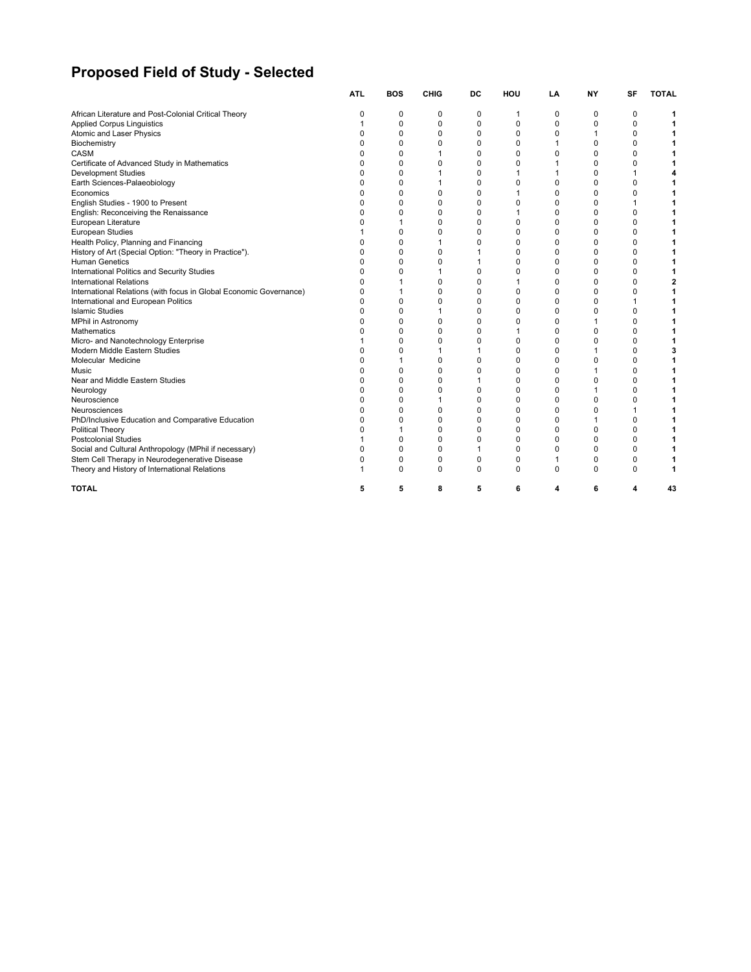# **Proposed Field of Study - Selected**

|                                                                    | <b>ATL</b> | <b>BOS</b> | <b>CHIG</b> | DC          | HOU      | LA       | <b>NY</b> | <b>SF</b>   | <b>TOTAL</b> |
|--------------------------------------------------------------------|------------|------------|-------------|-------------|----------|----------|-----------|-------------|--------------|
| African Literature and Post-Colonial Critical Theory               | 0          | 0          | 0           | 0           | 1        | 0        | 0         | 0           |              |
| <b>Applied Corpus Linguistics</b>                                  |            | 0          | 0           | 0           | 0        | 0        | 0         | 0           |              |
| Atomic and Laser Physics                                           | 0          | 0          | 0           | 0           | 0        | 0        |           | $\mathbf 0$ |              |
| Biochemistry                                                       | O          | 0          | 0           | 0           | 0        |          | 0         | 0           |              |
| CASM                                                               | O          | O          |             | 0           | 0        | 0        | $\Omega$  | 0           |              |
| Certificate of Advanced Study in Mathematics                       | 0          | 0          | $\Omega$    | 0           | 0        |          | 0         | 0           |              |
| <b>Development Studies</b>                                         | 0          | 0          |             | 0           |          |          | 0         | 1           |              |
| Earth Sciences-Palaeobiology                                       | n          | ŋ          |             | $\Omega$    | 0        | 0        | O         | 0           |              |
| Economics                                                          | 0          | ŋ          | 0           | 0           |          | 0        | O         | 0           |              |
| English Studies - 1900 to Present                                  | 0          | O          | 0           | 0           | 0        | $\Omega$ | O         | 1           |              |
| English: Reconceiving the Renaissance                              | $\Omega$   | O          | $\Omega$    | $\Omega$    |          | $\Omega$ | $\Omega$  | 0           |              |
| European Literature                                                | ŋ          |            | 0           | 0           | 0        | $\Omega$ | $\Omega$  | 0           |              |
| European Studies                                                   |            | 0          | $\Omega$    | $\Omega$    | 0        | 0        | 0         | 0           |              |
| Health Policy, Planning and Financing                              | 0          | 0          |             | $\Omega$    | 0        | 0        | 0         | 0           |              |
| History of Art (Special Option: "Theory in Practice").             | 0          | 0          | 0           | 1           | 0        | 0        | O         | 0           |              |
| <b>Human Genetics</b>                                              | O          | O          | 0           |             | 0        | 0        |           | 0           |              |
| International Politics and Security Studies                        | ŋ          | O          |             | 0           | 0        | $\Omega$ | O         | 0           |              |
| <b>International Relations</b>                                     | $\Omega$   | 1          | 0           | 0           | 1        | $\Omega$ | 0         | 0           |              |
| International Relations (with focus in Global Economic Governance) | $\Omega$   |            | 0           | 0           | 0        | $\Omega$ | 0         | 0           |              |
| International and European Politics                                | 0          | 0          | 0           | $\Omega$    | 0        | 0        | U         | 1           |              |
| <b>Islamic Studies</b>                                             | 0          | ŋ          |             | 0           | 0        | 0        |           | 0           |              |
| <b>MPhil in Astronomy</b>                                          | 0          | 0          | 0           | $\mathbf 0$ | 0        | $\Omega$ |           | 0           |              |
| <b>Mathematics</b>                                                 | O          | O          | 0           | 0           |          | 0        | O         | $\mathbf 0$ |              |
| Micro- and Nanotechnology Enterprise                               |            | U          | $\Omega$    | 0           | 0        | $\Omega$ | U         | 0           |              |
| Modern Middle Eastern Studies                                      | 0          | $\Omega$   |             |             | 0        | $\Omega$ |           | 0           |              |
| Molecular Medicine                                                 | ŋ          |            | 0           | $\Omega$    | 0        | $\Omega$ |           | 0           |              |
| Music                                                              | 0          | ŋ          | 0           | 0           | 0        | 0        |           | 0           |              |
| Near and Middle Eastern Studies                                    | 0          | 0          | 0           |             | 0        | 0        |           | 0           |              |
| Neurology                                                          | O          | $\Omega$   | $\Omega$    | $\Omega$    | $\Omega$ | $\Omega$ |           | 0           |              |
| Neuroscience                                                       | 0          | 0          |             | $\Omega$    | 0        | 0        | 0         | 0           |              |
| Neurosciences                                                      | ŋ          | 0          | 0           | $\mathbf 0$ | 0        | $\Omega$ | U         | 1           |              |
| PhD/Inclusive Education and Comparative Education                  | O          | 0          | 0           | 0           | 0        | $\Omega$ |           | 0           |              |
| <b>Political Theory</b>                                            | ŋ          |            | 0           | 0           | 0        | 0        | O         | 0           |              |
| <b>Postcolonial Studies</b>                                        |            | 0          | 0           | $\Omega$    | 0        | 0        |           | 0           |              |
| Social and Cultural Anthropology (MPhil if necessary)              | 0          | 0          | 0           | 1           | 0        | 0        | 0         | $\mathbf 0$ |              |
| Stem Cell Therapy in Neurodegenerative Disease                     | 0          | 0          | $\Omega$    | $\Omega$    | 0        | 1        | 0         | $\Omega$    |              |
| Theory and History of International Relations                      |            | 0          | 0           | $\Omega$    | 0        | $\Omega$ | 0         | 0           |              |
| <b>TOTAL</b>                                                       |            | 5          | 8           | 5           | 6        | Δ        |           | 4           | 43           |